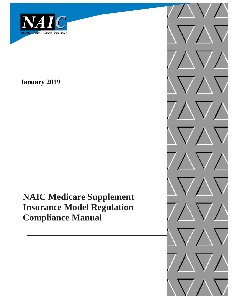

**January 2019**

**NAIC Medicare Supplement Insurance Model Regulation Compliance Manual**

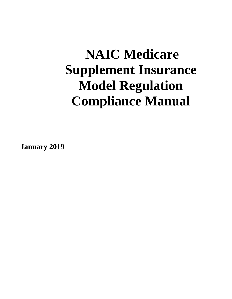# **NAIC Medicare Supplement Insurance Model Regulation Compliance Manual**

**January 2019**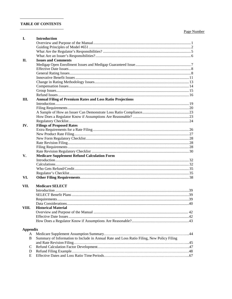# **TABLE OF CONTENTS**

# Page Number

| I.              | <b>Introduction</b>                                                                       |  |
|-----------------|-------------------------------------------------------------------------------------------|--|
|                 |                                                                                           |  |
|                 |                                                                                           |  |
|                 |                                                                                           |  |
|                 |                                                                                           |  |
| П.              | <b>Issues and Comments</b>                                                                |  |
|                 |                                                                                           |  |
|                 |                                                                                           |  |
|                 |                                                                                           |  |
|                 |                                                                                           |  |
|                 |                                                                                           |  |
|                 |                                                                                           |  |
|                 |                                                                                           |  |
|                 |                                                                                           |  |
| Ш.              | <b>Annual Filing of Premium Rates and Loss Ratio Projections</b>                          |  |
|                 |                                                                                           |  |
|                 |                                                                                           |  |
|                 |                                                                                           |  |
|                 |                                                                                           |  |
|                 |                                                                                           |  |
| IV.             | <b>Filings of Proposed Rates</b>                                                          |  |
|                 |                                                                                           |  |
|                 |                                                                                           |  |
|                 |                                                                                           |  |
|                 |                                                                                           |  |
|                 |                                                                                           |  |
|                 |                                                                                           |  |
| V.              | <b>Medicare Supplement Refund Calculation Form</b>                                        |  |
|                 |                                                                                           |  |
|                 |                                                                                           |  |
|                 |                                                                                           |  |
|                 |                                                                                           |  |
| VI.             |                                                                                           |  |
|                 |                                                                                           |  |
| VII.            | <b>Medicare SELECT</b>                                                                    |  |
|                 |                                                                                           |  |
|                 |                                                                                           |  |
|                 |                                                                                           |  |
|                 |                                                                                           |  |
| VIII.           | <b>Historical Material</b>                                                                |  |
|                 |                                                                                           |  |
|                 |                                                                                           |  |
|                 |                                                                                           |  |
|                 |                                                                                           |  |
| <b>Appendix</b> |                                                                                           |  |
| A               |                                                                                           |  |
| B               | Summary of Information to Include in Annual Rate and Loss Ratio Filing, New Policy Filing |  |
|                 |                                                                                           |  |
| $\mathcal{C}$   |                                                                                           |  |
|                 |                                                                                           |  |
| D<br>E          |                                                                                           |  |
|                 |                                                                                           |  |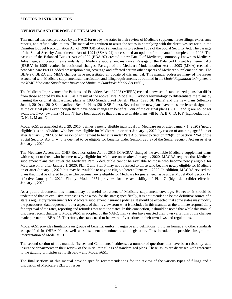# **SECTION I: INTRODUCTION**

#### <span id="page-4-0"></span>**OVERVIEW AND PURPOSE OF THE MANUAL**

This manual has been produced by the NAIC for use by the states in their review of Medicare supplement rate filings, experience reports, and refund calculations. The manual was written to assist the states in complying with the directives set forth in the Omnibus Budget Reconciliation Act of 1990 (OBRA-90) amendments to Section 1882 of the Social Security Act. The passage of the Social Security Amendments Act of 1994 (SSAA-94) necessitated an update of this manual, completed in 1996. The passage of the Balanced Budget Act of 1997 (BBA-97) created a new Part C of Medicare, commonly known as Medicare Advantage, and created new standards for Medicare supplement insurance. Passage of the Balanced Budget Refinement Act (BBRA) in 1999 resulted in additional changes. Passage of the Medicare Modernization Act of 2003 (MMA) created a new Medicare Part D, added prescription drug coverage and affected certain other aspects of Medicare supplement plans. The BBA-97, BBRA and MMA changes have necessitated an update of this manual. This manual addresses many of the issues associated with Medicare supplement standardization and filing requirements, as outlined in the *Model Regulation to Implement the NAIC Medicare Supplement Insurance Minimum Standards Model Act* (#651).

The Medicare Improvement for Patients and Providers Act of 2008 (MIPPA) created a new set of standardized plans that differ from those adopted by the NAIC as a result of the above laws. Model #651 adopts terminology to differentiate the plans by naming the original standardized plans as 1990 Standardized Benefit Plans (1990 SB Plans) and the new plans (effective June 1, 2010) as 2010 Standardized Benefit Plans (2010 SB Plans). Several of the new plans have the same letter designation as the original plans even though there have been changes in benefits. Four of the original plans (E, H, I and J) are no longer available. Two new plans (M and N) have been added so that the new available plans will be: A, B, C, D, F, F (high deductible), G, K, L, M and N.

Model #651 as amended Aug. 29, 2016, defines a newly eligible individual for Medicare on or after January 1, 2020 ("newly eligible") as an individual who becomes eligible for Medicare on or after January 1, 2020, by reason of attaining age 65 on or after January 1, 2020, or by reason of entitlement to benefits under Part A pursuant to Section 226(b) or Section 226A of the Social Security Act or who is deemed to be eligible for benefits under Section 226(a) of the Social Security Act on or after January 1, 2020.

The Medicare Access and CHIP Reauthorization Act of 2015 (MACRA) changed the available Medicare supplement plans with respect to those who become newly eligible for Medicare on or after January 1, 2020. MACRA requires that Medicare supplement plans that cover the Medicare Part B deductible cannot be available to those who become newly eligible for Medicare on or after January 1, 2020. Plan C and Plan F may not be issued to those who become newly eligible for Medicare on or after January 1, 2020, but may be available to anyone eligible before January 1, 2020. In addition, MACRA revised the plans that must be offered to those who become newly eligible for Medicare for guaranteed issue under Model #651 Section 12, effective January 1, 2020. Finally, Model #651 provides for the availability of Plan G (high deductible) effective January 1, 2020.

As a public document, this manual may be useful to issuers of Medicare supplement coverage. However, it should be understood that its exclusive purpose is to be a tool for the states; specifically, it is not intended to be the definitive source of a state's regulatory requirements for Medicare supplement insurance policies. It should be expected that some states may modify the procedures, data requests or other aspects of their review from what is included in this manual, as the ultimate responsibility for approval of the rates, reporting and refunds rests with the states. In this connection, it should be noted that while this manual discusses recent changes to Model #651 as adopted by the NAIC, many states have enacted their own variations of the changes made pursuant to BBA-97. Therefore, the states need to be aware of variations in their own laws and regulations.

Model #651 provides limitations on groups of benefits, uniform language and definitions, uniform format and other standards as specified in OBRA-90, as well as subsequent amendments and legislation. This introduction provides insight into interpretation of Model #651.

The second section of this manual, "Issues and Comments," addresses a number of questions that have been raised by state insurance departments in their review of the initial rate filings of standardized plans. These issues are discussed with reference to the guiding principles set forth below and Model #651.

The final sections of this manual provide specific recommendations for the review of the various types of filings and a discussion of Medicare SELECT issues.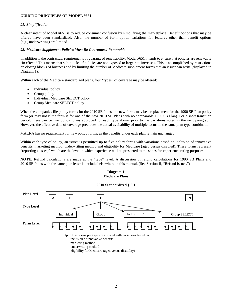# <span id="page-5-0"></span>**GUIDING PRINCIPLES OF MODEL #651**

# *#1: Simplification*

A clear intent of Model #651 is to reduce consumer confusion by simplifying the marketplace. Benefit options that may be offered have been standardized. Also, the number of form option variations for features other than benefit options (e.g., underwriting) are limited.

# *#2: Medicare Supplement Policies Must Be Guaranteed Renewable*

In addition to the contractual requirements of guaranteed renewability, Model #651 intends to ensure that policies are renewable "in effect." This means that sub-blocks of policies are not exposed to large rate increases. This is accomplished by restrictions on closing blocks of business and by limiting the number of Medicare supplement forms that an issuer can write (displayed in Diagram 1).

Within each of the Medicare standardized plans, four "types" of coverage may be offered:

- Individual policy
- Group policy
- Individual Medicare SELECT policy
- Group Medicare SELECT policy

When the companies file policy forms for the 2010 SB Plans, the new forms may be a replacement for the 1990 SB Plan policy form (or may not if the form is for one of the new 2010 SB Plans with no comparable 1990 SB Plan). For a short transition period, there can be two policy forms approved for each type above, prior to the variations noted in the next paragraph. However, the effective date of coverage precludes the actual availability of multiple forms in the same plan type combination.

MACRA has no requirement for new policy forms, as the benefits under each plan remain unchanged.

Within each type of policy, an issuer is permitted up to five policy forms with variations based on inclusion of innovative benefits, marketing method, underwriting method and eligibility for Medicare (aged versus disabled). These forms represent "reporting classes," which are the level at which experience will be presented to the states for experience rating purposes.

**NOTE**: Refund calculations are made at the "type" level. A discussion of refund calculations for 1990 SB Plans and 2010 SB Plans with the same plan letter is included elsewhere in this manual. (See Section II, "Refund Issues.")

# **Diagram 1 Medicare Plans**



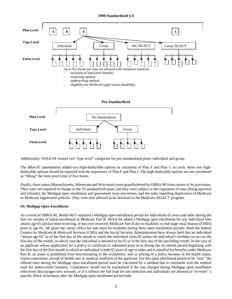# **1990 Standardized § 8**



Additionally, SSAA-94 created two "type level" categories for pre-standardized plans: individual and group.

The BBA-97 amendments added two high-deductible options as variations of Plan F and Plan J. As such, these two highdeductible options should be reported with the experience of Plan F and Plan J. The high-deductible options are not considered as "filling" the form level limit of five forms.

Finally, three states (Massachusetts, Minnesota and Wisconsin) were grandfathered by OBRA-90 from certain of its provisions. They were not required to change to the 10 standardized plans, but they were subject to the regulation of rates (filing approval and refunds), the Medigap open enrollment and guaranteed issue provisions, and the rules regarding duplication of Medicare or Medicare supplement policies. They were also allowed to be involved in the Medicare SELECT program.

# *#3: Medigap Open Enrollment*

As a result of OBRA-90, Model #651 required a Medigap open enrollment period for individuals 65 years and older during the first six months of initial enrollment in Medicare Part B. SSAA-94 added a Medigap open enrollment for any individual who attains age 65 and has been receiving, or has ever received, Medicare Part B due to disability or end-stage renal disease (ESRD) prior to age 65. All plans the carrier offers for sale must be available during these open enrollment periods. Both the federal Centers for Medicare & Medicaid Services (CMS) and the Social Security Administration have always held that an individual "attains age 65" as of the first day of the month in which the individual turns 65 unless the individual's birthday occurs on the first day of the month, in which case the individual is deemed to be 65 as of the first day of the preceding month. In the case of an applicant whose application for a policy or certificate is submitted prior to or during the six-month period beginning with the first day of the first month in which an individual is both 65 years of age or older and is enrolled for benefits under Medicare Part B, an issuer is prohibited from discriminating in the availability, sale or pricing of a policy because of the health status, claims experience, receipt of health care or medical condition of the applicant. For this open enrollment period to be "real," the offered rates during the Medigap open enrollment period must be calculated by a method that is consistent with the method used for underwritten business. Consistency would not be maintained if the rate charged during Medigap open enrollment effectively discourages new entrants, or if it reflects the full load for anti-selection and individuals are allowed to "re-enter" a specific block of business after the Medigap open enrollment period ends.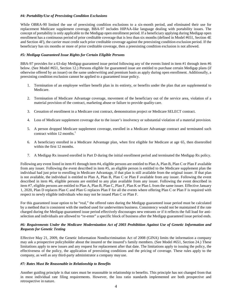# *#4: Portability/Use of Preexisting Condition Exclusions*

While OBRA-90 limited the use of preexisting condition exclusions to a six-month period, and eliminated their use for replacement Medicare supplement coverage, BBA-97 includes HIPAA-like language dealing with portability issues. The concept of portability is only applicable to the Medigap open enrollment period. If a beneficiary applying during Medigap open enrollment has a continuous period of prior creditable coverage that is less than six months (defined in Model #651, Section 4E and Section 4F), the carrier must credit such prior creditable coverage against the preexisting condition exclusion period. If the beneficiary has six months or more of prior creditable coverage, then a preexisting condition exclusion is not allowed.

# *#5: Medigap Guaranteed Issue Rights for Certain Eligible Persons*

BBA-97 provides for a 63-day Medigap guaranteed issue period following any of the events listed in item #1 through item #6 below. (See Model #651, Section 12.) Persons eligible for guaranteed issue are entitled to purchase certain Medigap plans (if otherwise offered by an issuer) on the same underwriting and premium basis as apply during open enrollment. Additionally, a preexisting condition exclusion cannot be applied to a guaranteed issue policy.

- 1. Termination of an employee welfare benefit plan in its entirety, or benefits under the plan that are supplemental to Medicare.
- 2. Termination of Medicare Advantage coverage, movement of the beneficiary out of the service area, violation of a material provision of the contract, marketing abuse or failure to provide quality care.
- 3. Cessation of enrollment in a Medicare cost contract, demonstration project or Medicare SELECT contract.
- 4. Loss of Medicare supplement coverage due to the issuer's insolvency or substantial violation of a material provision.
- 5. A person dropped Medicare supplement coverage, enrolled in a Medicare Advantage contract and terminated such contract within 12 months. $<sup>1</sup>$ </sup>
- 6. A beneficiary enrolled in a Medicare Advantage plan, when first eligible for Medicare at age 65, then disenrolled within the first 12 months.
- 7. A Medigap Rx insured enrolled in Part D during the initial enrollment period and terminated the Medigap Rx policy.

Following any event listed in item #1 through item #4, eligible persons are entitled to Plan A, Plan B, Plan C or Plan F available from any issuer. Following the event described in item #5, an eligible person is entitled to the Medicare supplement plan the individual had just prior to enrolling in Medicare Advantage, if that plan is still available from the original issuer. If that plan is not available, the individual is entitled to Plan A, Plan B, Plan C or Plan F available from any issuer. Following the event described in item #6, eligible persons are entitled to any plan available from any issuer. Following the event described in item #7, eligible persons are entitled to Plan A, Plan B, Plan C, Plan F, Plan K or Plan L from the same issuer. Effective January 1, 2020, Plan D replaces Plan C and Plan G replaces Plan F for all the events where offering Plan C or Plan F is required with respect to newly eligible individuals who may not be issued Plan C or Plan F.

For this guaranteed issue option to be "real," the offered rates during the Medigap guaranteed issue period must be calculated by a method that is consistent with the method used for underwritten business. Consistency would not be maintained if the rate charged during the Medigap guaranteed issue period effectively discourages new entrants or if it reflects the full load for antiselection and individuals are allowed to "re-enter" a specific block of business after the Medigap guaranteed issue period ends.

# *#6: Requirements Under the Medicare Modernization Act of 2003 Prohibition Against Use of Genetic Information and Requests for Genetic Testing*

Effective May 21, 2009, the Genetic Information Nondiscrimination Act of 2008 (GINA) limits the information a company may ask a prospective policyholder about the insured or the insured's family members. (See Model #651, Section 24.) These limitations apply to new issues and any request for replacement after that date. The limitations apply to issuing the policy, the effectiveness of the policy, the application of preexisting conditions and the pricing of coverage. These rules apply to the company, as well as any third-party administrator a company mayuse.

# *#7: Rates Must Be Reasonable in Relationship to Benefits*

Another guiding principle is that rates must be reasonable in relationship to benefits. This principle has not changed from that in most individual rate filing requirements. However, the loss ratio standards implemented are both prospective and retrospective in nature.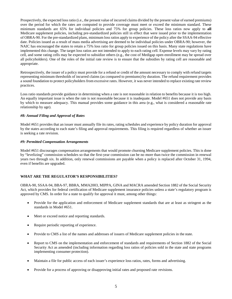Prospectively, the expected loss ratio (i.e., the present value of incurred claims divided by the present value of earned premiums) over the period for which the rates are computed to provide coverage must meet or exceed the minimum standard. These minimum standards are 65% for individual policies and 75% for group policies. These loss ratios now apply to **all**  Medicare supplement policies, including pre-standardized policies still in effect that were issued prior to the implementation of OBRA-90. For the pre-standardized plans, minimum loss ratios apply to experience of the policy after the SSAA-94 effective date. Policies issued as a result of mass media advertising are deemed to be individual policies under OBRA-90; however, the NAIC has encouraged the states to retain a 75% loss ratio for group policies issued on this basis. Many state regulations have implemented this change. The target loss ratios are not intended to apply to each rating cell. Expense levels may vary by rating cell, and some rating cells may be expected to subsidize others (e.g., the cost of Medigap open enrollment may be spread over all policyholders). One of the roles of the initial rate review is to ensure that the subsidies by rating cell are reasonable and appropriate.

Retrospectively, the issuer of a policy must provide for a refund or credit of the amount necessary to comply with refund targets representing minimum thresholds of incurred claims (as compared to premiums) by duration. The refund requirement provides a sound foundation to protect policyholders from excessive rates. However, it was never intended to replace existing rate review practices.

Loss ratio standards provide guidance in determining when a rate is not reasonable in relation to benefits because it is too high. An equally important issue is when the rate is not reasonable because it is inadequate. Model #651 does not provide any basis by which to measure adequacy. This manual provides some guidance in this area (e.g., what is considered a reasonable rate relationship by age).

# *#8: Annual Filing and Approval of Rates*

Model #651 provides that an issuer must annually file its rates, rating schedules and experience by policy duration for approval by the states according to each state's filing and approval requirements. This filing is required regardless of whether an issuer is seeking a rate revision.

# *#9: Permitted Compensation Arrangements*

Model #651 discourages compensation arrangements that would promote churning Medicare supplement policies. This is done by "levelizing" commission schedules so that the first-year commission can be no more than twice the commission in renewal years two through six. In addition, only renewal commissions are payable when a policy is replaced after October 31, 1994, even if benefits are upgraded.

# <span id="page-8-0"></span>**WHAT ARE THE REGULATOR'S RESPONSIBILITIES?**

OBRA-90, SSAA-94, BBA-97, BBRA, MMA2003, MIPPA, GINA and MACRA amended Section 1882 of the Social Security Act, which provides for federal certification of Medicare supplement insurance policies unless a state's regulatory program is approved by CMS. In order for a state to qualify for approval it must, among other things:

- Provide for the application and enforcement of Medicare supplement standards that are at least as stringent as the standards in Model #651.
- Meet or exceed notice and reporting standards.
- Require periodic reporting of experience.
- Provide to CMS a list of the names and addresses of issuers of Medicare supplement policies in the state.
- Report to CMS on the implementation and enforcement of standards and requirements of Section 1882 of the Social Security Act as amended (including information regarding loss ratios of policies sold in the state and state programs implementing consumer protection).
- Maintain a file for public access of each issuer's experience loss ratios, rates, forms and advertising.
- Provide for a process of approving or disapproving initial rates and proposed rate revisions.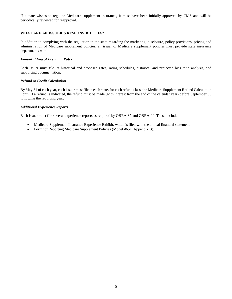If a state wishes to regulate Medicare supplement insurance, it must have been initially approved by CMS and will be periodically reviewed for reapproval.

# <span id="page-9-0"></span>**WHAT ARE AN ISSUER'S RESPONSIBILITIES?**

In addition to complying with the regulation in the state regarding the marketing, disclosure, policy provisions, pricing and administration of Medicare supplement policies, an issuer of Medicare supplement policies must provide state insurance departments with:

# *Annual Filing of Premium Rates*

Each issuer must file its historical and proposed rates, rating schedules, historical and projected loss ratio analysis, and supporting documentation.

# *Refund or Credit Calculation*

By May 31 of each year, each issuer must file in each state, for each refund class, the Medicare Supplement Refund Calculation Form. If a refund is indicated, the refund must be made (with interest from the end of the calendar year) before September 30 following the reporting year.

# *Additional Experience Reports*

Each issuer must file several experience reports as required by OBRA-87 and OBRA-90. These include:

- Medicare Supplement Insurance Experience Exhibit, which is filed with the annual financial statement.
- Form for Reporting Medicare Supplement Policies (Model #651, Appendix B).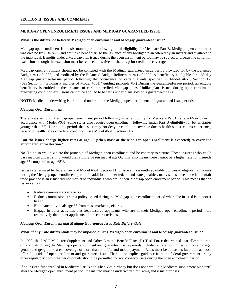#### **SECTION II: ISSUES AND COMMENTS**

# <span id="page-10-0"></span>**MEDIGAP OPEN ENROLLMENT ISSUES AND MEDIGAP GUARANTEED ISSUE**

# **What is the difference between Medigap open enrollment and Medigap guaranteed issue?**

Medigap open enrollment is the six-month period following initial eligibility for Medicare Part B. Medigap open enrollment was created by OBRA-90 and entitles a beneficiary to the issuance of any Medigap plan offered by an insurer and available to the individual. Benefits under a Medigap plan issued during the open enrollment period may be subject to preexisting condition exclusions, though the exclusion must be reduced or waived if there is prior creditable coverage.

Medigap open enrollment should not be confused with the Medigap guaranteed-issue period provided for by the Balanced Budget Act of 1997, and modified by the Balanced Budget Refinement Act of 1999. A beneficiary is eligible for a 63-day Medigap guaranteed-issue period following the occurrence of certain events specified in Model #651, Section 12. (See Section I, "Guiding Principles of Model #651," guiding principle #5.) During the guaranteed-issue period, an eligible beneficiary is entitled to the issuance of certain specified Medigap plans. Unlike plans issued during open enrollment, preexisting condition exclusions cannot be applied to benefits under plans sold on a guaranteed basis.

**NOTE**: Medical underwriting is prohibited under both the Medigap open enrollment and guaranteed issue periods.

# *Medigap Open Enrollment*

There is a six-month Medigap open enrollment period following initial eligibility for Medicare Part B (at age 65 or older in accordance with Model #651; some states also require open enrollment following initial Part B eligibility for beneficiaries younger than 65). During this period, the issuer may not deny or condition coverage due to health status, claims experience, receipt of health care or medical condition. (See Model #651, Section 11.)

# **Can the issuer charge higher rates at age 65 (when most of the Medigap open enrollment is expected) to cover the anticipated anti-selection?**

No. To do so would violate the principle of Medigap open enrollment and be contrary to statute. Those insureds who could pass medical underwriting would then simply be reissued at age 66. This also means there cannot be a higher rate for insureds age 65 compared to age 65½.

Issuers are required by federal law and Model #651, Section 11 to issue any currently available policies to eligible individuals during the Medigap open enrollment period. In addition to other federal and state penalties, many states have made it an unfair trade practice if an issuer did not market to individuals who are in their Medigap open enrollment period. This means that an issuer cannot:

- Reduce commissions at age 65.
- Reduce commissions from a policy issued during the Medigap open enrollment period where the insured is in poorer health.
- Eliminate individuals age 65 from mass marketing efforts.
- Engage in other activities that treat insured applicants who are in their Medigap open enrollment period more restrictively than other applicants of like characteristics.

#### *Medigap Open Enrollment and Medigap Guaranteed Issue Rate Differentials*

#### **What, if any, rate differentials may be imposed during Medigap open enrollment and Medigap guaranteed issue?**

In 1993, the NAIC Medicare Supplement and Other Limited Benefit Plans (B) Task Force determined that allowable rate differentials during the Medigap open enrollment and guaranteed issue periods include, but are not limited to, those for age, gender and geographic area; coverage of more than one life; and modal payment. Rates must be at least as favorable as those offered outside of open enrollment and guaranteed issue. There is no explicit guidance from the federal government or any other regulatory body whether discounts should be permitted for non-tobacco users during the open enrollment period.

If an insured first enrolled in Medicare Part B at his/her 65th birthday but does not enroll in a Medicare supplement plan until after the Medigap open enrollment period, the insured may be underwritten for rating and issue purposes.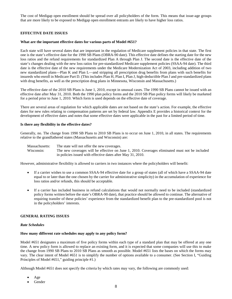The cost of Medigap open enrollment should be spread over all policyholders of the form. This means that issue-age groups that are more likely to be exposed to Medigap open enrollment entrants are likely to have higher loss ratios.

# <span id="page-11-0"></span>**EFFECTIVE DATE ISSUES**

## **What are the important effective dates for various parts of Model #651?**

Each state will have several dates that are important in the regulation of Medicare supplement policies in that state. The first one is the state's effective date for the 1990 SB Plans (OBRA-90 date). This effective date defines the starting date for the new loss ratios and the refund requirements for standardized Plan A through Plan J. The second date is the effective date of the state's changes dealing with the new loss ratios for pre-standardized Medicare supplement policies (SSAA-94 date). The third date is the effective date of the new requirements under the Medicare Modernization Act of 2003, including addition of two new standardized plans—Plan K and Plan L—and stripping all prescription drug benefits from plans with such benefits for insureds who enroll in Medicare Part D. (This includes Plan H, Plan I, Plan J, high-deductible Plan J and pre-standardized plans with drug benefits, as well as the prescription drug plans in Minnesota, Wisconsin and Massachusetts.)

The effective date of the 2010 SB Plans is June 1, 2010, except in unusual cases. The 1990 SB Plans cannot be issued with an effective date after May 31, 2010. Both the 1990 plan policy forms and the 2010 SB Plan policy forms will likely be marketed for a period prior to June 1, 2010. Which form is used depends on the effective date of coverage.

There are several areas of regulation for which applicable dates are not based on the state's action. For example, the effective dates for new rules relating to compensation patterns are set by federal law. Appendix E provides a historical context for the development of effective dates and notes that some effective dates were applicable in the past for a limited period of time.

# **Is there any flexibility in the effective dates?**

Generally, no. The change from 1990 SB Plans to 2010 SB Plans is to occur on June 1, 2010, in all states. The requirements relative to the grandfathered states (Massachusetts and Wisconsin) are:

Massachusetts: The state will not offer the new coverages. Wisconsin: The new coverages will be effective on June 1, 2010. Coverages eliminated must not be included in policies issued with effective dates after May 31, 2010.

However, administrative flexibility is allowed to carriers in two instances where the policyholders will benefit:

- If a carrier wishes to use a common SSAA-94 effective date for a group of states (all of which have a SSAA-94 date equal to or later than the one chosen by the carrier for administrative simplicity) in the accumulation of experience for loss ratios and/or refunds, this should be acceptable.
- If a carrier has included business in refund calculations that would not normally need to be included (standardized policy forms written before the state's OBRA-90 date), that practice should be allowed to continue. The alternative of requiring transfer of these policies' experience from the standardized benefit plan to the pre-standardized pool is not in the policyholders' interests.

# <span id="page-11-1"></span>**GENERAL RATING ISSUES**

#### *Rate Schedules*

#### **How many different rate schedules may apply to any policy form?**

Model #651 designates a maximum of five policy forms within each type of a standard plan that may be offered at any one time. A new policy form is allowed to replace an existing form, and it is expected that some companies will use this to make the change from 1990 SB Plans to 2010 SB Plans as smooth as possible. Model #651 lists the bases on which the forms may vary. The clear intent of Model #651 is to simplify the number of options available to a consumer. (See Section I, "Guiding Principles of Model #651," guiding principle #1.)

Although Model #651 does not specify the criteria by which rates may vary, the following are commonly used:

- Age
- Gender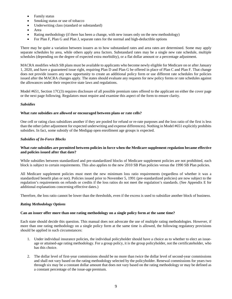- Family status
- Smoking status or use of tobacco
- Underwriting class (standard or substandard)
- Area
- Rating methodology (if there has been a change, with new issues only on the new methodology)
- For Plan F, Plan G and Plan J, separate rates for the normal and high-deductible options

There may be quite a variation between issuers as to how substandard rates and area rates are determined. Some may apply separate schedules by area, while others apply area factors. Substandard rates may be a single new rate schedule, multiple schedules (depending on the degree of expected extra morbidity), or a flat dollar amount or a percentage adjustment.

MACRA modifies which SB plans must be available to applicants who become newly eligible for Medicare on or after January 1, 2020, and have a guaranteed issue right, requiring Plan D and Plan G be offered in place of Plan C and Plan F. That change does not provide issuers any new opportunity to create an additional policy form or use different rate schedules for policies issued after the MACRA changes apply. The states should evaluate any requests for new policy forms or rate schedules against the allowances under their respective state laws and regulations.

Model #651, Section 17C(3) requires disclosure of all possible premium rates offered to the applicant on either the cover page or the next page following. Regulators must require and examine this aspect of the form to ensure clarity.

# *Subsidies*

# **What rate subsidies are allowed or encouraged between plans or rate cells?**

One cell or rating class subsidizes another if they are pooled for refund or re-rate purposes and the loss ratio of the first is less than the other (after adjustment for expected underwriting and expense differences). Nothing in Model #651 explicitly prohibits subsidies. In fact, some subsidy of the Medigap open enrollment age groups is expected.

# *Subsidies of In-Force Blocks*

# **What rate subsidies are permitted between policies in force when the Medicare supplement regulation became effective and policies issued after that date?**

While subsidies between standardized and pre-standardized blocks of Medicare supplement policies are not prohibited, each block is subject to certain requirements. This also applies to the new 2010 SB Plan policies versus the 1990 SB Plan policies.

All Medicare supplement policies must meet the new minimum loss ratio requirements (regardless of whether it was a standardized benefit plan or not). Policies issued prior to November 5, 1991 (pre-standardized policies) are now subject to the regulation's requirements on refunds or credits if the loss ratios do not meet the regulation's standards. (See Appendix E for additional explanations concerning effective dates.)

Therefore, the loss ratio cannot be lower than the thresholds, even if the excess is used to subsidize another block of business.

# *Rating Methodology Options*

# **Can an issuer offer more than one rating methodology on a single policy form at the same time?**

Each state should decide this question. This manual does not advocate the use of multiple rating methodologies. However, if more than one rating methodology on a single policy form at the same time is allowed, the following regulatory provisions should be applied in such circumstances:

- 1. Under individual insurance policies, the individual policyholder should have a choice as to whether to elect an issueage or attained-age rating methodology. For a group policy, it is the group policyholder, not the certificateholder, who has this choice.
- 2. The dollar level of first-year commissions should be no more than twice the dollar level of second-year commissions and shall not vary based on the rating methodology selected by the policyholder. Renewal commissions for years two through six may be a constant dollar amount that does not vary based on the rating methodology or may be defined as a constant percentage of the issue-age premium.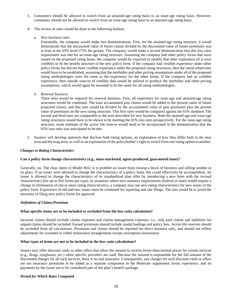- 3. Consumers should be allowed to switch from an attained-age rating basis to an issue-age rating basis. However, consumers should not be allowed to switch from an issue-age rating basis to an attained-age rating basis.
- 4. The review of rates would be done in the following fashion:
	- *a. New business rates*

Essentially, the company would make two demonstrations. First, for the attained-age rating structure, it would demonstrate that the discounted value of future claims divided by the discounted value of future premiums was at least at the 65% level (75% for group). The company would make a second demonstration that this loss ratio requirement was met for an issue-age rating structure. Assuming the company had other policy forms that were issued on the proposed rating bases, the company would be expected to modify that other experience (if it were credible) to fit the benefit structure of the new policy form. If the company had credible experience under other policy forms but did not have credible experience under the proposed rating structures, then the initial relativities would have to be established, assuming that the morbidity and other pricing assumptions under all of the proposed rating methodologies were the same as the experience for the other forms. If the company had no credible experience, then outside sources of credible data would be utilized to produce the morbidity and other pricing assumptions, which would again be assumed to be the same for all rating methodologies.

*b. Renewal business*

Three tests would be required for renewal business. First, all experience for issue-age and attained-age rating structures would be combined. The total accumulated past claims would be added to the present value of future projected claims, and that sum would be divided by the accumulated value of past premiums plus the present value of premiums on the new rating structure. This first ratio would be compared against the 65% standard. The second and third tests are comparable to the tests described for new business. Both the attained-age and issue-age rating structures would have to be shown to be meeting the 65% loss ratio prospectively. For the issue-age rating structure, some estimate of the active life reserve would need to be incorporated in the demonstration that the 65% loss ratio was anticipated to bemet.

5. Insurers will develop materials that disclose both rating options, an explanation of how they differ both in the near term and the long term, as well as an explanation of the policyholder's right to switch from one rating option to another.

#### *Changes to Rating Characteristics*

#### **Can a policy form change characteristics (e.g., mass-marketed, agent-produced, guaranteed issue)?**

Generally, no. The clear intent of Model #651 is to prohibit an issuer from closing a block of business and selling another in its place. If an issuer were allowed to change the characteristics of a policy form, this could effectively be accomplished. An issuer is allowed to change the characteristics of its standardized plan offer by introducing a new form with the revised characteristics (for up to five forms per type). In situations where new statutory requirements (federal or state) would require a change or elimination of one or more rating characteristics, a company may use new rating characteristics for new issues of the policy form. Experience of old and new issues must be combined for reporting and rate filings. The aim would be to avoid the necessity of filing new policy forms for approval.

#### *Definition of Claims/Premium*

#### **What specific items are to be included or excluded from the loss ratio calculation?**

Incurred claims should exclude claims expenses and claims management expenses; i.e., only paid claims and liabilities for unpaid claims should be included. Earned premiums should include modal loadings and policy fees. Active life reserves should be excluded from all calculations. Premiums and claims should be reported for direct business only, and should not reflect adjustments for assumed or ceded reinsurance arrangements except assumption reinsurance.

#### **What types of items are not to be included in the loss ratio calculations?**

Issuers may offer discount cards or other offers that allow the insured to receive lower-than-normal prices for certain services (e.g., drugs, eyeglasses, etc.) when specific providers are used. Because the insured is responsible for the full amount of the discounted charges for all such services, there is no real insurance. Consequently, any charges for such discount cards or offers are not insurance premiums to be added as a separate component in the Medicare supplement forms experience, and no payments by the issuer are to be considered part of the plan's benefit package.

#### *Period for Which Rates Computed*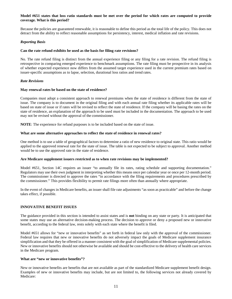# **Model #651 states that loss ratio standards must be met over the period for which rates are computed to provide coverage. What is this period?**

Because the policies are guaranteed renewable, it is reasonable to define this period as the total life of the policy. This does not detract from the ability to reflect reasonable assumptions for persistency, interest, medical inflation and rate revisions.

# *Reporting Basis*

## **Can the rate refund exhibits be used as the basis for filing rate revisions?**

No. The rate refund filing is distinct from the annual experience filing or any filing for a rate revision. The refund filing is retrospective in comparing emerged experience to benchmark assumptions. The rate filing must be prospective in its analysis of whether expected experience now differs from the assumed target experience used in the current premium rates based on issuer-specific assumptions as to lapse, selection, durational loss ratios and trend rates.

# *Rate Revisions*

#### **May renewal rates be based on the state of residence?**

Companies must adopt a consistent approach to renewal premiums when the state of residence is different from the state of issue. The company is to document in the original filing and with each annual rate filing whether its applicable rates will be based on state of issue or if rates will be revised to reflect the state of residence. If the company will be basing the rates on the state of residence, an explanation of the approach to be used must be included in the documentation. The approach to be used may not be revised without the approval of the commissioner.

**NOTE**: The experience for refund purposes is to be included based on the state of issue.

# **What are some alternative approaches to reflect the state of residence in renewal rates?**

One method is to use a table of geographical factors to determine a ratio of new residence to original state. This ratio would be applied to the approved renewal rate for the state of issue. The table is not expected to be subject to approval. Another method would be to use the approved rate in the state of residence.

#### **Are Medicare supplement issuers restricted as to when rate revisions may be implemented?**

Model #651, Section 14C requires an issuer "to annually file its rates, rating schedule and supporting documentation." Regulators may use their own judgment in interpreting whether this means once per calendar year or once per 12-month period. The commissioner is directed to approve the rates "in accordance with the filing requirements and procedures prescribed by the commissioner." This provides flexibility to permit rate filings more often than annually where appropriate.

In the event of changes in Medicare benefits, an issuer shall file rate adjustments "as soon as practicable" and before the change takes effect, if possible.

# <span id="page-14-0"></span>**INNOVATIVE BENEFIT ISSUES**

The guidance provided in this section is intended to assist states and is **not** binding on any state or party. It is anticipated that some states may use an alternative decision-making process. The decision to approve or deny a proposed new or innovative benefit, according to the federal law, rests solely with each state where the benefit is filed.

Model #651 allows for "new or innovative benefits" as set forth in federal law only with the approval of the commissioner. Federal law requires that new or innovative benefits do not adversely impact the goals of Medicare supplement insurance simplification and that they be offered in a manner consistent with the goal of simplification of Medicare supplemental policies. New or innovative benefits should not otherwise be available and should be cost-effective to the delivery of health care services in the Medicare program.

#### **What are "new or innovative benefits"?**

New or innovative benefits are benefits that are not available as part of the standardized Medicare supplement benefit design. Examples of new or innovative benefits may include, but are not limited to, the following services not already covered by Medicare: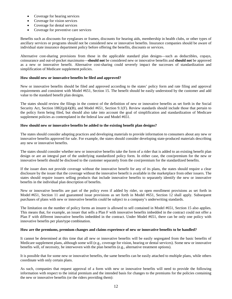- Coverage for hearing services
- Coverage for vision services
- Coverage for dental services
- Coverage for preventive care services

Benefits such as discounts for eyeglasses or frames, discounts for hearing aids, membership in health clubs, or other types of ancillary services or programs should not be considered new or innovative benefits. Insurance companies should be aware of individual state insurance department policy before offering the benefits, discounts or services.

Alternative cost-sharing provisions from those in the applicable standard plan designs—such as deductibles, copays, coinsurance and out-of-pocket maximums—**should not** be considered new or innovative benefits and **should not** be approved as a new or innovative benefit. Alternative cost-sharing could severely impact the successes of standardization and simplification of Medicare supplement policies.

# **How should new or innovative benefits be filed and approved?**

New or innovative benefits should be filed and approved according to the states' policy form and rate filing and approval requirements and consistent with Model #651, Section 15. The benefit should be easily understood by the customer and add value to the standard benefit plan designs.

The states should review the filings in the context of the definition of new or innovative benefits as set forth in the Social Security Act, Section 1882(p)(4)(B), and Model #651, Section 9.1(F). Review standards should include those that pertain to the policy form being filed, but should also take into account the goal of simplification and standardization of Medicare supplement policies as contemplated in the federal law and Model #651.

# **How should new or innovative benefits be added to the existing benefit plan designs?**

The states should consider adopting practices and developing materials to provide information to consumers about any new or innovative benefits approved for sale. For example, the states should consider developing state-produced materials describing any new or innovative benefits.

The states should consider whether new or innovative benefits take the form of a rider that is added to an existing benefit plan design or are an integral part of the underlying standardized policy form. In either case, the cost/premium for the new or innovative benefit should be disclosed to the customer separately from the cost/premium for the standardized benefits.

If the issuer does not provide coverage without the innovative benefit for any of its plans, the states should require a clear disclosure by the issuer that the coverage without the innovative benefit is available in the marketplace from other issuers. The states should require issuers selling products that include innovative benefits to separately identify the new or innovative benefits in the individual plan description of benefits.

New or innovative benefits are part of the policy even if added by rider, so open enrollment provisions as set forth in Model #651, Section 11 and guaranteed issue provisions as set forth in Model #651, Section 12 shall apply. Subsequent purchases of plans with new or innovative benefits could be subject to a company's underwriting standards.

The limitation on the number of policy forms an insurer is allowed to sell contained in Model #651, Section 15 also applies. This means that, for example, an issuer that sells a Plan F with innovative benefits imbedded in the contract could not offer a Plan F with different innovative benefits imbedded in the contract. Under Model #651, there can be only one policy with innovative benefits per plan/type combination.

# **How are the premiums, premium changes and claims experience of new or innovative benefits to be handled?**

It cannot be determined at this time that all new or innovative benefits will be easily segregated from the basic benefits of Medicare supplement plans, although some will (e.g., coverage for vision, hearing or dental services). Some new or innovative benefits will, of necessity, be interwoven with the plan benefits (e.g., alternative treatment options).

It is possible that for some new or innovative benefits, the same benefits can be easily attached to multiple plans, while others coordinate with only certain plans.

As such, companies that request approval of a form with new or innovative benefits will need to provide the following information with respect to the initial premium and the intended basis for changes to the premiums for the policies containing the new or innovative benefits (or the riders providing them):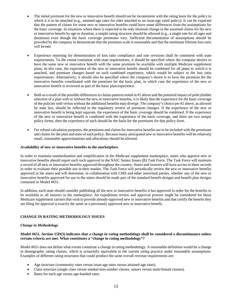- The initial premium for the new or innovative benefit should not be inconsistent with the rating basis for the policy to which it is to be attached (e.g., attained-age rates for rider attached to an issue-age rated policy). It can be expected that the pattern of claims for some new or innovative benefits could have some differences from the assumptions for the basic coverage. In situations where there is expected to be only minimal change in the assumed claims for the new or innovative benefit by age or duration, a simple rating structure should be allowed (e.g., a single rate for all ages and durations) even though the basic coverage premiums vary. Sufficient documentation of assumptions should be provided by the company to demonstrate that the premium scale is reasonable and that the minimum lifetime loss ratio will bemet.
- Experience reporting for demonstration of loss ratio compliance and rate revisions shall be consistent with state requirements. To the extent consistent with state requirements, it should be specified where the company desires to have the same new or innovative benefit with the same premium be available with multiple Medicare supplement plans. In this case, the experience of the new or innovative benefit should be combined for all plans to which it is attached, and premium changes based on such combined experience, which would be subject to the loss ratio requirements. Alternatively, it should also be specified where the company's desire is to have the premium for the innovative benefits coordinated with the premium for the basic plan, in which case the experience of the new or innovative benefit is reviewed as part of the basic plan experience.
- Both as a result of the possible differences in claims patterns noted in #1 above and the potential impact of policyholder selection of a plan with or without the new or innovative benefits, it is likely that the experience for the basic coverage of the policies with versus without the additional benefits may diverge. The company's choice per #2 above, as allowed by state law, should be reflected in the regulatory review of premium changes. If the experience of the new or innovative benefit is being kept separate, the experience of the basic coverage should be combined. If the experience of the new or innovative benefit is combined with the experience of the basic coverage, and there are two unique policy forms, then the experience of each should be the basis for the premiums for that policy form.
- For refund calculation purposes, the premiums and claims for innovative benefits are to be included with the premiums and claims for the plan and state of each policy. Because many anticipated new or innovative benefits will be relatively small, reasonable approximations and allocations should be allowed.

# **Availability of new or innovative benefits in the marketplace**

In order to maintain standardization and simplification in the Medicare supplement marketplace, states who approve new or innovative benefits should report each such approval to the NAIC Senior Issues (B) Task Force. The Task Force will maintain a record of all new or innovative benefits approved throughout the country. States and insurers will have access to these records in order to evaluate their possible use in their market. The Task Force will periodically review the new or innovative benefits approved in the states and will determine, in collaboration with CMS and other interested parties, whether any of the new or innovative benefits approved for use in the states should be made part of the standard benefit designs and benefit plan designs contained in Model #651.

In addition, each state should consider publishing all the new or innovative benefits it has approved in order for the benefits to be available to all insurers in the marketplace. An expeditious review and approval process might be considered for those Medicare supplement carriers that wish to provide already-approved new or innovative benefits and that certify the benefit they are filing for approval is exactly the same as a previously approved new or innovative benefit.

# <span id="page-16-0"></span>**CHANGE IN RATING METHODOLOGY ISSUES**

# *Change in Methodology*

# **Model #651, Section 15D(3) indicates that a change in rating methodology shall be considered a discontinuance unless certain criteria are met. What constitutes a "change in rating methodology"?**

Model #651 does not define what events constitute a change in rating methodology. A reasonable definition would be a change in demographic rating classes, which is actuarially equivalent to the current rating practice under reasonable assumptions. Examples of different rating structures that could produce the same overall revenue requirements are:

- Age structure (community rates versus issue-age rates versus attained-age rates).
- Class structure (single class versus smoker/non-smoker classes, unisex versus male/female classes).
- Rates for each age versus age-banded rates.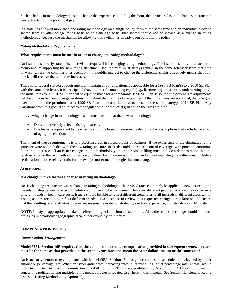Such a change in methodology does not change the experience pool (i.e., the form) that an insured is in. It changes the rate that new entrants into the pool must pay.

If a state has allowed more than one rating methodology on a single policy form at the same time and an individual elects to switch from an attained-age rating basis to an issue-age basis, that switch should not be viewed as a change in rating methodology, because the mechanics for allowing this switch has already been built into the policy.

## *Rating Methodology Requirements*

# **What requirements must be met in order to change the rating methodology?**

An issuer must clearly state in its rate revision request if it is changing rating methodology. The issuer must provide an actuarial memorandum supporting the new rating structure. Also, the rates must always remain in the same relativity from that time forward (unless the commissioner deems it in the public interest to change the differential). This effectively means that both blocks will receive the same rate increases.

There is no federal statutory requirement to maintain a rating relationship applicable for a 1990 SB Plan(s) to a 2010 SB Plan with the same plan letter. It is anticipated that, all other factors being equal (e.g., lifetime target loss ratio, underwriting, etc.), the initial rates for a 2010 SB Plan will be equal to those for a comparable 1990 SB Plan. If so, the subsequent rate adjustments will be uniform between plan generations throughout the lifetime of the policies. If the initial rates are not equal, then the goal over time is for the premiums for a 1990 SB Plan to become identical to those of the same plan/type 2010 SB Plan. Any variations from this goal are subject to the regulation(s) of the state(s) in which the rates are filed.

In reviewing a change in methodology, a state must ensure that the new methodology:

- Does not adversely affect existing insureds.
- Is actuarially equivalent to the existing structure based on reasonable demographic assumptions that exclude the effect of aging or selection.

The intent of these requirements is to protect insureds in closed blocks of business. If the experience of the eliminated rating structure were not included with the new rating structure, insureds could be "closed" out of coverage, with potential enormous future rate increases. If an issuer changes rating methodology, the rate revision filing must include a demonstration that the relative ratio for the two methodologies is equivalent. Each rate revision filing and annual rate filing thereafter must include a certification that the relative ratio for the two (or more) methodologies has not changed.

# *Area Factors*

#### **Is a change in area factors a change in rating methodology?**

No. If changing area factors was a change in rating methodologies, the revised rates could only be applied to new insureds, and the relationship between the two schedules would have to be maintained. However, different geographic areas may experience different trends in health care costs. Issuers should be able to reflect different trend rates to all insureds in different areas within a state, as they are able to reflect different trends between states. In reviewing a requested change, a regulator should ensure that the resulting rate relativities by area are reasonable as demonstrated by credible experience, industry data or CMS data.

**NOTE**: It may be appropriate to take the effect of large claims into consideration. Also, the requested change should not close off issues in a particular geographic area, either explicitly or in effect.

# <span id="page-17-0"></span>**COMPENSATION ISSUES**

#### *Compensation Arrangements*

# **Model #651, Section 16B requires that the commission or other compensation provided in subsequent (renewal) years must be the same as that provided in the second year. Does this mean the same dollar amount or the same rate?**

An issuer may demonstrate compliance with Model #651, Section 15 through a commission schedule that is leveled by either amount or percentage rate. When an issuer anticipates increasing rates in its rate filing, a flat percentage rate renewal would result in an actual increase in commission as a dollar amount. This is not prohibited by Model #651. Additional information concerning policies having multiple rating methodologies is located elsewhere in this manual. (See Section II, "General Rating Issues," "Rating Methodology Options.")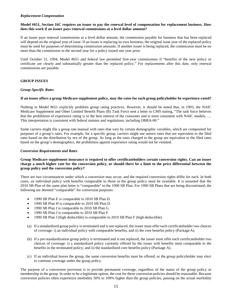# *Replacement Compensation*

# **Model #651, Section 16C requires an issuer to pay the renewal level of compensation for replacement business. How does this work if an issuer pays renewal commissions at a level dollar amount?**

If an issuer pays renewal commissions as a level dollar amount, the commission payable for business that has been replaced will depend on the original year of issue. If an issuer is replacing its own business, the original issue year of the replaced policy must be used for purposes of determining commission amounts. If another issuer is being replaced, the commission must be no more than the commission in the second year for a policy issued one year prior.

Until October 31, 1994, Model #651 and federal law permitted first-year commissions if "benefits of the new policy or certificate are clearly and substantially greater than the replaced policy." For replacements after this date, only renewal commissions are payable.

# <span id="page-18-0"></span>**GROUP ISSUES**

# *Group-Specific Rates*

# **If an issuer offers a group Medicare supplement policy, may the rates for each group policyholder be experience-rated?**

Nothing in Model #651 explicitly prohibits group rating practices. However, it should be noted that, in 1993, the NAIC Medicare Supplement and Other Limited Benefit Plans (B) Task Force sent a letter to CMS stating, "The task force believes that the prohibition of experience rating is in the best interest of the consumer and is most consistent with NAIC models. … This interpretation is consistent with federal statutes and regulations, including OBRA-90."

Some carriers might file a group rate manual with rates that vary by certain demographic variables, which are composited for purposes of a group's rates. For example, for a specific group, carriers might use unisex rates that are equivalent to the filed rates based on the distribution by sex of the group. As long as the rates charged to the group are equivalent to the filed rates based on the group's demographics, the prohibition against experience rating would not be violated.

## *Conversion Requirements and Rates*

# **Group Medicare supplement insurance is required to offer certificateholders certain conversion rights. Can an issuer charge a much higher rate for the conversion policy, or should there be a limit to the price differential between the group policy and the conversion policy?**

There are two circumstances under which a conversion may occur, and the required conversion rights differ for each. In both cases, an individual policy with benefits comparable to those in the group policy must be available. It is assumed that the 2010 SB Plan of the same plan letter is "comparable" to the 1990 SB Plan. For 1990 SB Plans that are being discontinued, the following are deemed "comparable" for conversion purposes:

- 1990 SB Plan E is comparable to 2010 SB Plan D.
- 1990 SB Plan H is comparable to 2010 SB Plan D.
- 1990 SB Plan I is comparable to 2010 SB Plan G.
- 1990 SB Plan J is comparable to 2010 SB Plan F.
- 1990 SB Plan J (high deductible) is comparable to 2010 SB Plan F (high deductible).
- (a) If a standardized group policy is terminated and is not replaced, the issuer must offer each certificateholder two choices of coverage: i) an individual policy with comparable benefits; and ii) the core benefits policy (Package A).
- (b) If a pre-standardization group policy is terminated and is not replaced, the issuer must offer each certificateholder two choices of coverage: i) a standardized policy currently offered by the issuer with benefits most comparable to the benefits in the terminated policy; and ii) the standardized core benefits policy (Package A).
- (c) If an individual leaves the group, the same conversion benefits must be offered, or the group policyholder may elect to continue coverage under the group policy.

The purpose of a conversion provision is to provide permanent coverage, regardless of the status of the group policy or membership in the group. In order to be a legitimate option, the cost for these conversion policies should be reasonable. Because conversion policies often experience morbidity 50% to 100% higher than the group policies, passing on the actual morbidity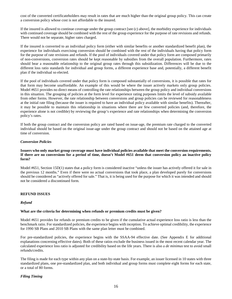cost of the converted certificateholders may result in rates that are much higher than the original group policy. This can create a conversion policy whose cost is not affordable to the insured.

If the insured is allowed to continue coverage under the group contract [see (c) above], the morbidity experience for individuals with continued coverage should be combined with the rest of the group experience for the purpose of rate revisions and refunds. There would not be separate, higher rates charged.

If the insured is converted to an individual policy form (either with similar benefits or another standardized benefit plan), the experience for individuals exercising conversion should be combined with the rest of the individuals having that policy form for the purpose of rate revisions and refunds. If the pool of individuals covered under that policy form are composed primarily of non-conversions, conversion rates should be kept reasonable by subsidies from the overall population. Furthermore, rates should bear a reasonable relationship to the original group rates through this subsidization. Differences will be due to the different loss ratio standards for individual and group forms, a different experience base and, potentially, a different benefit plan if the individual so elected.

If the pool of individuals covered under that policy form is composed substantially of conversions, it is possible that rates for that form may become unaffordable. An example of this would be where the issuer actively markets only group policies. Model #651 provides no direct means of controlling the rate relationships between the group policy and individual conversions in this situation. The grouping of policies at the form level for experience rating purposes limits the level of subsidy available from other forms. However, the rate relationship between conversions and group policies can be reviewed for reasonableness at the initial rate filing (because the issuer is required to have an individual policy available with similar benefits). Thereafter, it may be possible to maintain this relationship in situations where there are few converted policies (and, therefore, the experience alone is not credible) by reviewing the group's experience and rate relationships when determining the conversion policy's rates.

If both the group contract and the conversion policy are rated based on issue-age, the premium rate charged to the converted individual should be based on the original issue-age under the group contract and should not be based on the attained age at time of conversion.

# *Conversion Policies*

# **Issuers who only market group coverage must have individual policies available that meet the conversion requirements. If there are no conversions for a period of time, doesn't Model #651 deem that conversion policy an inactive policy form?**

Model #651, Section 15D(1) states that a policy form is considered inactive "unless the issuer has actively offered it for sale in the previous 12 months." Even if there were no actual conversions that took place, a plan developed purely for conversions should be considered as "actively offered for sale." That is, it is being used for the purpose for which it was intended and should not be considered a discontinued form.

# <span id="page-19-0"></span>**REFUND ISSUES**

#### *Refund*

#### **What are the criteria for determining when refunds or premium credits must be given?**

Model #651 provides for refunds or premium credits to be given if the cumulative actual experience loss ratio is less than the benchmark ratio. For standardized policies, the experience begins with inception. To achieve optimal credibility, the experience for 1990 SB Plans and 2010 SB Plans with the same plan letter must be combined.

For pre-standardized policies, the experience begins with the SSAA-94 effective date. (See Appendix E for additional explanations concerning effective dates). Both of these ratios exclude the business issued in the most recent calendar year. The calculated experience loss ratio is adjusted for credibility based on the life years. There is also a *de minimus* test to avoid small refunds/credits.

The filing is made for each type within any plan on a state-by-state basis. For example, an issuer licensed in 10 states with three standardized plans, one pre-standardized plan, and both individual and group forms must complete eight forms for each state, or a total of 80 forms.

# *Filing Timing*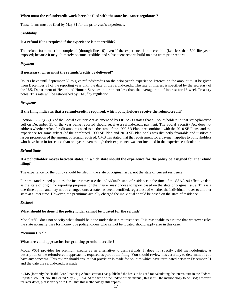# **When must the refund/credit worksheets be filed with the state insurance regulators?**

These forms must be filed by May 31 for the prior year's experience.

# *Credibility*

## **Is a refund filing required if the experience is not credible?**

The refund form must be completed (through line 10) even if the experience is not credible (i.e., less than 500 life years exposed) because it may ultimately become credible, and subsequent reports build on data from prior reports.

# *Payment*

## **If necessary, when must the refunds/credits be delivered?**

Issuers have until September 30 to give refunds/credits on the prior year's experience. Interest on the amount must be given from December 31 of the reporting year until the date of the refund/credit. The rate of interest is specified by the secretary of the U.S. Department of Health and Human Services at a rate not less than the average rate of interest for 13-week Treasury notes. This rate will be established by  $CMS<sup>1</sup>$  $CMS<sup>1</sup>$  $CMS<sup>1</sup>$  by regulation.

# *Recipients*

# **If the filing indicates that a refund/credit is required, which policyholders receive the refund/credit?**

Section  $1882(r)(2)(B)$  of the Social Security Act as amended by OBRA-90 states that all policyholders in that state/plan/type cell on December 31 of the year being reported should receive a refund/credit payment. The Social Security Act does not address whether refund/credit amounts need to be the same if the 1990 SB Plans are combined with the 2010 SB Plans, and the experience for some subset (of the combined 1990 SB Plan and 2010 SB Plan pool) was distinctly favorable and justifies a larger proportion of the amount of refund required. CMS has stated that the requirement for a payment applies to policyholders who have been in force less than one year, even though their experience was not included in the experience calculation.

## *Refund State*

# **If a policyholder moves between states, in which state should the experience for the policy be assigned for the refund filing?**

The experience for the policy should be filed in the state of original issue, not the state of current residence.

For pre-standardized policies, the insurer may use the individual's state of residence at the time of the SSAA-94 effective date as the state of origin for reporting purposes, or the insurer may choose to report based on the state of original issue. This is a one-time option and may not be changed once a state has been identified, regardless of whether the individual moves to another state at a later time. However, the premiums actually charged the individual should be based on the state of residence.

#### *Escheat*

# **What should be done if the policyholder cannot be located for the refund?**

Model #651 does not specify what should be done under these circumstances. It is reasonable to assume that whatever rules the state normally uses for money due policyholders who cannot be located should apply also in this case.

# *Premium Credit*

# **What are valid approaches for granting premium credits?**

Model #651 provides for premium credits as an alternative to cash refunds. It does not specify valid methodologies. A description of the refund/credit approach is required as part of the filing. You should review this carefully to determine if you have any concerns. This review should ensure that provision is made for policies which have terminated between December 31 and the date the refund/credit is made.

<span id="page-20-0"></span> <sup>1</sup> CMS (formerly the Health Care Financing Administration) has published the basis to be used for calculating the interest rate in the *Federal Register*, Vol. 59, No. 100, dated May 25, 1994. At the time of the update of this manual, this is still the methodology to be used; however, for later dates, please verify with CMS that this methodology still applies.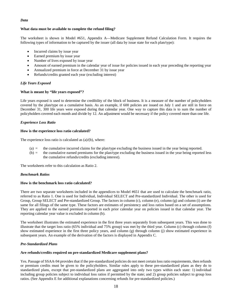# *Data*

# **What data must be available to complete the refund filing?**

The worksheet is shown in Model #651, Appendix A—Medicare Supplement Refund Calculation Form. It requires the following types of information to be captured by the issuer (all data by issue state for each plan/type):

- Incurred claims by issue year
- Earned premium by issue year
- Number of lives exposed by issue year
- Amount of earned premium in the calendar year of issue for policies issued in each year preceding the reporting year
- Annualized premium in force at December 31 by issue year
- Refunds/credits granted each year (excluding interest)

# *Life Years Exposed*

# **What is meant by "life years exposed"?**

Life years exposed is used to determine the credibility of the block of business. It is a measure of the number of policyholders covered by the plan/type on a cumulative basis. As an example, if 600 policies are issued on July 1 and are still in force on December 31, 300 life years were exposed during that calendar year. One way to capture this data is to sum the number of policyholders covered each month and divide by 12. An adjustment would be necessary if the policy covered more than one life.

# *Experience Loss Ratio*

# **How is the experience loss ratio calculated?**

The experience loss ratio is calculated as (a)/(b), where:

- (a) = the cumulative incurred claims for the plan/type excluding the business issued in the year being reported.
- (b) = the cumulative earned premiums for the plan/type excluding the business issued in the year being reported less the cumulative refunds/credits (excluding interest).

The worksheets refer to this calculation as Ratio 2.

#### *Benchmark Ratios*

# **How is the benchmark loss ratio calculated?**

There are two separate worksheets included in the appendices to Model #651 that are used to calculate the benchmark ratio, referred to as Ratio 1. One is used for Individual, Individual SELECT and Pre-standardized Individual. The other is used for Group, Group SELECT and Pre-standardized Group. The factors in column (c), column (e), column (g) and column (i) are the same for all filings of the same type. These factors are estimates of persistency and loss ratios based on a set of assumptions. They are applied to the earned premium reported in each prior calendar year on policies issued in that calendar year. The reporting calendar year value is excluded in column (b).

The worksheet illustrates the estimated experience in the first three years separately from subsequent years. This was done to illustrate that the target loss ratio (65% individual and 75% group) was met by the third year. Column (c) through column (f) show estimated experience in the first three policy years, and column (g) through column (j) show estimated experience in subsequent years. An example of the derivation of the factors is displayed in Appendix C.

# *Pre-Standardized Plans*

# **Are refunds/credits required on pre-standardized Medicare supplement plans?**

Yes. Passage of SSAA-94 provides that if the pre-standardized policies do not meet certain loss ratio requirements, then refunds or premium credits must be given to the policyholders. Similar rules apply to these pre-standardized plans as they do to standardized plans, except that pre-standardized plans are aggregated into only two types within each state: 1) individual including group policies subject to individual loss ratios if permitted by the state; and 2) group policies subject to group loss ratios. (See Appendix E for additional explanations concerning refunds for pre-standardized policies.)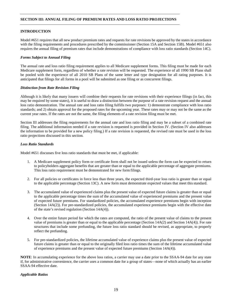# **SECTION III: ANNUAL FILING OF PREMIUM RATES AND LOSS RATIO PROJECTIONS**

# <span id="page-22-0"></span>**INTRODUCTION**

Model #651 requires that all new product premium rates and requests for rate revisions be approved by the states in accordance with the filing requirements and procedures prescribed by the commissioner (Section 15A and Section 15B). Model #651 also requires the annual filing of premium rates that include demonstrations of compliance with loss ratio standards (Section 14C).

## *Forms Subject to Annual Filing*

The annual rate and loss ratio filing requirement applies to all Medicare supplement forms. This filing must be made for each Medicare supplement form, regardless of whether a rate revision will be requested. The experience of all 1990 SB Plans shall be pooled with the experience of all 2010 SB Plans of the same letter and type designation for all rating purposes. It is anticipated that filings for all forms in a pool will be submitted as one filing or as concurrent filings.

#### *Distinction from Rate Revision Filing*

Although it is likely that many issuers will combine their requests for rate revisions with their experience filings (in fact, this may be required by some states), it is useful to draw a distinction between the purpose of a rate revision request and the annual loss ratio demonstration. The annual rate and loss ratio filing fulfills two purposes: 1) demonstrate compliance with loss ratio standards; and 2) obtain approval for the proposed rates for the upcoming year. These rates may or may not be the same as the current year rates. If the rates are not the same, the filing elements of a rate revision filing must be met.

Section III addresses the filing requirements for the annual rate and loss ratio filing and may be a subset of a combined rate filing. The additional information needed if a rate revision is requested is provided in Section IV. (Section IV also addresses the information to be provided for a new policy filing.) If a rate revision is requested, the revised rate must be used in the loss ratio projections discussed in this section.

# *Loss Ratio Standards*

Model #651 discusses five loss ratio standards that must be met, if applicable:

- 1. A Medicare supplement policy form or certificate form shall not be issued unless the form can be expected to return to policyholders aggregate benefits that are greater than or equal to the applicable percentage of aggregate premiums. This loss ratio requirement must be demonstrated for new formfilings.
- 2. For all policies or certificates in force less than three years, the expected third-year loss ratio is greater than or equal to the applicable percentage (Section 13C). A new form must demonstrate expected values that meet thisstandard.
- 3. The accumulated value of experienced claims plus the present value of expected future claims is greater than or equal to the applicable percentage times the sum of the accumulated value of experienced premiums and the present value of expected future premiums. For standardized policies, the accumulated experience premiums begin with inception (Section 14A(2)). For pre-standardized policies, the accumulated experience premiums begin with the effective date of the state's revised regulation (Section 14A(4)).
- 4. Over the entire future period for which the rates are computed, the ratio of the present value of claims to the present value of premiums is greater than or equal to the applicable percentage (Section 14A(2) and Section 14A(4)). For rate structures that include some prefunding, the future loss ratio standard should be revised, as appropriate, to properly reflect the prefunding.
- 5. For pre-standardized policies, the lifetime accumulated value of experience claims plus the present value of expected future claims is greater than or equal to the originally filed loss ratio times the sum of the lifetime accumulated value of experience premiums and the present value of expected future premiums (Section 14A(4)).

**NOTE**: In accumulating experience for the above loss ratios, a carrier may use a date prior to the SSAA-94 date for any state if, for administrative convenience, the carrier uses a common date for a group of states—none of which actually has an earlier SSAA-94 effective date.

#### *Applicable Ratios*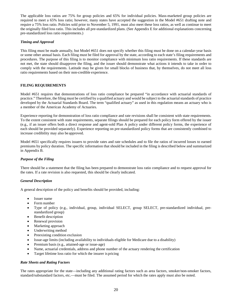The applicable loss ratios are 75% for group policies and 65% for individual policies. Mass-marketed group policies are required to meet a 65% loss ratio; however, many states have accepted the suggestion in the Model #651 drafting note and require a 75% loss ratio. Policies sold prior to November 5, 1991, must also meet these loss ratios, as well as continue to meet the originally filed loss ratio. This includes all pre-standardized plans. (See Appendix E for additional explanations concerning pre-standardized loss ratio requirements.)

# *Timing and Approval*

This filing must be made annually, but Model #651 does not specify whether this filing must be done on a calendar-year basis or some other annual basis. Each filing must be filed for approval by the state, according to each state's filing requirements and procedures. The purpose of this filing is to monitor compliance with minimum loss ratio requirements. If these standards are not met, the state should disapprove the filing, and the issuer should demonstrate what actions it intends to take in order to comply with the requirements. Latitude may be given for small blocks of business that, by themselves, do not meet all loss ratio requirements based on their non-credible experience.

# <span id="page-23-0"></span>**FILING REQUIREMENTS**

Model #651 requires that demonstrations of loss ratio compliance be prepared "in accordance with actuarial standards of practice." Therefore, the filing must be certified by a qualified actuary and would be subject to the actuarial standards of practice developed by the Actuarial Standards Board. The term "qualified actuary" as used in this regulation means an actuary who is a member of the American Academy of Actuaries.

Experience reporting for demonstration of loss ratio compliance and rate revisions shall be consistent with state requirements. To the extent consistent with state requirements, separate filings should be prepared for each policy form offered by the issuer (e.g., if an issuer offers both a direct response and agent-sold Plan A policy under different policy forms, the experience of each should be provided separately). Experience reporting on pre-standardized policy forms that are consistently combined to increase credibility may also be approved.

Model #651 specifically requires issuers to provide rates and rate schedules and to file the ratios of incurred losses to earned premiums by policy duration. The specific information that should be included in the filing is described below and summarized in Appendix B.

# *Purpose of the Filing*

There should be a statement that the filing has been prepared to demonstrate loss ratio compliance and to request approval for the rates. If a rate revision is also requested, this should be clearly indicated.

# *General Description*

A general description of the policy and benefits should be provided, including:

- Issuer name
- Form number
- Type of policy (e.g., individual, group, individual SELECT, group SELECT, pre-standardized individual, prestandardized group)
- Benefit description
- Renewal provision
- Marketing approach
- Underwriting method
- Preexisting condition exclusion
- Issue-age limits (including availability to individuals eligible for Medicare due to a disability)
- Premium basis (e.g., attained-age or issue-age)
- Name, actuarial credentials, address and phone number of the actuary rendering the certification
- Target lifetime loss ratio for which the insurer is pricing

# *Rate Sheets and Rating Factors*

The rates appropriate for the state—including any additional rating factors such as area factors, smoker/non-smoker factors, standard/substandard factors, etc.—must be filed. The assumed period for which the rates apply must also be noted.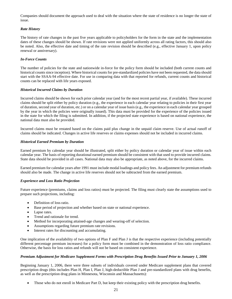Companies should document the approach used to deal with the situation where the state of residence is no longer the state of issue.

# *Rate History*

The history of rate changes in the past five years applicable to policyholders for the form in the state and the implementation dates of these changes should be shown. If rate revisions were not applied uniformly across all rating factors, this should also be noted. Also, the effective date and timing of the rate revision should be described (e.g., effective January 1, upon policy renewal or anniversary).

# *In-Force Counts*

The number of policies for the state and nationwide in-force for the policy form should be included (both current counts and historical counts since inception). Where historical counts for pre-standardized policies have not been requested, the data should start with the SSAA-94 effective date. For use in comparing data with that reported for refunds, current counts and historical counts can be replaced with life years exposed.

# *Historical Incurred Claims by Duration*

Incurred claims should be shown for each prior calendar year (and for the most recent partial year, if available). These incurred claims should be split either by policy duration (e.g., the experience in each calendar year relating to policies in their first year of duration, second year of duration, etc.) or on a calendar year of issue basis (e.g., the experience in each calendar year grouped by the year in which the policies were originally issued). This data must be provided for the experience of the policies issued in the state for which the filing is submitted. In addition, if the projected state experience is based on national experience, the national data must also be provided.

Incurred claims must be restated based on the claims paid plus change in the unpaid claim reserve. Use of actual runoff of claims should be indicated. Changes in active life reserves or claims expenses should not be included in incurred claims.

# *Historical Earned Premium by Duration*

Earned premium by calendar year should be illustrated, split either by policy duration or calendar year of issue within each calendar year. The basis of reporting durational earned premium should be consistent with that used to provide incurred claims. State data should be provided in all cases. National data may also be appropriate, as noted above, for the incurred claims.

Earned premium for calendar years after 1991 must include modal loadings and policy fees. An adjustment for premium refunds should also be made. The change in active life reserves should not be subtracted from the earned premium.

# *Experience and Loss Ratio Projection*

Future experience (premiums, claims and loss ratios) must be projected. The filing must clearly state the assumptions used to prepare such projections, including:

- Definition of loss ratio.
- Base period of projection and whether based on state or national experience.
- Lapse rates.
- Trend and rationale for trend.
- Method for incorporating attained-age changes and wearing-off of selection.
- Assumptions regarding future premium rate revisions.
- Interest rates for discounting and accumulating.

One implication of the availability of two options of Plan F and Plan J is that the respective experience (including potentially different percentage premium increases) for a policy form must be combined in the demonstration of loss ratio compliance. Otherwise, the basis for loss ratios and refunds will not be based on consistent experience.

# *Premium Adjustment for Medicare Supplement Forms with Prescription Drug Benefits Issued Prior to January 1, 2006*

Beginning January 1, 2006, there were three subsets of individuals covered under Medicare supplement plans that covered prescription drugs (this includes Plan H, Plan I, Plan J, high-deductible Plan J and pre-standardized plans with drug benefits, as well as the prescription drug plans in Minnesota, Wisconsin and Massachusetts):

• Those who do not enroll in Medicare Part D, but keep their existing policy with the prescription drug benefits.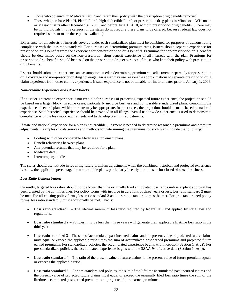- Those who do enroll in Medicare Part D and retain their policy with the prescription drug benefits removed.
- Those who purchase Plan H, Plan I, Plan J, high deductible Plan J, or prescription drug plans in Minnesota, Wisconsin or Massachusetts after December 31, 2005, and before June 1, 2010, without prescription drug benefits. (There may be no individuals in this category if the states do not require these plans to be offered, because federal law does not require issuers to make these plans available.)

Experience for all subsets of insureds covered under each standardized plan must be combined for purposes of demonstrating compliance with the loss ratio standards. For purposes of determining premium rates, issuers should separate experience for prescription drug benefits from the experience for non-prescription drug benefits. Premiums for non-prescription drug benefits should be determined based on the non**-**prescription drug benefit experience of all insureds with the plan. Premiums for prescription drug benefits should be based on the prescription drug experience of those who kept their policy with prescription drug benefits.

Issuers should submit the experience and assumptions used in determining premium rate adjustments separately for prescription drug coverage and non-prescription drug coverage. An issuer may use reasonable approximations to separate prescription drug claim experience from other claims experience, if such experience is not obtainable for incurral dates prior to January 1, 2006.

# *Non-credible Experience and Closed Blocks*

If an issuer's statewide experience is not credible for purposes of projecting expected future experience, the projection should be based on a larger block. In some cases, particularly in-force business and comparable standardized plans, combining the experience of several plans within the state may be appropriate. In other cases, the projection should be made based on national experience. State historical experience should be provided in all filings, even if nationwide experience is used to demonstrate compliance with the loss ratio requirements and to develop premiumadjustments.

If state and national experience for a plan is not credible, judgment is needed to determine reasonable premiums and premium adjustments. Examples of data sources and methods for determining the premiums for such plans include the following:

- Pooling with other comparable Medicare supplement plans.
- Benefit relativities between plans.
- Any potential refunds that may be required for a plan.
- Medicare data.
- Intercompany studies.

The states should use latitude in requiring future premium adjustments when the combined historical and projected experience is below the applicable percentage for non-credible plans, particularly in early durations or for closed blocks of business.

# *Loss Ratio Demonstration*

Currently, targeted loss ratios should not be lower than the originally filed anticipated loss ratios unless explicit approval has been granted by the commissioner. For policy forms with in-force in durations of three years or less, loss ratio standard 2 must be met. For all existing policy forms, loss ratio standard 3 and loss ratio standard 4 must be met. For pre-standardized policy forms, loss ratio standard 5 must additionally be met. That is:

- Loss ratio standard 1 The lifetime minimum loss ratio required by federal law and applied by state laws and regulations.
- Loss ratio standard 2 Policies in force less than three years will generate their applicable lifetime loss ratio in the third year.
- Loss ratio standard  $3$  The sum of accumulated past incurred claims and the present value of projected future claims must equal or exceed the applicable ratio times the sum of accumulated past earned premiums and projected future earned premiums. For standardized policies, the accumulated experience begins with inception (Section 14A(2)). For pre-standardized policies, the accumulated experience begins with the SSAA-94 effective date (Section 14A(4)).
- **Loss ratio standard 4** The ratio of the present value of future claims to the present value of future premium equals or exceeds the applicable ratio.
- **Loss ratio standard 5** For pre-standardized policies, the sum of the lifetime accumulated past incurred claims and the present value of projected future claims must equal or exceed the originally filed loss ratio times the sum of the lifetime accumulated past earned premiums and projected future earned premiums.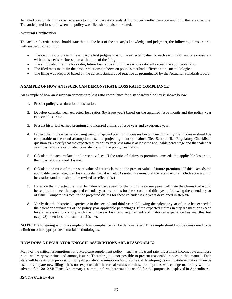As noted previously, it may be necessary to modify loss ratio standard 4 to properly reflect any prefunding in the rate structure. The anticipated loss ratio when the policy was filed should also be stated.

# *Actuarial Certification*

The actuarial certification should state that, to the best of the actuary's knowledge and judgment, the following items are true with respect to the filing:

- The assumptions present the actuary's best judgment as to the expected value for each assumption and are consistent with the issuer's business plan at the time of the filing.
- The anticipated lifetime loss ratio, future loss ratios and third-year loss ratio all exceed the applicable ratio.
- The filed rates maintain the proper relationship between policies that had different rating methodologies.
- The filing was prepared based on the current standards of practice as promulgated by the Actuarial Standards Board.

# <span id="page-26-0"></span>**A SAMPLE OF HOW AN ISSUER CAN DEMONSTRATE LOSS RATIO COMPLIANCE**

An example of how an issuer can demonstrate loss ratio compliance for a standardized policy is shown below:

- 1. Present policy year durational lossratios.
- 2. Develop calendar year expected loss ratios (by issue year) based on the assumed issue month and the policy year expected loss ratio.
- 3. Present historical earned premium and incurred claims by issue year and experience year.
- 4. Project the future experience using trend. Projected premium increases beyond any currently filed increase should be comparable to the trend assumptions used in projecting incurred claims. (See Section III, "Regulatory Checklist," question #4.) Verify that the expected third policy year loss ratio is at least the applicable percentage and that calendar year loss ratios are calculated consistently with the policy yearratios.
- 5. Calculate the accumulated and present values. If the ratio of claims to premiums exceeds the applicable loss ratio, then loss ratio standard 3 is met.
- 6. Calculate the ratio of the present value of future claims to the present value of future premiums. If this exceeds the applicable percentage, then loss ratio standard 4 is met. (As noted previously, if the rate structure includes prefunding, loss ratio standard 4 should be revised to reflect this.)
- 7. Based on the projected premium by calendar issue year for the prior three issue years, calculate the claims that would be required to meet the expected calendar year loss ratios for the second and third years following the calendar year of issue. Compare this total to the projected claims for these calendar issue years developed in step #4.
- 8. Verify that the historical experience in the second and third years following the calendar year of issue has exceeded the calendar equivalents of the policy year applicable percentages. If the expected claims in step #7 meet or exceed levels necessary to comply with the third-year loss ratio requirement and historical experience has met this test (step #8), then loss ratio standard 2 is met.

**NOTE**: The foregoing is only a sample of how compliance can be demonstrated. This sample should not be considered to be a limit on other appropriate actuarial methodologies.

# <span id="page-26-1"></span>**HOW DOES A REGULATOR KNOW IF ASSUMPTIONS ARE REASONABLE?**

Many of the critical assumptions for a Medicare supplement policy—such as the trend rate, investment income rate and lapse rate—will vary over time and among issuers. Therefore, it is not possible to present reasonable ranges in this manual. Each state will have its own process for compiling critical assumptions for purposes of developing its own database that can then be used to compare new filings. It is not expected that historical values for these assumptions will change materially with the advent of the 2010 SB Plans. A summary assumption form that would be useful for this purpose is displayed in Appendix A.

# *Relative Costs by Age*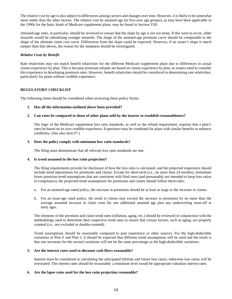The relative cost by age is also subject to differences among carriers and changes over time. However, it is likely to be somewhat more stable than the other factors. The relative cost by attained age (in five-year age groups), as may have been applicable in the 1990s for the basic kinds of Medicare supplement plans, may be found in Section VIII.

Attained-age rates, in particular, should be reviewed to ensure that the slope by age is not too steep. If this were to occur, older insureds would be subsidizing younger insureds. The shape of the attained-age premium curve should be comparable to the shape of the ultimate claim cost curve. Differences from the slope could be expected. However, if an issuer's slope is much steeper than that shown, the reason for the steepness should be investigated.

# *Relative Costs by Benefit*

Rate relativities may not match benefit relativities for the different Medicare supplement plans due to differences in actual claims experience by plan. This is because premium refunds are based on claims experience by plan, so issuers need to consider this experience in developing premium rates. However, benefit relativities should be *considered* in determining rate relativities, particularly for plans without credible experience.

# <span id="page-27-0"></span>**REGULATORY CHECKLIST**

The following items should be considered when reviewing these policy forms:

# **1. Has all the information outlined above been provided?**

# **2. Can rates be compared to those of other plans sold by the insurer to establish reasonableness?**

The logic of the Medicare supplement loss ratio standards, as well as the refund requirement, requires that a plan's rates be based on its own credible experience. Experience may be combined for plans with similar benefits to enhance credibility. (See also item #7.)

# **3. Does the policy comply with minimum loss ratio standards?**

The filing must demonstrate that all relevant loss ratio standards are met.

# **4. Is trend assumed in the loss ratio projection?**

The filing requirements provide for disclosure of how the loss ratio is calculated, and the projected experience should include trend adjustments for premiums and claims. Except for short-term (i.e., no more than 24 months), immediate lower premium trend assumptions that are consistent with filed rates (and presumably are intended to keep loss ratios in compliance), the projected trend assumptions for premiums and claims should follow these rules:

- a. For an attained-age rated policy, the increase in premiums should be at least as large as the increase in claims.
- b. For an issue-age rated policy, the trend in claims may exceed the increase in premiums by no more than the average assumed increase in claim costs for one additional attained age plus any underwriting wear-off at early ages.

The elements of the premium and claim trend rates (inflation, aging, etc.) should be reviewed in conjunction with the methodology used to determine their respective trend rates to ensure that certain factors, such as aging, are properly counted (i.e., not excluded or double-counted).

Trend assumptions should be reasonable compared to past experience or other sources. For the high-deductible variations of Plan F and Plan J, it should be expected that different trend assumptions will be used and the result is that rate increases for the normal variations will not be the same percentage as the high-deductible variations.

#### **5. Are the interest rates used to discount cash flows reasonable?**

Interest must be considered in calculating the anticipated lifetime and future loss ratios, otherwise loss ratios will be overstated. The interest rates should be reasonable; a minimum level would be appropriate valuation interest rates.

#### **6. Are the lapse rates used for the loss ratio projection reasonable?**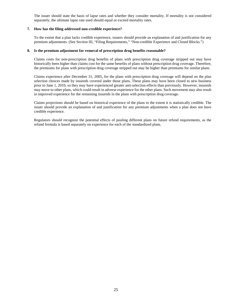The issuer should state the basis of lapse rates and whether they consider mortality. If mortality is not considered separately, the ultimate lapse rate used should equal or exceed mortality rates.

# **7. How has the filing addressed non-credible experience?**

To the extent that a plan lacks credible experience, issuers should provide an explanation of and justification for any premium adjustments. (See Section III, "Filing Requirements," "Non-credible Experience and Closed Blocks.")

# **8. Is the premium adjustment for removal of prescription drug benefits reasonable?**

Claims costs for non-prescription drug benefits of plans with prescription drug coverage stripped out may have historically been higher than claims cost for the same benefits of plans without prescription drug coverage. Therefore, the premiums for plans with prescription drug coverage stripped out may be higher than premiums for similar plans.

Claims experience after December 31, 2005, for the plans with prescription drug coverage will depend on the plan selection choices made by insureds covered under those plans. These plans may have been closed to new business prior to June 1, 2010, so they may have experienced greater anti-selection effects than previously. However, insureds may move to other plans, which could result in adverse experience for the other plans. Such movement may also result in improved experience for the remaining insureds in the plans with prescription drug coverage.

Claims projections should be based on historical experience of the plans to the extent it is statistically credible. The issuer should provide an explanation of and justification for any premium adjustments when a plan does not have credible experience.

Regulators should recognize the potential effects of pooling different plans on future refund requirements, as the refund formula is based separately on experience for each of the standardized plans.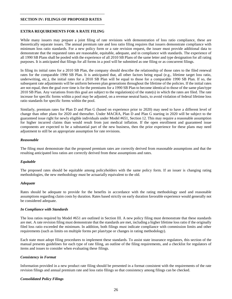#### **SECTION IV: FILINGS OF PROPOSED RATES**

# <span id="page-29-0"></span>**EXTRA REQUIREMENTS FOR A RATE FILING**

While many issuers may prepare a joint filing of rate revisions with demonstration of loss ratio compliance, these are theoretically separate issues. The annual premium rate and loss ratio filing requires that issuers demonstrate compliance with minimum loss ratio standards. For a new policy form or a rate revision request, the issuer must provide additional data to demonstrate that the requested rates are reasonable, equitable, adequate, and in compliance with standards. The experience of all 1990 SB Plans shall be pooled with the experience of all 2010 SB Plans of the same letter and type designation for all rating purposes. It is anticipated that filings for all forms in a pool will be submitted as one filing or as concurrent filings.

In filing its initial rates for a 2010 SB Plan, the company should describe the relationship of those rates to the filed renewal rates for the comparable 1990 SB Plan. It is anticipated that, all other factors being equal (e.g., lifetime target loss ratio, underwriting, etc.), the initial rates for a 2010 SB Plan will be equal to those for a comparable 1990 SB Plan. If so, the subsequent rate adjustments will be uniform between plan generations throughout the lifetime of the policies. If the initial rates are not equal, then the goal over time is for the premiums for a 1990 SB Plan to become identical to those of the same plan/type 2010 SB Plan. Any variations from this goal are subject to the regulation(s) of the state(s) in which the rates are filed. The rate increase for specific forms within a pool may be adjusted, on a revenue neutral basis, to avoid violation of federal lifetime loss ratio standards for specific forms within the pool.

Similarly, premium rates for Plan D and Plan G (based on experience prior to 2020) may need to have a different level of change than other plans for 2020 and thereafter. Under MACRA, Plan D and Plan G starting in 2020 will be subject to the guaranteed issue right for newly eligible individuals under Model #651, Section 12. This may require a reasonable assumption for higher incurred claims than would result from just medical inflation. If the open enrollment and guaranteed issue components are expected to be a substantial part of the new business, then the prior experience for these plans may need adjustment to still be an appropriate assumption for rate revisions.

#### *Reasonable*

The filing must demonstrate that the proposed premium rates are correctly derived from reasonable assumptions and that the resulting anticipated loss ratios are correctly derived from these assumptions and rates.

#### *Equitable*

The proposed rates should be equitable among policyholders with the same policy form. If an issuer is changing rating methodologies, the new methodology must be actuarially equivalent to the old.

#### *Adequate*

Rates should be adequate to provide for the benefits in accordance with the rating methodology used and reasonable assumptions regarding claim costs by duration. Rates based strictly on early duration favorable experience would generally not be considered adequate.

#### *In Compliance with Standards*

The loss ratios required by Model #651 are outlined in Section III. A new policy filing must demonstrate that these standards are met. A rate revision filing must demonstrate that the standards are met, including a higher lifetime loss ratio if the originally filed loss ratio exceeded the minimum. In addition, both filings must indicate compliance with commission limits and other requirements (such as limits on multiple forms per plan/type or changes in rating methodology).

Each state must adopt filing procedures to implement these standards. To assist state insurance regulators, this section of the manual presents guidelines for each type of rate filing, an outline of the filing requirements, and a checklist for regulators of items and issues to consider when evaluating these filings.

# *Consistency in Format*

Information provided in a new product rate filing should be presented in a format consistent with the requirements of the rate revision filings and annual premium rate and loss ratio filings so that consistency among filings can be checked.

#### *Consolidated Policy Filings*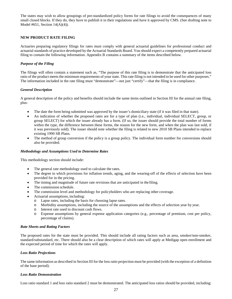The states may wish to allow groupings of pre-standardized policy forms for rate filings to avoid the consequences of many small closed blocks. If they do, they have to publish it in their regulations and have it approved by CMS. (See drafting note to Model #651, Section 14(A)(4)).

# <span id="page-30-0"></span>**NEW PRODUCT RATE FILING**

Actuaries preparing regulatory filings for rates must comply with general actuarial guidelines for professional conduct and actuarial standards of practice developed by the Actuarial Standards Board. You should expect a competently prepared actuarial filing to contain the following information. Appendix B contains a summary of the items described below.

# *Purpose of the Filing*

The filings will often contain a statement such as, "The purpose of this rate filing is to demonstrate that the anticipated loss ratio of the product meets the minimum requirements of your state. This rate filing is not intended to be used for other purposes." The information included in the rate filing must "demonstrate"—not just "certify"—that the filing is in compliance.

# *General Description*

A general description of the policy and benefits should include the same items outlined in Section III for the annual rate filing, plus:

- The date the form being submitted was approved by the issuer's domiciliary state (if it was filed in that state).
- An indication of whether the proposed rates are for a type of plan (i.e., individual, individual SELECT, group, or group SELECT) for which the issuer already has a form. (If so, the issuer should provide the total number of forms within the type, the difference between these forms, the reason for the new form, and when the plan was last sold, if it was previously sold). The issuer should note whether the filing is related to new 2010 SB Plans intended to replace existing 1990 SB Plans.
- The method of group conversion if the policy is a group policy. The individual form number for conversions should also be provided.

#### *Methodology and Assumptions Used to Determine Rates*

This methodology section should include:

- The general rate methodology used to calculate the rates.
- The degree to which provisions for inflation trends, aging, and the wearing-off of the effects of selection have been provided for in the pricing.
- The timing and magnitude of future rate revisions that are anticipated in the filing.
- The commission schedule.
- The commission level and methodology for policyholders who are replacing other coverage.
- Actuarial assumptions, including:
	- o Lapse rates, including the basis for choosing lapse rates.
	- Morbidity assumptions, including the source of the assumptions and the effects of selection year by year.
	- o Interest rate used to discount cash flows.
	- o Expense assumptions by general expense application categories (e.g., percentage of premium, cost per policy, percentage of claims).

#### *Rate Sheets and Rating Factors*

The proposed rates for the state must be provided. This should include all rating factors such as area, smoker/non-smoker, standard/substandard, etc. There should also be a clear description of which rates will apply at Medigap open enrollment and the expected period of time for which the rates will apply.

# *Loss Ratio Projections*

The same information as described in Section III for the loss ratio projection must be provided (with the exception of a definition of the base period).

#### *Loss Ratio Demonstration*

Loss ratio standard 1 and loss ratio standard 2 must be demonstrated. The anticipated loss ratios should be provided, including: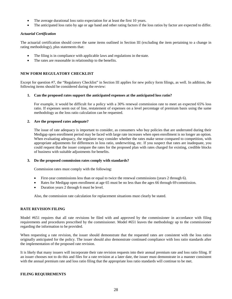- The average durational loss ratio expectation for at least the first 10 years.
- The anticipated loss ratio by age or age band and other rating factors if the loss ratios by factor are expected to differ.

# *Actuarial Certification*

The actuarial certification should cover the same items outlined in Section III (excluding the item pertaining to a change in rating methodology), plus statements that:

- The filing is in compliance with applicable laws and regulations in the state.
- The rates are reasonable in relationship to the benefits.

# <span id="page-31-0"></span>**NEW FORM REGULATORY CHECKLIST**

Except for question #7, the "Regulatory Checklist" in Section III applies for new policy form filings, as well. In addition, the following items should be considered during the review:

#### **1. Can the proposed rates support the anticipated expenses at the anticipated loss ratio?**

For example, it would be difficult for a policy with a 30% renewal commission rate to meet an expected 65% loss ratio. If expenses seem out of line, restatement of expenses on a level percentage of premium basis using the same methodology as the loss ratio calculation can be requested.

#### **2. Are the proposed rates adequate?**

The issue of rate adequacy is important to consider, as consumers who buy policies that are underrated during their Medigap open enrollment period may be faced with large rate increases when open enrollment is no longer an option. When evaluating adequacy, the regulator may consider whether the rates make sense compared to competition, with appropriate adjustments for differences in loss ratio, underwriting, etc. If you suspect that rates are inadequate, you could request that the issuer compare the rates for the proposed plan with rates charged for existing, credible blocks of business with suitable adjustments for benefits.

#### **3. Do the proposed commission rates comply with standards?**

Commission rates must comply with the following:

- First-year commissions less than or equal to twice the renewal commissions (years 2 through 6).
- Rates for Medigap open enrollment at age 65 must be no less than the ages 66 through 69 commission.
- Duration years 2 through 6 must be level.

Also, the commission rate calculation for replacement situations must clearly be stated.

#### <span id="page-31-1"></span>**RATE REVISION FILING**

Model #651 requires that all rate revisions be filed with and approved by the commissioner in accordance with filing requirements and procedures prescribed by the commissioner. Model #651 leaves the methodology up to the commissioner regarding the information to be provided.

When requesting a rate revision, the issuer should demonstrate that the requested rates are consistent with the loss ratios originally anticipated for the policy. The issuer should also demonstrate continued compliance with loss ratio standards after the implementation of the proposed rate revision.

It is likely that many issuers will incorporate their rate revision requests into their annual premium rate and loss ratio filing. If an issuer chooses not to do this and files for a rate revision at a later date, the issuer must demonstrate in a manner consistent with the annual premium rate and loss ratio filing that the appropriate loss ratio standards will continue to be met.

# <span id="page-31-2"></span>**FILING REQUIREMENTS**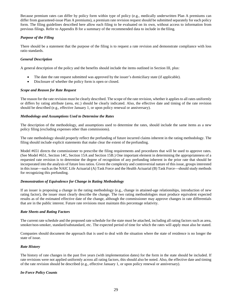Because premium rates can differ by policy form within type of policy (e.g., medically underwritten Plan A premiums can differ from guaranteed-issue Plan A premiums), a premium rate revision request should be submitted separately for each policy form. The filing guidelines described here allow each filing to be evaluated on its own, without access to information from previous filings. Refer to Appendix B for a summary of the recommended data to include in the filing.

# *Purpose of the Filing*

There should be a statement that the purpose of the filing is to request a rate revision and demonstrate compliance with loss ratio standards.

# *General Description*

A general description of the policy and the benefits should include the items outlined in Section III, plus:

- The date the rate request submitted was approved by the issuer's domiciliary state (if applicable).
- Disclosure of whether the policy form is open or closed.

# *Scope and Reason for Rate Request*

The reason for the rate revision must be clearly described. The scope of the rate revision, whether it applies to all rates uniformly or differs by rating attribute (area, etc.) should be clearly indicated. Also, the effective date and timing of the rate revision should be described (e.g., effective January 1, or upon policy renewal or anniversary).

# *Methodology and Assumptions Used to Determine the Rates*

The description of the methodology, and assumptions used to determine the rates, should include the same items as a new policy filing (excluding expenses other than commissions).

The rate methodology should properly reflect the prefunding of future incurred claims inherent in the rating methodology. The filing should include explicit statements that make clear the extent of the prefunding.

Model #651 directs the commissioner to prescribe the filing requirements and procedures that will be used to approve rates. (See Model #651, Section 14C, Section 15A and Section 15B.) One important element in determining the appropriateness of a requested rate revision is to determine the degree of recognition of any prefunding inherent in the prior rate that should be incorporated into the analysis of future loss ratios. Given the complexity and controversial nature of this issue, groups interested in this issue—such as the NAIC Life Actuarial (A) Task Force and the Health Actuarial (B) Task Force—should study methods for recognizing this prefunding.

# *Demonstration of Equivalence for Change in Rating Methodology*

If an issuer is proposing a change in the rating methodology (e.g., change in attained-age relationships, introduction of new rating factor), the issuer must clearly describe the change. The two rating methodologies must produce equivalent expected results as of the estimated effective date of the change, although the commissioner may approve changes in rate differentials that are in the public interest. Future rate revisions must maintain this percentage relativity.

# *Rate Sheets and Rating Factors*

The current rate schedule and the proposed rate schedule for the state must be attached, including all rating factors such as area, smoker/non-smoker, standard/substandard, etc. The expected period of time for which the rates will apply must also be stated.

Companies should document the approach that is used to deal with the situation where the state of residence is no longer the state of issue.

# *Rate History*

The history of rate changes in the past five years (with implementation dates) for the form in the state should be included. If rate revisions were not applied uniformly across all rating factors, this should also be noted. Also, the effective date and timing of the rate revision should be described (e.g., effective January 1, or upon policy renewal or anniversary).

# *In-Force Policy Counts*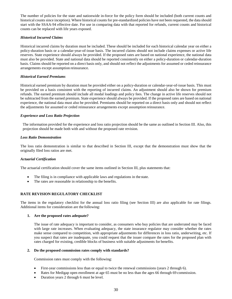The number of policies for the state and nationwide in-force for the policy form should be included (both current counts and historical counts since inception). Where historical counts for pre-standardized policies have not been requested, the data should start with the SSAA-94 effective date. For use in comparing data with that reported for refunds, current counts and historical counts can be replaced with life years exposed.

# *Historical Incurred Claims*

Historical incurred claims by duration must be included. These should be included for each historical calendar year on either a policy-duration basis or a calendar-year-of-issue basis. The incurred claims should not include claims expenses or active life reserves. State experience should always be provided. If the proposed rates are based on national experience, the national data must also be provided. State and national data should be reported consistently on either a policy-duration or calendar-duration basis. Claims should be reported on a direct basis only, and should not reflect the adjustments for assumed or ceded reinsurance arrangements except assumption reinsurance.

# *Historical Earned Premiums*

Historical earned premium by duration must be provided either on a policy-duration or calendar-year-of-issue basis. This must be provided on a basis consistent with the reporting of incurred claims. An adjustment should also be shown for premium refunds. The earned premium should include all modal loadings and policy fees. The change in active life reserves should not be subtracted from the earned premium. State experience should always be provided. If the proposed rates are based on national experience, the national data must also be provided. Premiums should be reported on a direct basis only and should not reflect the adjustments for assumed or ceded reinsurance arrangements except assumption reinsurance.

# *Experience and Loss Ratio Projection*

The information provided for the experience and loss ratio projection should be the same as outlined in Section III. Also, this projection should be made both with and without the proposed rate revision.

# *Loss Ratio Demonstration*

The loss ratio demonstration is similar to that described in Section III, except that the demonstration must show that the originally filed loss ratios are met.

# *Actuarial Certification*

The actuarial certification should cover the same items outlined in Section III, plus statements that:

- The filing is in compliance with applicable laws and regulations in the state.
- The rates are reasonable in relationship to the benefits.

# <span id="page-33-0"></span>**RATE REVISION REGULATORY CHECKLIST**

The items in the regulatory checklist for the annual loss ratio filing (see Section III) are also applicable for rate filings. Additional items for consideration are the following:

#### **1. Are the proposed rates adequate?**

The issue of rate adequacy is important to consider, as consumers who buy policies that are underrated may be faced with large rate increases. When evaluating adequacy, the state insurance regulator may consider whether the rates make sense compared to competition, with appropriate adjustments for differences in loss ratio, underwriting, etc. If you suspect that rates are inadequate, you could request that the issuer compare the rates for the proposed plan with rates charged for existing, credible blocks of business with suitable adjustments for benefits.

#### **2. Do the proposed commission rates comply with standards?**

Commission rates must comply with the following:

- First-year commissions less than or equal to twice the renewal commissions (years 2 through 6).
- Rates for Medigap open enrollment at age 65 must be no less than the ages 66 through 69 commission.
- Duration years 2 through 6 must be level.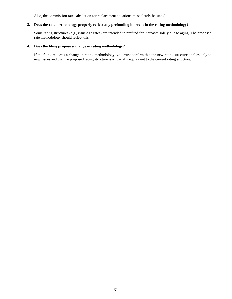Also, the commission rate calculation for replacement situations must clearly be stated.

# **3. Does the rate methodology properly reflect any prefunding inherent in the rating methodology?**

Some rating structures (e.g., issue-age rates) are intended to prefund for increases solely due to aging. The proposed rate methodology should reflect this.

# **4. Does the filing propose a change in rating methodology?**

If the filing requests a change in rating methodology, you must confirm that the new rating structure applies only to new issues and that the proposed rating structure is actuarially equivalent to the current rating structure.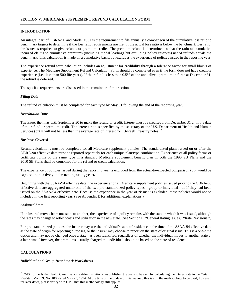# **SECTION V: MEDICARE SUPPLEMENT REFUND CALCULATION FORM**

# <span id="page-35-0"></span>**INTRODUCTION**

An integral part of OBRA-90 and Model #651 is the requirement to file annually a comparison of the cumulative loss ratio to benchmark targets to determine if the loss ratio requirements are met. If the actual loss ratio is below the benchmark loss ratio, the issuer is required to give refunds or premium credits. The premium refund is determined so that the ratio of cumulative incurred claims to cumulative premiums (including modal loadings but excluding policy reserves) net of refunds equals the benchmark. This calculation is made on a cumulative basis, but excludes the experience of policies issued in the reporting year.

The experience refund form calculation includes an adjustment for credibility through a tolerance factor for small blocks of experience. The Medicare Supplement Refund Calculation Form should be completed even if the form does not have credible experience (i.e., less than 500 life years). If the refund is less than 0.5% of the annualized premium in force at December 31, the refund is deferred.

The specific requirements are discussed in the remainder of this section.

# *Filing Date*

The refund calculation must be completed for each type by May 31 following the end of the reporting year.

# *Distribution Date*

The issuer then has until September 30 to make the refund or credit. Interest must be credited from December 31 until the date of the refund or premium credit. The interest rate is specified by the secretary of the U.S. Department of Health and Human Services (but it will not be less than the average rate of interest for 13-week Treasury notes).<sup>[2](#page-35-2)</sup>

# *Business Covered*

Refund calculations must be completed for all Medicare supplement policies. The standardized plans issued on or after the OBRA-90 effective date must be reported separately for each unique plan/type combination. Experience of all policy forms or certificate forms of the same type in a standard Medicare supplement benefit plan in both the 1990 SB Plans and the 2010 SB Plans shall be combined for the refund or credit calculation.

The experience of policies issued during the reporting year is excluded from the actual-to-expected comparison (but would be captured retroactively in the next reporting year).

Beginning with the SSAA-94 effective date, the experience for all Medicare supplement policies issued prior to the OBRA-90 effective date are aggregated under one of the two pre-standardized policy types—group or individual—as if they had been issued on the SSAA-94 effective date. Because the experience in the year of "issue" is excluded, these policies would not be included in the first reporting year. (See Appendix E for additional explanations.)

#### *Assigned State*

If an insured moves from one state to another, the experience of a policy remains with the state in which it was issued, although the rates may change to reflect costs and utilization in the new state. (See Section II, "General Rating Issues," "Rate Revisions.")

For pre-standardized policies, the insurer may use the individual's state of residence at the time of the SSAA-94 effective date as the state of origin for reporting purposes, or the insurer may choose to report on the state of original issue. This is a one-time option and may not be changed once a state has been identified, regardless of whether the individual moves to another state at a later time. However, the premiums actually charged the individual should be based on the state of residence.

# <span id="page-35-1"></span>**CALCULATIONS**

#### *Individual and Group Benchmark Worksheets*

<span id="page-35-2"></span> <sup>2</sup> CMS (formerly the Health Care Financing Administration) has published the basis to be used for calculating the interest rate in the *Federal Register*, Vol. 59, No. 100, dated May 25, 1994. At the time of the update of this manual, this is still the methodology to be used; however, for later dates, please verify with CMS that this methodology still applies.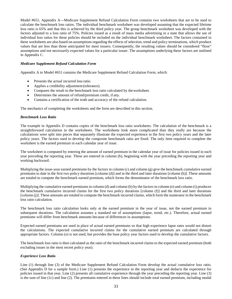Model #651, Appendix A—Medicare Supplement Refund Calculation Form contains two worksheets that are to be used to calculate the benchmark loss ratios. The individual benchmark worksheet was developed assuming that the expected lifetime loss ratio is 65% and that this is achieved by the third policy year. The group benchmark worksheet was developed with the factors adjusted to a loss ratio of 75%. Policies issued as a result of mass media advertising in a state that allows the use of individual loss ratios for these policies should be included on the individual benchmark worksheet. The factors contained in these worksheets are also based on assumptions regarding the effects of selection, trend and policy terminations, which produce values that are less than those anticipated for most issuers. Consequently, the resulting values should be considered "floor" assumptions and not necessarily expected values for a particular issuer. The assumptions underlying these factors are outlined in Appendix C.

# *Medicare Supplement Refund Calculation Form*

Appendix A to Model #651 contains the Medicare Supplement Refund Calculation Form, which:

- Presents the actual incurred loss ratio.
- Applies a credibility adjustment (tolerance).
- Compares the result to the benchmark loss ratio calculated by theworksheet.
- Determines the amount of refund/premium credit, if any.
- Contains a certification of the truth and accuracy of the refund calculation.

The mechanics of completing the worksheets and the form are described in this section.

#### *Benchmark Loss Ratio*

The example in Appendix D contains copies of the benchmark loss ratio worksheets. The calculation of the benchmark is a straightforward calculation in the worksheets. The worksheets look more complicated than they really are because the calculations were split into pieces that separately illustrate the expected experience in the first two policy years and the later policy years. The factors used to develop the composite benchmark ratio are fixed. The only item required to complete the worksheet is the earned premium in each calendar year of issue.

The worksheet is computed by entering the amount of earned premium in the calendar year of issue for policies issued in each year preceding the reporting year. These are entered in column (b), beginning with the year preceding the reporting year and working backward.

Multiplying the issue-year earned premiums by the factors in column (c) and column (g) give the benchmark cumulative earned premiums to date in the first two policy durations [column (d)] and in the third and later durations [column (h)]. These amounts are totaled to compute the benchmark earned premium, which forms the denominator of the benchmark loss ratio.

Multiplying the cumulative earned premiums in column (d) and column (h) by the factors in column (e) and column (i) produces the benchmark cumulative incurred claims for the first two policy durations [column (f)] and the third and later durations [column (j)]. These amounts are totaled to compute the benchmark incurred claims, which form the numerator in the benchmark loss ratio calculation.

The benchmark loss ratio calculation looks only at the earned premium in the year of issue, not the earned premium in subsequent durations. The calculation assumes a standard set of assumptions (lapse, trend, etc.). Therefore, actual earned premiums will differ from benchmark amounts because of differences in assumptions.

Expected earned premiums are used in place of actual earned premiums so that high experience lapse rates would not distort the calculations. The expected cumulative incurred claims for the cumulative earned premium are calculated through appropriate factors. Column (o) is not used, but provides the base policy year factors used to develop the cumulative factors.

The benchmark loss ratio is then calculated as the ratio of the benchmark incurred claims to the expected earned premium (both excluding issues in the most recent policy year).

#### *Experience Loss Ratio*

Line (1) through line (3) of the Medicare Supplement Refund Calculation Form develop the actual cumulative loss ratio. (See Appendix D for a sample form.) Line (1) presents the experience in the reporting year and deducts the experience for policies issued in that year. Line (2) presents all cumulative experience through the year preceding the reporting year. Line (3) is the sum of line (1c) and line (2). The premiums entered in these lines should include total earned premium, including modal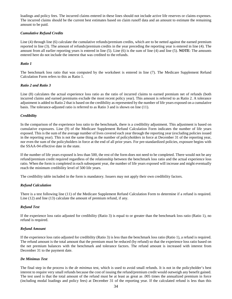loadings and policy fees. The incurred claims entered in these lines should not include active life reserves or claims expenses. The incurred claims should be the current best estimates based on claim runoff data and an amount to estimate the remaining amount to be paid.

# *Cumulative Refund Credits*

Line (4) through line (6) calculate the cumulative refunds/premium credits, which are to be netted against the earned premium reported in line (3). The amount of refunds/premium credits in the year preceding the reporting year is entered in line (4). The amount from all earlier reporting years is entered in line (5). Line (6) is the sum of line (4) and line (5). **NOTE**: The amounts entered here do not include the interest that was credited to the refunds.

## *Ratio 1*

The benchmark loss ratio that was computed by the worksheet is entered in line (7). The Medicare Supplement Refund Calculation Form refers to this as Ratio 1.

#### *Ratio 2 and Ratio 3*

Line (8) calculates the actual experience loss ratio as the ratio of incurred claims to earned premium net of refunds (both incurred claims and earned premiums exclude the most recent policy year). This amount is referred to as Ratio 2. A tolerance adjustment is added to Ratio 2 that is based on the credibility as represented by the number of life years exposed on a cumulative basis. The tolerance-adjusted ratio is referred to as Ratio 3 and is shown on line (11).

# *Credibility*

In the comparison of the experience loss ratio to the benchmark, there is a credibility adjustment. This adjustment is based on cumulative exposures. Line (9) of the Medicare Supplement Refund Calculation Form indicates the number of life years exposed. This is the sum of the average number of lives covered each year through the reporting year (excluding policies issued in the reporting year). This is not the same thing as the number of policyholders in force at December 31 of the reporting year, nor even the sum of the policyholders in force at the end of all prior years. For pre-standardized policies, exposure begins with the SSAA-94 effective date in the state.

If the number of life years exposed is less than 500, the rest of the form does not need to be completed. There would not be any refund/premium credit required regardless of the relationship between the benchmark loss ratio and the actual experience loss ratio. When the form is completed in each subsequent year, the number of life years exposed will increase and might eventually reach the minimum credibility level of 500 life years.

The credibility table included in the form is mandatory. Issuers may not apply their own credibility factors.

#### *Refund Calculation*

There is a test following line (11) of the Medicare Supplement Refund Calculation Form to determine if a refund is required. Line (12) and line (13) calculate the amount of premium refund, if any.

# *Refund Test*

If the experience loss ratio adjusted for credibility (Ratio 3) is equal to or greater than the benchmark loss ratio (Ratio 1), no refund is required.

#### *Refund Amount*

If the experience loss ratio adjusted for credibility (Ratio 3) is less than the benchmark loss ratio (Ratio 1), a refund is required. The refund amount is the total amount that the premium must be reduced (by refund) so that the experience loss ratio based on the net premium balances with the benchmark and tolerance factors. The refund amount is increased with interest from December 31 to the payment date.

#### *De Minimus Test*

The final step in the process is the *de minimus* test, which is used to avoid small refunds. It is not in the policyholder's best interest to require very small refunds because the cost of issuing the refund/premium credit would outweigh any benefit gained. The test used is that the total amount of the refund must be at least as great as .005 times the annualized premium in force (including modal loadings and policy fees) at December 31 of the reporting year. If the calculated refund is less than this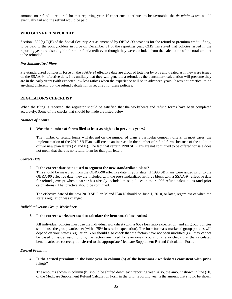amount, no refund is required for that reporting year. If experience continues to be favorable, the *de minimus* test would eventually fail and the refund would be paid.

# <span id="page-38-0"></span>**WHO GETS REFUND/CREDIT**

Section  $1882(r)(2)(B)$  of the Social Security Act as amended by OBRA-90 provides for the refund or premium credit, if any, to be paid to the policyholders in force on December 31 of the reporting year. CMS has stated that policies issued in the reporting year are also eligible for the refund/credit even though they were excluded from the calculation of the total amount to be refunded.

#### *Pre-Standardized Plans*

Pre-standardized policies in force on the SSAA-94 effective date are grouped together by type and treated as if they were issued on the SSAA-94 effective date. It is unlikely that they will generate a refund, as the benchmark calculation will presume they are in the early years (with expected low loss ratios) when the experience will be in advanced years. It was not practical to do anything different, but the refund calculation is required for these policies.

#### <span id="page-38-1"></span>**REGULATOR'S CHECKLIST**

When the filing is received, the regulator should be satisfied that the worksheets and refund forms have been completed accurately. Some of the checks that should be made are listed below:

#### *Number of Forms*

## **1. Was the number of forms filed at least as high as in previous years?**

The number of refund forms will depend on the number of plans a particular company offers. In most cases, the implementation of the 2010 SB Plans will create an increase in the number of refund forms because of the addition of two new plan letters (M and N). The fact that certain 1990 SB Plans are not continued to be offered for sale does not mean that there is no refund form for that plan letter.

#### *Correct Date*

#### **2. Is the correct date being used to segment the new standardized plans?**

This should be measured from the OBRA-90 effective date in your state. If 1990 SB Plans were issued prior to the OBRA-90 effective date, they are included with the pre-standardized in-force block with a SSAA-94 effective date for refunds, except when a carrier has already included these policies in their 1995 refund calculations (and prior calculations). That practice should be continued.

The effective date of the new 2010 SB Plan M and Plan N should be June 1, 2010, or later, regardless of when the state's regulation was changed.

# *Individual versus Group Worksheets*

#### **3. Is the correct worksheet used to calculate the benchmark loss ratios?**

All individual policies must use the individual worksheet (with a 65% loss ratio expectation) and all group policies should use the group worksheet (with a 75% loss ratio expectation). The form for mass-marketed group policies will depend on your state's regulation. You should also check that the factors have not been modified (i.e., they cannot be based on issuer assumptions; the factors are fixed for everyone). You should also check that the calculated benchmarks are correctly transferred to the appropriate Medicare Supplement Refund Calculation Form.

#### *Earned Premium*

#### **4. Is the earned premium in the issue year in column (b) of the benchmark worksheets consistent with prior filings?**

The amounts shown in column (b) should be shifted down each reporting year. Also, the amount shown in line (1b) of the Medicare Supplement Refund Calculation Form in the prior reporting year is the amount that should be shown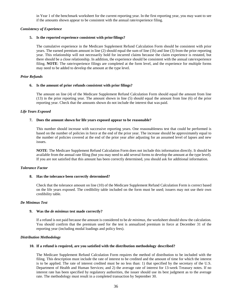in Year 1 of the benchmark worksheet for the current reporting year. In the first reporting year, you may want to see if the amounts shown appear to be consistent with the annual rate/experience filing.

## *Consistency of Experience*

# **5. Is the reported experience consistent with prior filings?**

The cumulative experience in the Medicare Supplement Refund Calculation Form should be consistent with prior years. The earned premium amount in line (2) should equal the sum of line (1b) and line (3) from the prior reporting year. This relationship will not necessarily hold for incurred claims because the claim experience is restated, but there should be a close relationship. In addition, the experience should be consistent with the annual rate/experience filing. **NOTE**: The rate/experience filings are completed at the form level, and the experience for multiple forms may need to be added to develop the amount at the type level.

# *Prior Refunds*

#### **6. Is the amount of prior refunds consistent with prior filings?**

The amount on line (4) of the Medicare Supplement Refund Calculation Form should equal the amount from line (13) in the prior reporting year. The amount shown in line (5) should equal the amount from line (6) of the prior reporting year. Check that the amounts shown do not include the interest that was paid.

# *Life Years Exposed*

# **7. Does the amount shown for life years exposed appear to be reasonable?**

This number should increase with successive reporting years. One reasonableness test that could be performed is based on the number of policies in force at the end of the prior year. The increase should be approximately equal to the number of policies covered at the end of the prior year after adjusting for an assumed level of lapses and new issues.

**NOTE**: The Medicare Supplement Refund Calculation Form does not include this information directly. It should be available from the annual rate filing (but you may need to add several forms to develop the amount at the type level). If you are not satisfied that this amount has been correctly determined, you should ask for additional information.

#### *Tolerance Factor*

#### **8. Has the tolerance been correctly determined?**

Check that the tolerance amount on line (10) of the Medicare Supplement Refund Calculation Form is correct based on the life years exposed. The credibility table included on the form must be used; issuers may not use their own credibility table.

#### *De Minimus Test*

#### **9. Was the** *de minimus* **test made correctly?**

If a refund is not paid because the amount is considered to be *de minimus*, the worksheet should show the calculation. You should confirm that the premium used for the test is annualized premium in force at December 31 of the reporting year (including modal loadings and policy fees).

#### *Distribution Methodology*

#### **10. If a refund is required, are you satisfied with the distribution methodology described?**

The Medicare Supplement Refund Calculation Form requires the method of distribution to be included with the filing. This description must include the rate of interest to be credited and the amount of time for which the interest is to be applied. The rate of interest credited must be no less than: 1) that specified by the secretary of the U.S. Department of Health and Human Services; and 2) the average rate of interest for 13-week Treasury notes. If no interest rate has been specified by regulatory authorities, the issuer should use its best judgment as to the average rate. The methodology must result in a completed transaction by September 30.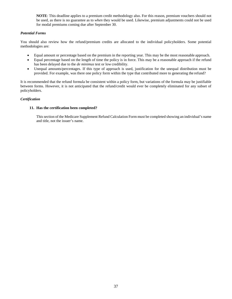**NOTE**: This deadline applies to a premium credit methodology also. For this reason, premium vouchers should not be used, as there is no guarantee as to *when* they would be used. Likewise, premium adjustments could not be used for modal premiums coming due after September 30.

# *Potential Forms*

You should also review how the refund/premium credits are allocated to the individual policyholders. Some potential methodologies are:

- Equal amount or percentage based on the premium in the reporting year. This may be the most reasonable approach.
- Equal percentage based on the length of time the policy is in force. This may be a reasonable approach if the refund has been delayed due to the *de minimus* test or low credibility.
- Unequal amounts/percentages. If this type of approach is used, justification for the unequal distribution must be provided. For example, was there one policy form within the type that contributed more to generating the refund?

It is recommended that the refund formula be consistent within a policy form, but variations of the formula may be justifiable between forms. However, it is not anticipated that the refund/credit would ever be completely eliminated for any subset of policyholders.

# *Certification*

# **11. Has the certification been completed?**

This section of the Medicare Supplement Refund Calculation Form must be completed showing an individual's name and title, not the issuer's name.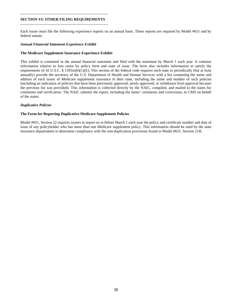# **SECTION VI: OTHER FILING REQUIREMENTS**

Each issuer must file the following experience reports on an annual basis. These reports are required by Model #651 and by federal statute.

## *Annual Financial Statement Experience Exhibit*

## **The Medicare Supplement Insurance Experience Exhibit**

This exhibit is contained in the annual financial statement and filed with the statement by March 1 each year. It contains information relative to loss ratios by policy form and state of issue. The form also includes information to satisfy the requirements of 42 U.S.C. § 1395ss(b)(1)(E). This section of the federal code requires each state to periodically (but at least annually) provide the secretary of the U.S. Department of Health and Human Services with a list containing the name and address of each issuer of Medicare supplement insurance in their state, including the name and number of such policies (including an indication of policies that have been previously approved, newly approved, or withdrawn from approval because the previous list was provided). This information is collected directly by the NAIC, compiled, and mailed to the states for comments and verification. The NAIC submits the report, including the states' comments and corrections, to CMS on behalf of the states.

# *Duplicative Policies*

# **The Form for Reporting Duplicative Medicare Supplement Policies**

Model #651, Section 22 requires issuers to report on or before March 1 each year the policy and certificate number and date of issue of any policyholder who has more than one Medicare supplement policy. This information should be used by the state insurance departments to determine compliance with the non-duplication provisions found in Model #651, Section 21B.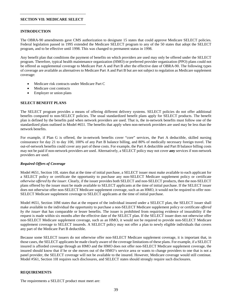#### **SECTION VII: MEDICARE SELECT**

# **INTRODUCTION**

The OBRA-90 amendments gave CMS authorization to designate 15 states that could approve Medicare SELECT policies. Federal legislation passed in 1995 extended the Medicare SELECT program to any of the 50 states that adopt the SELECT program, and to be effective until 1998. This was changed to permanent status in 1998.

Any benefit plan that conditions the payment of benefits on which providers are used may only be offered under the SELECT program. Therefore, typical health maintenance organization (HMO) or preferred provider organization (PPO) plans could not be offered as supplemental coverage to Medicare Part A and Part B after the effective date of OBRA-90. The following types of coverage are available as alternatives to Medicare Part A and Part B but are not subject to regulation as Medicare supplement coverage:

- Medicare risk contracts under Medicare Part C
- Medicare cost contracts
- Employer or union plans

# **SELECT BENEFIT PLANS**

The SELECT program provides a means of offering different delivery systems. SELECT policies do not offer additional benefits compared to non-SELECT policies. The usual standardized benefit plans apply for SELECT products. The benefit plan is defined by the benefits paid when network providers are used. That is, the in-network benefits must follow one of the standardized plans outlined in Model #651. The benefits that apply when non-network providers are used may be less than the network benefits.

For example, if Plan G is offered, the in-network benefits cover "core" services, the Part A deductible, skilled nursing coinsurance for day 21 to day 100, 100% of any Part B balance billing, and 80% of medically necessary foreign travel. The out-of-network benefits could cover any part of these costs. For example, the Part A deductible and Part B balance billing costs may not be paid if non-network providers are used. Alternatively, a SELECT policy may not cover **any** services if non-network providers are used.

## *Required Offers of Coverage*

Model #651, Section 10L states that at the time of initial purchase, a SELECT issuer must make available to each applicant for a SELECT policy or certificate the opportunity to purchase any non-SELECT Medicare supplement policy or certificate *otherwise offered by the issuer*. Clearly, if the issuer provides both SELECT and non-SELECT products, then the non-SELECT plans offered by the issuer must be made available to SELECT applicants at the time of initial purchase. If the SELECT issuer does not otherwise offer non-SELECT Medicare supplement coverage, such as an HMO, it would not be required to offer non-SELECT Medicare supplement coverage to SELECT applicants at the time of initial purchase.

Model #651, Section 10M states that at the request of the individual insured under a SELECT plan, the SELECT issuer shall make available to the individual the opportunity to purchase a non-SELECT Medicare supplement policy or certificate *offered by the issuer* that has comparable or lesser benefits. The issuer is prohibited from requiring evidence of insurability if the request is made within six months after the effective date of the SELECT plan. If the SELECT issuer does not otherwise offer non-SELECT Medicare supplement coverage, such as an HMO, it would not be required to provide non-SELECT Medicare supplement coverage to SELECT insureds. A SELECT policy may not offer a plan to newly eligible individuals that covers any part of the Medicare Part B deductible.

Because some SELECT issuers do not otherwise offer non-SELECT Medicare supplement coverage, it is important that, in those cases, the SELECT applicants be made clearly aware of the coverage limitations of these plans. For example, if a SELECT insured is afforded coverage through an HMO and the HMO does not offer non-SELECT Medicare supplement coverage, the insured should know that if he or she moves out of the HMO's service area or wants to change providers to one that is not a panel provider, the SELECT coverage will not be available to the insured. However, Medicare coverage would still continue. Model #561, Section 10I requires such disclosures, and SELECT states should strongly require such disclosures.

# **REQUIREMENTS**

The requirements a SELECT product must meet are: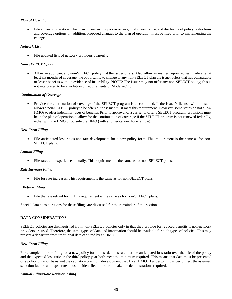# *Plan of Operation*

• File a plan of operation. This plan covers such topics as access, quality assurance, and disclosure of policy restrictions and coverage options. In addition, proposed changes to the plan of operation must be filed prior to implementing the changes.

# *Network List*

File updated lists of network providers quarterly.

# *Non-SELECT Option*

• Allow an applicant any non-SELECT policy that the issuer offers. Also, allow an insured, upon request made after at least six months of coverage, the opportunity to change to any non-SELECT plan the issuer offers that has comparable or lesser benefits without evidence of insurability. **NOTE**: The issuer may not offer any non-SELECT policy; this is not interpreted to be a violation of requirements of Model #651.

# *Continuation of Coverage*

• Provide for continuation of coverage if the SELECT program is discontinued. If the issuer's license with the state allows a non-SELECT policy to be offered, the issuer must meet this requirement. However, some states do not allow HMOs to offer indemnity types of benefits. Prior to approval of a carrier to offer a SELECT program, provisions must be in the plan of operation to allow for the continuation of coverage if the SELECT program is not renewed federally, either with the HMO or outside the HMO (with another carrier, for example).

# *New Form Filing*

• File anticipated loss ratios and rate development for a new policy form. This requirement is the same as for non-SELECT plans.

# *Annual Filing*

• File rates and experience annually. This requirement is the same as for non-SELECT plans.

# *Rate Increase Filing*

• File for rate increases. This requirement is the same as for non-SELECT plans.

# *Refund Filing*

File the rate refund form. This requirement is the same as for non-SELECT plans.

Special data considerations for these filings are discussed for the remainder of this section.

# **DATA CONSIDERATIONS**

SELECT policies are distinguished from non-SELECT policies only in that they provide for reduced benefits if non-network providers are used. Therefore, the same types of data and information should be available for both types of policies. This may present a departure from traditional data captured by an HMO.

# *New Form Filing*

For example, the rate filing for a new policy form must demonstrate that the anticipated loss ratio over the life of the policy and the expected loss ratio in the third policy year both meet the minimum required. This means that data must be presented on a policy duration basis, not the capitation premium development used by an HMO. If underwriting is performed, the assumed selection factors and lapse rates must be identified in order to make the demonstrations required.

# *Annual Filing/Rate Revision Filing*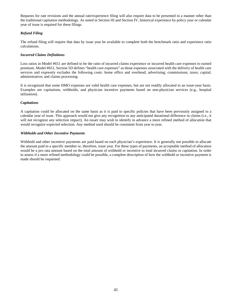Requests for rate revisions and the annual rate/experience filing will also require data to be presented in a manner other than the traditional capitation methodology. As noted in Section III and Section IV, historical experience by policy year or calendar year of issue is required for these filings.

# *Refund Filing*

The refund filing will require that data by issue year be available to complete both the benchmark ratio and experience ratio calculations.

# *Incurred Claims Definitions*

Loss ratios in Model #651 are defined to be the ratio of incurred claims experience or incurred health care expenses to earned premium. Model #651, Section 5D defines "health care expenses" as those expenses associated with the delivery of health care services and expressly excludes the following costs: home office and overhead; advertising; commissions; taxes; capital; administrative; and claims processing.

It is recognized that some HMO expenses are valid health care expenses, but are not readily allocated to an issue-year basis. Examples are capitations, withholds, and physician incentive payments based on non-physician services (e.g., hospital utilization).

# *Capitations*

A capitation could be allocated on the same basis as it is paid to specific policies that have been previously assigned to a calendar year of issue. This approach would not give any recognition to any anticipated durational difference in claims (i.e., it will not recognize any selection impact). An issuer may wish to identify in advance a more refined method of allocation that would recognize expected selection. Any method used should be consistent from year to year.

# *Withholds and Other Incentive Payments*

Withhold and other incentive payments are paid based on each physician's experience. It is generally not possible to allocate the amount paid to a specific member or, therefore, issue year. For these types of payments, an acceptable method of allocation would be a pro rata amount based on the total amount of withhold or incentive to total incurred claims or capitation. In order to assess if a more refined methodology could be possible, a complete description of how the withhold or incentive payment is made should be requested.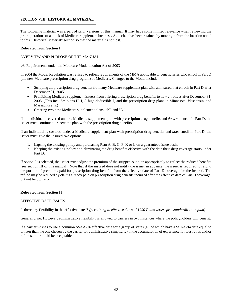# **SECTION VIII: HISTORICAL MATERIAL**

The following material was a part of prior versions of this manual. It may have some limited relevance when reviewing the prior operations of a block of Medicare supplement business. As such, it has been retained by moving it from the location noted to this "Historical Material" section so that the material is not lost.

## **Relocated from Section I**

# OVERVIEW AND PURPOSE OF THE MANUAL

## #6: Requirements under the Medicare Modernization Act of 2003

In 2004 the Model Regulation was revised to reflect requirements of the MMA applicable to beneficiaries who enroll in Part D (the new Medicare prescription drug program) of Medicare. Changes to the Model include:

- Stripping all prescription drug benefits from any Medicare supplement plan with an insured that enrolls in Part D after December 31, 2005.
- Prohibiting Medicare supplement issuers from offering prescription drug benefits to new enrollees after December 31, 2005. (This includes plans H, I, J, high-deductible J, and the prescription drug plans in Minnesota, Wisconsin, and Massachusetts.)
- Creating two new Medicare supplement plans, "K" and "L."

If an individual is covered under a Medicare supplement plan with prescription drug benefits and *does not* enroll in Part D, the issuer must continue to renew the plan with the prescription drug benefits.

If an individual is covered under a Medicare supplement plan with prescription drug benefits and *does* enroll in Part D, the issuer must give the insured two options:

- 1. Lapsing the existing policy and purchasing Plan A, B, C, F, K or L on a guaranteed issue basis.
- 2. Keeping the existing policy and eliminating the drug benefits effective with the date their drug coverage starts under Part D.

If option 2 is selected, the issuer must adjust the premium of the stripped-out plan appropriately to reflect the reduced benefits (see section III of this manual). Note that if the insured does not notify the issuer in advance, the issuer is required to refund the portion of premiums paid for prescription drug benefits from the effective date of Part D coverage for the insured. The refund may be reduced by claims already paid on prescription drug benefits incurred after the effective date of Part D coverage, but not below zero.

# **Relocated from Section II**

# EFFECTIVE DATE ISSUES

Is there any flexibility in the effective dates? *[pertaining to effective dates of 1990 Plans versus pre-standardization plan]*

Generally, no. However, administrative flexibility is allowed to carriers in two instances where the policyholders will benefit.

If a carrier wishes to use a common SSAA-94 effective date for a group of states (all of which have a SSAA-94 date equal to or later than the one chosen by the carrier for administrative simplicity) in the accumulation of experience for loss ratios and/or refunds, this should be acceptable.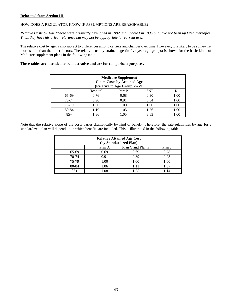# **Relocated from Section III**

# HOW DOES A REGULATOR KNOW IF ASSUMPTIONS ARE REASONABLE?

*Relative Costs by Age [These* were *originally developed in 1992 and updated in 1996 but have not been updated thereafter. Thus, they have historical relevance but may not be appropriate for current use.]*

The relative cost by age is also subject to differences among carriers and changes over time. However, it is likely to be somewhat more stable than the other factors. The relative cost by attained age (in five-year age groups) is shown for the basic kinds of Medicare supplement plans in the following table.

# **These tables are intended to be illustrative and are for comparison purposes.**

| <b>Medicare Supplement</b><br><b>Claim Costs by Attained Age</b><br>(Relative to Age Group 75-79) |          |        |            |         |  |
|---------------------------------------------------------------------------------------------------|----------|--------|------------|---------|--|
|                                                                                                   | Hospital | Part B | <b>SNF</b> | $R_{x}$ |  |
| 65-69                                                                                             | 0.76     | 0.68   | 0.30       | 1.00    |  |
| 70-74                                                                                             | 0.90     | 0.91   | 0.54       | 1.00    |  |
| 75-79                                                                                             | 1.00     | 1.00   | 1.00       | 1.00    |  |
| 80-84                                                                                             | 1.19     | 1.05   | 1.76       | 1.00    |  |
| $85+$                                                                                             | 1.36     | 1.05   | 3.83       | 1.00    |  |

Note that the relative slope of the costs varies dramatically by kind of benefit. Therefore, the rate relativities by age for a standardized plan will depend upon which benefits are included. This is illustrated in the following table.

| <b>Relative Attained Age Cost</b><br>(by Standardized Plan) |        |                   |        |  |  |
|-------------------------------------------------------------|--------|-------------------|--------|--|--|
|                                                             | Plan A | Plan C and Plan F | Plan J |  |  |
| 65-69                                                       | 0.69   | 0.69              | 0.78   |  |  |
| 70-74                                                       | 0.91   | 0.89              | 0.93   |  |  |
| 75-79                                                       | 1.00   | 1.00              | 1.00   |  |  |
| 80-84                                                       | 1.06   | 1.11              | 1.07   |  |  |
| $85+$                                                       | 1.08   | 1.25              | 1.14   |  |  |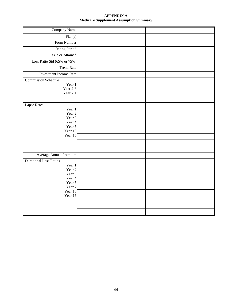# **APPENDIX A Medicare Supplement Assumption Summary**

| <b>Company Name</b>                                                   |  |  |
|-----------------------------------------------------------------------|--|--|
| Plan(s)                                                               |  |  |
| Form Number                                                           |  |  |
| <b>Rating Period</b>                                                  |  |  |
| <b>Issue or Attained</b>                                              |  |  |
| Loss Ratio Std (65% or 75%)                                           |  |  |
| <b>Trend Rate</b>                                                     |  |  |
| <b>Investment Income Rate</b>                                         |  |  |
| <b>Commission Schedule</b><br>Year 1<br><b>Year 2-6</b><br>Year $7 +$ |  |  |
|                                                                       |  |  |
| Lapse Rates<br>Year 1<br>Year 2                                       |  |  |
| Year 3<br>Year 4                                                      |  |  |
| Year 5                                                                |  |  |
| Year 10<br>Year 15                                                    |  |  |
|                                                                       |  |  |
|                                                                       |  |  |
|                                                                       |  |  |
| Average Annual Premium                                                |  |  |
| <b>Durational Loss Ratios</b><br>Year 1<br>Year 2                     |  |  |
| Year 3                                                                |  |  |
| Year 4<br>Year 5                                                      |  |  |
| Year 7                                                                |  |  |
| Year 10<br>Year 15                                                    |  |  |
|                                                                       |  |  |
|                                                                       |  |  |
|                                                                       |  |  |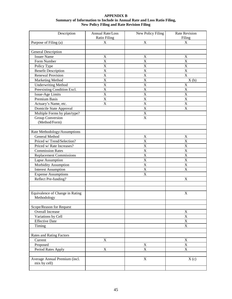| <b>APPENDIX B</b>                                                       |
|-------------------------------------------------------------------------|
| Summary of Information to Include in Annual Rate and Loss Ratio Filing, |
| <b>New Policy Filing and Rate Revision Filing</b>                       |

| Description                     | Annual Rate/Loss        | New Policy Filing       | <b>Rate Revision</b>    |
|---------------------------------|-------------------------|-------------------------|-------------------------|
|                                 | Ratio Filing            |                         | Filing                  |
| Purpose of Filing (a)           | $\mathbf X$             | $\mathbf X$             | X                       |
|                                 |                         |                         |                         |
| General Description             |                         |                         |                         |
| <b>Issuer Name</b>              | $\mathbf X$             | $\mathbf X$             | $\mathbf X$             |
| Form Number                     | $\mathbf X$             | $\mathbf X$             | $\mathbf X$             |
| Policy Type                     | $\overline{\mathbf{X}}$ | $\mathbf X$             | $\mathbf X$             |
| <b>Benefit Description</b>      | $\overline{\mathbf{X}}$ | $\overline{X}$          | $\overline{X}$          |
| <b>Renewal Provision</b>        | X                       | $\mathbf X$             | $\mathbf X$             |
| Marketing Method                | $\overline{\mathbf{X}}$ | $\overline{X}$          | X(b)                    |
| <b>Underwriting Method</b>      | $\overline{\text{X}}$   | X                       | X                       |
| Preexisting Condition Excl.     | X                       | $\mathbf X$             | $\mathbf X$             |
| Issue-Age Limits                | $\overline{\mathbf{X}}$ | $\overline{X}$          | $\overline{X}$          |
| <b>Premium Basis</b>            | $\overline{\text{X}}$   | $\overline{\textbf{X}}$ | $\overline{X}$          |
| Actuary's Name, etc.            | $\mathbf X$             | $\mathbf X$             | $\mathbf X$             |
| Domicile State Approval         |                         | $\overline{X}$          | $\mathbf X$             |
| Multiple Forms by plan/type?    |                         | $\mathbf X$             |                         |
| <b>Group Conversion</b>         |                         | $\mathbf X$             |                         |
| (Method/Form)                   |                         |                         |                         |
|                                 |                         |                         |                         |
| Rate Methodology/Assumptions    |                         |                         |                         |
| General Method                  |                         | $\mathbf X$             | $\mathbf X$             |
| Priced w/Trend/Selection?       |                         | $\mathbf X$             | $\mathbf X$             |
| Priced w/ Rate Increases?       |                         | $\mathbf X$             | $\mathbf X$             |
| <b>Commission Rates</b>         |                         | $\overline{X}$          | X                       |
| <b>Replacement Commissions</b>  |                         | $\overline{X}$          | $\mathbf X$             |
| Lapse Assumption                |                         | $\overline{\mathbf{X}}$ | $\mathbf X$             |
| Morbidity Assumption            |                         | $\overline{X}$          | $\mathbf X$             |
| <b>Interest Assumption</b>      |                         | $\mathbf X$             | $\mathbf X$             |
| <b>Expense Assumptions</b>      |                         | $\mathbf X$             |                         |
| Reflect Pre-funding?            |                         |                         | $\mathbf X$             |
|                                 |                         |                         |                         |
|                                 |                         |                         |                         |
| Equivalence of Change in Rating |                         |                         | $\mathbf X$             |
| Methodology                     |                         |                         |                         |
|                                 |                         |                         |                         |
| Scope/Reason for Request        |                         |                         |                         |
| Overall Increase                |                         |                         | $\mathbf X$             |
| Variations by Cell              |                         |                         | $\mathbf X$             |
| <b>Effective Date</b>           |                         |                         | $\overline{\mathbf{X}}$ |
| Timing                          |                         |                         | X                       |
|                                 |                         |                         |                         |
| <b>Rates and Rating Factors</b> |                         |                         |                         |
| Current                         | $\mathbf X$             |                         | $\mathbf X$             |
| Proposed                        |                         | X                       | X                       |
| Period Rates Apply              | $\mathbf X$             | $\mathbf X$             | $\overline{X}$          |
|                                 |                         |                         |                         |
| Average Annual Premium (incl.   |                         | $\mathbf X$             | X(c)                    |
| mix by cell)                    |                         |                         |                         |
|                                 |                         |                         |                         |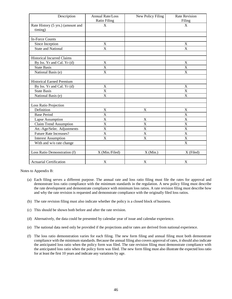| Description                                  | Annual Rate/Loss<br><b>Ratio Filing</b> | New Policy Filing         | <b>Rate Revision</b><br>Filing |
|----------------------------------------------|-----------------------------------------|---------------------------|--------------------------------|
| Rate History (5 yrs.) (amount and<br>timing) | $\mathbf X$                             |                           | $\mathbf X$                    |
|                                              |                                         |                           |                                |
| <b>In-Force Counts</b>                       |                                         |                           |                                |
| Since Inception                              | $\mathbf X$                             |                           | $\mathbf X$                    |
| <b>State and National</b>                    | X                                       |                           | X                              |
|                                              |                                         |                           |                                |
| <b>Historical Incurred Claims</b>            |                                         |                           |                                |
| By Iss. Yr and Cal. Yr (d)                   | $\mathbf X$                             |                           | $\mathbf X$                    |
| <b>State Basis</b>                           | X                                       |                           | $\mathbf X$                    |
| National Basis (e)                           | $\overline{X}$                          |                           | X                              |
|                                              |                                         |                           |                                |
| <b>Historical Earned Premium</b>             |                                         |                           |                                |
| By Iss. Yr and Cal. Yr (d)                   | $\mathbf X$                             |                           | $\mathbf X$                    |
| <b>State Basis</b>                           | X                                       |                           | X                              |
| National Basis (e)                           | X                                       |                           | X                              |
|                                              |                                         |                           |                                |
| <b>Loss Ratio Projection</b>                 |                                         |                           |                                |
| Definition                                   | $\mathbf X$                             | $\mathbf X$               | $\mathbf X$                    |
| <b>Base Period</b>                           | $\boldsymbol{\mathrm{X}}$               |                           | X                              |
| Lapse Assumption                             | X                                       | $\mathbf X$               | $\mathbf X$                    |
| <b>Claim Trend Assumption</b>                | X                                       | X                         | X                              |
| Att.-Age/Selec. Adjustments                  | X                                       | $\mathbf X$               | $\mathbf X$                    |
| <b>Future Rate Increases?</b>                | X                                       | X                         | $\mathbf X$                    |
| <b>Interest Assumption</b>                   | X                                       | X                         | X                              |
| With and w/o rate change                     |                                         |                           | $\mathbf X$                    |
|                                              |                                         |                           |                                |
| Loss Ratio Demonstration (f)                 | X (Min./Filed)                          | $X$ (Min.)                | X (Filed)                      |
|                                              |                                         |                           |                                |
| <b>Actuarial Certification</b>               | $\boldsymbol{\mathrm{X}}$               | $\boldsymbol{\mathrm{X}}$ | $\boldsymbol{\mathrm{X}}$      |

Notes to Appendix B:

- (a) Each filing serves a different purpose. The annual rate and loss ratio filing must file the rates for approval and demonstrate loss ratio compliance with the minimum standards in the regulation. A new policy filing must describe the rate development and demonstrate compliance with minimum loss ratios. A rate revision filing must describe how and why the rate revision is requested and demonstrate compliance with the originally filed loss ratios.
- (b) The rate revision filing must also indicate whether the policy is a closed block of business.
- (c) This should be shown both before and after the rate revision.
- (d) Alternatively, the data could be presented by calendar year of issue and calendar experience.
- (e) The national data need only be provided if the projections and/or rates are derived from national experience.
- (f) The loss ratio demonstration varies for each filing. The new form filing and annual filing must both demonstrate compliance with the minimum standards. Because the annual filing also covers approval of rates, it should also indicate the anticipated loss ratio when the policy form was filed. The rate revision filing must demonstrate compliance with the anticipated loss ratio when the policy form was filed. The new form filing must also illustrate the expected loss ratio for at least the first 10 years and indicate any variations by age.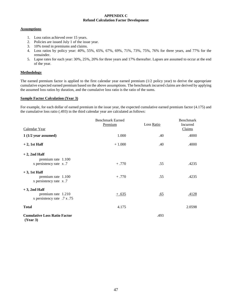# **APPENDIX C Refund Calculation Factor Development**

# **Assumptions**

- 1. Loss ratios achieved over 15 years.
- 2. Policies are issued July 1 of the issue year.
- 3. 10% trend in premiums and claims.
- 4. Loss ratios by policy year: 40%, 55%, 65%, 67%, 69%, 71%, 73%, 75%, 76% for three years, and 77% for the remainder.
- 5. Lapse rates for each year: 30%, 25%, 20% for three years and 17% thereafter. Lapses are assumed to occur at the end of the year.

# **Methodology**

The earned premium factor is applied to the first calendar year earned premium (1/2 policy year) to derive the appropriate cumulative expected earned premium based on the above assumptions. The benchmark incurred claims are derived by applying the assumed loss ratios by duration, and the cumulative loss ratio is the ratio of the sums.

# **Sample Factor Calculation (Year 3)**

For example, for each dollar of earned premium in the issue year, the expected cumulative earned premium factor (4.175) and the cumulative loss ratio (.493) in the third calendar year are calculated as follows:

| Calendar Year                                                        | <b>Benchmark Earned</b><br>Premium | Loss Ratio | Benchmark<br>Incurred<br>Claims |
|----------------------------------------------------------------------|------------------------------------|------------|---------------------------------|
| $1(1/2)$ year assumed)                                               | 1.000                              | .40        | .4000                           |
| $+2$ , 1st Half                                                      | $+1.000$                           | .40        | .4000                           |
| $+2$ , 2nd Half<br>premium rate 1.100<br>x persistency rate x.7      | $+.770$                            | .55        | .4235                           |
| $+3$ , 1st Half<br>premium rate 1.100<br>x persistency rate x.7      | $+.770$                            | .55        | .4235                           |
| $+3$ , 2nd Half<br>premium rate 1.210<br>x persistency rate .7 x .75 | $+ .635$                           | .65        | .4128                           |
| <b>Total</b>                                                         | 4.175                              |            | 2.0598                          |
| <b>Cumulative Loss Ratio Factor</b><br>(Year 3)                      |                                    | .493       |                                 |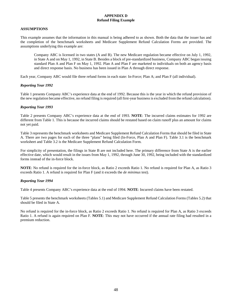# **APPENDIX D Refund Filing Example**

# **ASSUMPTIONS**

This example assumes that the information in this manual is being adhered to as shown. Both the data that the issuer has and the completion of the benchmark worksheets and Medicare Supplement Refund Calculation Forms are provided. The assumptions underlying this example are:

Company ABC is licensed in two states (A and B). The new Medicare regulation became effective on July 1, 1992, in State A and on May 1, 1992, in State B. Besides a block of pre-standardized business, Company ABC began issuing standard Plan A and Plan F on May 1, 1992. Plan A and Plan F are marketed to individuals on both an agency basis and direct response basis. No business has been issued in Plan A through direct response.

Each year, Company ABC would file three refund forms in each state: In-Force; Plan A; and Plan F (all individual).

# *Reporting Year 1992*

Table 1 presents Company ABC's experience data at the end of 1992. Because this is the year in which the refund provision of the new regulation became effective, no refund filing is required (all first-year business is excluded from the refund calculation).

# *Reporting Year 1993*

Table 2 presents Company ABC's experience data at the end of 1993. **NOTE**: The incurred claims estimates for 1992 are different from Table 1. This is because the incurred claims should be restated based on claim runoff plus an amount for claims not yet paid.

Table 3 represents the benchmark worksheets and Medicare Supplement Refund Calculation Forms that should be filed in State A. There are two pages for each of the three "plans" being filed (In-Force, Plan A and Plan F). Table 3.1 is the benchmark worksheet and Table 3.2 is the Medicare Supplement Refund Calculation Form.

For simplicity of presentation, the filings in State B are not included here. The primary difference from State A is the earlier effective date, which would result in the issues from May 1, 1992, through June 30, 1992, being included with the standardized forms instead of the in-force block.

**NOTE**: No refund is required for the in-force block, as Ratio 2 exceeds Ratio 1. No refund is required for Plan A, as Ratio 3 exceeds Ratio 1. A refund is required for Plan F (and it exceeds the *de minimus* test).

# *Reporting Year 1994*

Table 4 presents Company ABC's experience data at the end of 1994. **NOTE**: Incurred claims have been restated.

Table 5 presents the benchmark worksheets (Tables 5.1) and Medicare Supplement Refund Calculation Forms (Tables 5.2) that should be filed in State A.

No refund is required for the in-force block, as Ratio 2 exceeds Ratio 1. No refund is required for Plan A, as Ratio 3 exceeds Ratio 1. A refund is again required on Plan F. **NOTE**: This may not have occurred if the annual rate filing had resulted in a premium reduction.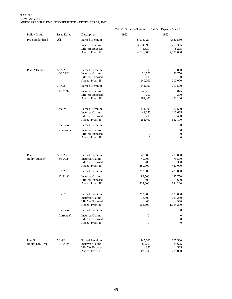#### TABLE 1 COMPANY ABC MEDICARE SUPPLEMENT EXPERIENCE – DECEMBER 31, 1992

|                           |                          |                                                 | Cal. Yr. Exper. - State A | Cal. Yr. Exper. $-$ State B                                                  |
|---------------------------|--------------------------|-------------------------------------------------|---------------------------|------------------------------------------------------------------------------|
| <b>Policy Group</b>       | <b>Issue Dates</b>       | Description                                     | 1992                      | 1992                                                                         |
| Pre-Standardized          | All                      | <b>Earned Premium</b>                           | 5,013,720                 | 7,520,580                                                                    |
|                           |                          | <b>Incurred Claims</b>                          | 3,504,890                 | 5,257,335                                                                    |
|                           |                          | Life Yrs Exposed<br>Annzd. Prem. IF             | 5,530<br>4,726,000        | 8,295<br>7,089,000                                                           |
|                           |                          |                                                 |                           |                                                                              |
| Plan A (Indiv)            | $5/1/92 -$               | <b>Earned Premium</b>                           | 70,000                    | 105,000                                                                      |
|                           | $6/30/92*$               | <b>Incurred Claims</b><br>Life Yrs Exposed      | 24,500                    | 36,750<br>100<br>150                                                         |
|                           |                          | Annzd. Prem. IF                                 | 140,000                   | 210,000                                                                      |
|                           | $7/1/92 -$               | <b>Earned Premium</b>                           | 141,000                   | 211,500                                                                      |
|                           | 12/31/92                 | <b>Incurred Claims</b>                          | 49,250                    | 73,875                                                                       |
|                           |                          | Life Yrs Exposed<br>Annzd. Prem. IF             | 281,400                   | 300<br>200<br>422,100                                                        |
|                           |                          |                                                 |                           |                                                                              |
|                           | Total**                  | <b>Earned Premium</b>                           | 141,000                   | 316,500                                                                      |
|                           |                          | <b>Incurred Claims</b>                          | 49,250                    | 110,625                                                                      |
|                           |                          | Life Yrs Exposed                                | 200                       | 450                                                                          |
|                           | Total w/o                | Annzd. Prem. IF                                 | 281,400                   | 632,100<br>$\mathbf{0}$                                                      |
|                           |                          | <b>Earned Premium</b>                           |                           | $\mathbf{0}$                                                                 |
|                           | Current Yr               | <b>Incurred Claims</b><br>Life Yrs Exposed      |                           | $\boldsymbol{0}$<br>$\boldsymbol{0}$<br>$\boldsymbol{0}$<br>$\boldsymbol{0}$ |
|                           |                          | Annzd. Prem. IF                                 |                           | $\mathbf{0}$<br>$\mathbf{0}$                                                 |
| Plan F<br>(Indiv. Agency) | $5/1/92 -$<br>$6/30/92*$ | <b>Earned Premium</b><br><b>Incurred Claims</b> | 140,000<br>49,000         | 210,000<br>73,500                                                            |
|                           |                          | Life Yrs Exposed<br>Annzd. Prem. IF             | 200<br>280,000            | 300<br>420,000                                                               |
|                           | $7/1/92 -$               | <b>Earned Premium</b>                           | 282,000                   | 423,000                                                                      |
|                           | 12/31/92                 | <b>Incurred Claims</b>                          | 98,500                    | 147,750                                                                      |
|                           |                          | Life Yrs Exposed<br>Annzd. Prem. IF             | 400                       | 600                                                                          |
|                           |                          |                                                 | 562,800                   | 844,200                                                                      |
|                           | Total**                  | <b>Earned Premium</b>                           | 282,000                   | 633,000                                                                      |
|                           |                          | Incurred Claims                                 | 98,500                    | 221,250                                                                      |
|                           |                          | Life Yrs Exposed                                | 400                       | 900                                                                          |
|                           |                          | Annzd. Prem. IF                                 | 562,800                   | 1,264,200                                                                    |
|                           | Total w/o                | <b>Earned Premium</b>                           |                           | $\boldsymbol{0}$<br>$\mathbf{0}$                                             |
|                           | Current Yr               | <b>Incurred Claims</b><br>Life Yrs Exposed      |                           | $\boldsymbol{0}$<br>$\mathbf{0}$<br>$\boldsymbol{0}$<br>$\mathbf{0}$         |
|                           |                          | Annzd. Prem. IF                                 |                           | $\boldsymbol{0}$<br>$\overline{0}$                                           |
|                           |                          |                                                 |                           |                                                                              |
| Plan F                    | $5/1/92 -$               | <b>Earned Premium</b>                           | 245,000                   | 367,500                                                                      |
| (Indiv. Dir. Resp.)       | $6/30/92*$               | <b>Incurred Claims</b>                          | 85,750                    | 128,625                                                                      |
|                           |                          | Life Yrs Exposed<br>Annzd. Prem. IF             | 490,000                   | 350<br>525<br>735,000                                                        |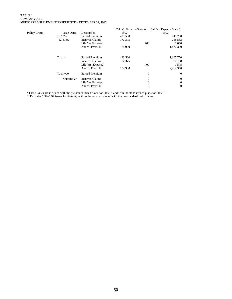#### TABLE 1 COMPANY ABC MEDICARE SUPPLEMENT EXPERIENCE – DECEMBER 31, 1992

| Policy Group | <b>Issue Dates</b><br>$7/1/92 -$<br>12/31/92 | Description<br><b>Earned Premium</b><br><b>Incurred Claims</b><br>Life Yrs Exposed<br>Annzd. Prem. IF | Cal. Yr. Exper. - State A<br>1992<br>493,500<br>172,375<br>984,900 | 700                                          | Cal. Yr. Exper. - State B<br>1992<br>740,250<br>258,563<br>1,050<br>1,477,350 |
|--------------|----------------------------------------------|-------------------------------------------------------------------------------------------------------|--------------------------------------------------------------------|----------------------------------------------|-------------------------------------------------------------------------------|
|              | Total**                                      | Earned Premium<br><b>Incurred Claims</b><br>Life Yrs. Exposed<br>Annzd. Prem. IF                      | 493,500<br>172,375<br>984,900                                      | 700                                          | 1,107,750<br>387,188<br>1,575<br>2,212,350                                    |
|              | Total w/o                                    | <b>Earned Premium</b>                                                                                 |                                                                    | $\overline{0}$                               | $\theta$                                                                      |
|              | Current Yr                                   | Incurred Claims<br>Life Yrs Exposed<br>Annzd. Prem. IF                                                |                                                                    | $\overline{0}$<br>$\theta$<br>$\overline{0}$ | $\theta$<br>$\theta$<br>$\Omega$                                              |

\*These issues are included with the pre-standardized block for State A and with the standardized plans for State B. \*\*Excludes 5/92–6/92 issues for State A, as those issues are included with the pre-standardized policies.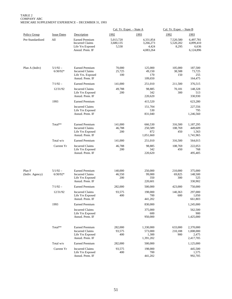TABLE 2 COMPANY ABC MEDICARE SUPPLEMENT EXPERIENCE – DECEMBER 31, 1993

|                           |                          |                                                                                         | Cal. Yr. Exper. - State A       |                                              | Cal. Yr. Exper. - State B       |                                              |
|---------------------------|--------------------------|-----------------------------------------------------------------------------------------|---------------------------------|----------------------------------------------|---------------------------------|----------------------------------------------|
| <b>Policy Group</b>       | <b>Issue Dates</b>       | Description                                                                             | 1992                            | 1993                                         | 1992                            | 1993                                         |
| Pre-Standardized          | All                      | <b>Earned Premium</b><br><b>Incurred Claims</b><br>Life Yrs Exposed<br>Annzd. Prem. IF  | 5,013,720<br>3,680,135<br>5,530 | 4,331,854<br>3,266,273<br>4,424<br>4,083,264 | 7,520,580<br>5,520,202<br>8,295 | 6,497,781<br>4,899,410<br>6,636<br>6,124,896 |
| Plan A (Indiv)            | $5/1/92 -$<br>$6/30/92*$ | <b>Earned Premium</b><br><b>Incurred Claims</b><br>Life Yrs. Exposed<br>Annzd. Prem. IF | 70,000<br>25,725<br>100         | 125,000<br>49,150<br>170<br>109,650          | 105,000<br>38,588<br>150        | 187,500<br>73,725<br>255<br>164,475          |
|                           | $7/1/92 -$               | <b>Earned Premium</b>                                                                   | 141,000                         | 251,010                                      | 211,500                         | 376,515                                      |
|                           | 12/31/92                 | <b>Incurred Claims</b><br>Life Yrs Exposed<br>Annzd. Prem. IF                           | 49,788<br>200                   | 98,885<br>342<br>220,620                     | 70,181<br>300                   | 148,328<br>513<br>330,930                    |
|                           | 1993                     | <b>Earned Premium</b>                                                                   |                                 | 415,520                                      |                                 | 623,280                                      |
|                           |                          | <b>Incurred Claims</b><br>Life Yrs Exposed<br>Annzd. Prem. IF                           |                                 | 151,704<br>530<br>831,040                    |                                 | 227,556<br>795<br>1,246,560                  |
|                           | Total**                  | <b>Earned Premium</b><br><b>Incurred Claims</b><br>Life Yrs Exposed<br>Annzd. Prem. IF  | 141,000<br>46,788<br>200        | 666,530<br>250,589<br>872<br>1,051,660       | 316,500<br>108,769<br>450       | 1,187,295<br>449,609<br>1,563<br>1,741,965   |
|                           | Total w/o                | <b>Earned Premium</b>                                                                   | 141,000                         | 251,010                                      | 316,500                         | 564,015                                      |
|                           | Current Yr               | <b>Incurred Claims</b><br>Life Yrs Exposed<br>Annzd. Prem. IF                           | 46,788<br>200                   | 98,885<br>342<br>220,620                     | 108,769<br>450                  | 222,053<br>768<br>495,405                    |
| Plan F<br>(Indiv. Agency) | $5/1/92 -$<br>$6/30/92*$ | <b>Earned Premium</b><br><b>Incurred Claims</b><br>Life Yrs Exposed<br>Annzd. Prem. IF  | 140,000<br>46,550<br>200        | 250,000<br>99,000<br>350<br>220,601          | 210,000<br>69,825<br>300        | 375,000<br>148,500<br>525<br>330,902         |
|                           | $7/1/92 -$               | <b>Earned Premium</b>                                                                   | 282,000                         | 500,000                                      | 423,000                         | 750,000                                      |
|                           | 12/31/92                 | <b>Incurred Claims</b><br>Life Yrs Exposed<br>Annzd. Prem. IF                           | 93,575<br>400                   | 198,000<br>700<br>441,202                    | 140,363<br>600                  | 297,000<br>1,050<br>661,803                  |
|                           | 1993                     | <b>Earned Premium</b>                                                                   |                                 | 830,000                                      |                                 | 1,245,000                                    |
|                           |                          | <b>Incurred Claims</b><br>Life Yrs Exposed<br>Annzd. Prem. IF                           |                                 | 375,000<br>600<br>950,000                    |                                 | 562,500<br>900<br>1,425,000                  |
|                           | Total**                  | <b>Earned Premium</b><br><b>Incurred Claims</b><br>Life Yrs Exposed<br>Annzd. Prem. IF  | 282,000<br>93,575<br>400        | 1,330,000<br>573,000<br>1,300<br>1,391,202   | 633,000<br>210,188<br>900       | 2,370,000<br>1,008,000<br>2,475<br>2,417,705 |
|                           | Total w/o                | <b>Earned Premium</b>                                                                   | 282,000                         | 500,000                                      |                                 | 1,125,000                                    |
|                           | Current Yr               | <b>Incurred Claims</b><br>Life Yrs Exposed<br>Annzd. Prem. IF                           | 93,575<br>400                   | 198,000<br>700<br>441,202                    |                                 | 445,500<br>1,575<br>992,705                  |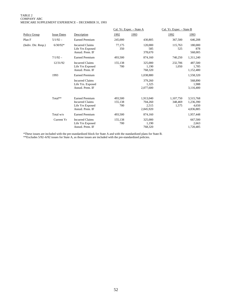#### TABLE 2 COMPANY ABC MEDICARE SUPPLEMENT EXPERIENCE – DECEMBER 31, 1993

|                     |                    |                                                                                        |                           | Cal. Yr. Exper. - State A                  | Cal. Yr. Exper. - State B     |                                              |
|---------------------|--------------------|----------------------------------------------------------------------------------------|---------------------------|--------------------------------------------|-------------------------------|----------------------------------------------|
| <b>Policy Group</b> | <b>Issue Dates</b> | Description                                                                            | 1992                      | 1993                                       | 1992                          | 1993                                         |
| Plan F              | $5/1/92 -$         | <b>Earned Premium</b>                                                                  | 245,000                   | 430,805                                    | 367,500                       | 646,208                                      |
| (Indiv. Dir. Resp.) | $6/30/92*$         | <b>Incurred Claims</b><br>Life Yrs Exposed<br>Annzd. Prem. IF                          | 77,175<br>350             | 120,000<br>585<br>378,670                  | 115,763<br>525                | 180,000<br>878<br>568,005                    |
|                     | $7/1/92 -$         | <b>Earned Premium</b>                                                                  | 493,500                   | 874,160                                    | 740,250                       | 1,311,240                                    |
|                     | 12/31/92           | <b>Incurred Claims</b><br>Life Yrs Exposed<br>Annzd. Prem. IF                          | 155,138<br>700            | 325,000<br>1,190<br>768,320                | 232,706<br>1,050              | 487,500<br>1,785<br>1,152,480                |
|                     | 1993               | <b>Earned Premium</b>                                                                  |                           | 1,038,880                                  |                               | 1,558,320                                    |
|                     |                    | <b>Incurred Claims</b><br>Life Yrs. Exposed<br>Annzd. Prem. IF                         |                           | 379,260<br>1.325<br>2,077,600              |                               | 568,890<br>1,988<br>3,116,400                |
|                     | Total**            | <b>Earned Premium</b><br><b>Incurred Claims</b><br>Life Yrs Exposed<br>Annzd. Prem. IF | 493,500<br>155,138<br>700 | 1,913,040<br>704,260<br>2,515<br>2,845,920 | 1,107,750<br>348,469<br>1,575 | 3,515,768<br>1,236,390<br>4,650<br>4,836,885 |
|                     | Total w/o          | <b>Earned Premium</b>                                                                  | 493,500                   | 874,160                                    |                               | 1,957,448                                    |
|                     | Current Yr         | <b>Incurred Claims</b><br>Life Yrs Exposed<br>Annzd. Prem. IF                          | 155,138<br>700            | 325,000<br>1,190<br>768,320                |                               | 667,500<br>2,663<br>1,720,485                |

\*These issues are included with the pre-standardized block for State A and with the standardized plans for State B. \*\*Excludes 5/92–6/92 issues for State A, as those issues are included with the pre-standardized policies.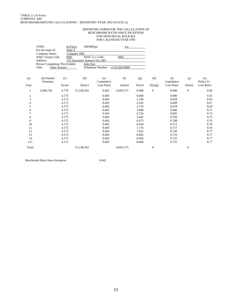#### REPORTING FORM FOR THE CALCULATION OF BENCHMARK RATIO SINCE INCEPTION FOR INDIVIDUAL POLICIES FOR CALENDAR YEAR 1993

|                | TYPE:<br>For the State of:      | In-Force<br>State A  | $SMSBP(p)$ :                   |                   | n/a              |        |                  |                   |                |                  |
|----------------|---------------------------------|----------------------|--------------------------------|-------------------|------------------|--------|------------------|-------------------|----------------|------------------|
|                | Company Name:                   |                      | Company ABC                    |                   |                  |        |                  |                   |                |                  |
|                | NAIC Group Code:                | 0001                 |                                | NAIC Co. Code:    | 0001             |        |                  |                   |                |                  |
|                | Address:                        |                      | 123 Anystreet, Kansas City, MO |                   |                  |        |                  |                   |                |                  |
|                | Person Completing This Exhibit: |                      | John Doe                       |                   |                  |        |                  |                   |                |                  |
|                | Title:                          | <b>Chief Actuary</b> |                                | Telephone Number: | $(123)$ 456-0000 |        |                  |                   |                |                  |
| (a)            | (b) Earned<br>Premium           | (c)                  | (d)                            | (e)<br>Cumulative | (f)              | (g)    | (h)              | (i)<br>Cumulative | (i)            | (o)<br>Policy Yr |
| Year           |                                 | Factor               | (b)x(c)                        | Loss Ratio        | $(d)$ x $(e)$    | Factor | (b)x(g)          | Loss Ratio        | (h)x(i)        | Loss Ratio       |
| 1              | 5,468,720                       | 2.770                | 15,148,354                     | 0.442             | 6,695,573        | 0.000  | $\mathbf{0}$     | 0.000             | $\overline{0}$ | 0.40             |
| $\overline{c}$ |                                 | 4.175                |                                | 0.493             |                  | 0.000  |                  | 0.000             |                | 0.55             |
| 3              |                                 | 4.175                |                                | 0.493             |                  | 1.194  |                  | 0.659             |                | 0.65             |
| 4              |                                 | 4.175                |                                | 0.493             |                  | 2.245  |                  | 0.669             |                | 0.67             |
| 5              |                                 | 4.175                |                                | 0.493             |                  | 3.170  |                  | 0.678             |                | 0.69             |
| 6              |                                 | 4.175                |                                | 0.493             |                  | 3.998  |                  | 0.686             |                | 0.71             |
|                |                                 | 4.175                |                                | 0.493             |                  | 4.754  |                  | 0.695             |                | 0.73             |
| 8              |                                 | 4.175                |                                | 0.493             |                  | 5.445  |                  | 0.702             |                | 0.75             |
| 9              |                                 | 4.175                |                                | 0.493             |                  | 6.075  |                  | 0.708             |                | 0.76             |
| 10             |                                 | 4.175                |                                | 0.493             |                  | 6.650  |                  | 0.713             |                | 0.76             |
| 11             |                                 | 4.175                |                                | 0.493             |                  | 7.176  |                  | 0.717             |                | 0.76             |
| 12             |                                 | 4.175                |                                | 0.493             |                  | 7.655  |                  | 0.720             |                | 0.77             |
| 13             |                                 | 4.175                |                                | 0.493             |                  | 8.093  |                  | 0.723             |                | 0.77             |
| 14             |                                 | 4.175                |                                | 0.493             |                  | 8.493  |                  | 0.725             |                | 0.77             |
| $15+$          |                                 | 4.175                |                                | 0.493             |                  | 8.684  |                  | 0.725             |                | 0.77             |
| Total:         |                                 |                      | 15,148,354                     |                   | 6,695,573        |        | $\boldsymbol{0}$ |                   | $\mathbf{0}$   |                  |

Benchmark Ratio Since Inception 0.442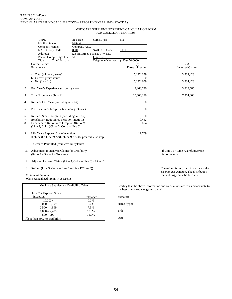#### MEDICARE SUPPLEMENT REFUND CALCULATION FORM FOR CALENDAR YEAR 1993

|                | TYPE:<br>For the State of:                                                                                                                                                                | In-Force<br>State A | $SMSBP(p)$ :                                                                                     | n/a                        |                                                            |  |
|----------------|-------------------------------------------------------------------------------------------------------------------------------------------------------------------------------------------|---------------------|--------------------------------------------------------------------------------------------------|----------------------------|------------------------------------------------------------|--|
| $\mathbf{1}$ . | Company Name:<br>NAIC Group Code:<br>Address:<br>Person Completing This Exhibit:<br>Title:<br><b>Chief Actuary</b><br>Current Year's                                                      | Company ABC<br>0001 | NAIC Co. Code:<br>123 Anystreet, Kansas City, MO<br>John Doe<br>Telephone Number: (123) 456-0000 | 0001                       | (b)                                                        |  |
|                | Experience                                                                                                                                                                                |                     |                                                                                                  | (a)<br>Earned Premium      | <b>Incurred Claims</b>                                     |  |
|                | a. Total (all policy years)<br>b. Current year's issues                                                                                                                                   |                     |                                                                                                  | 5,137,659<br>$\Omega$      | 3,534,423<br>0                                             |  |
|                | c. Net $(1a - 1b)$                                                                                                                                                                        |                     |                                                                                                  | 5,137,659                  | 3,534,423                                                  |  |
| 2.             | Past Year's Experience (all policy years)                                                                                                                                                 |                     |                                                                                                  | 5,468,720                  | 3,829,585                                                  |  |
| 3.             | Total Experience $(1c + 2)$                                                                                                                                                               |                     |                                                                                                  | 10,606,379                 | 7,364,008                                                  |  |
| 4.             | Refunds Last Year (excluding interest)                                                                                                                                                    |                     |                                                                                                  | $\boldsymbol{0}$           |                                                            |  |
| 5.             | Previous Since Inception (excluding interest)                                                                                                                                             |                     |                                                                                                  | $\overline{0}$             |                                                            |  |
| 6.<br>7.<br>8. | Refunds Since Inception (excluding interest)<br>Benchmark Ratio Since Inception (Ratio 1)<br>Experienced Ratio Since Inception (Ratio 2)<br>(Line 3, Col. b)/(Line 3, Col. $a - Line 6$ ) |                     |                                                                                                  | $\Omega$<br>0.442<br>0.694 |                                                            |  |
| 9.             | Life Years Exposed Since Inception<br>If (Line $8 <$ Line 7) AND (Line $9 > 500$ ), proceed; else stop.                                                                                   |                     |                                                                                                  | 11.709                     |                                                            |  |
| 10.            | Tolerance Permitted (from credibility table)                                                                                                                                              |                     |                                                                                                  |                            |                                                            |  |
|                | 11. Adjustment to Incurred Claims for Credibility<br>(Ratio $3 =$ Ratio $2 +$ Tolerance)                                                                                                  |                     |                                                                                                  |                            | If Line $11 >$ Line 7, a refund/credit<br>is not required. |  |
| 12.            | Adjusted Incurred Claims (Line 3, Col. a – Line 6) x Line 11                                                                                                                              |                     |                                                                                                  |                            |                                                            |  |
|                | 13. Refund (Line 3, Col. a – Line $6 - (Line 12/Line 7))$                                                                                                                                 |                     |                                                                                                  |                            | The refund is only paid if it exceeds                      |  |

*De minimus* Amount

(.005 x Annualized Prem. IF at 12/31)

|                                  | Medicare Supplement Credibility Table |  |  |  |
|----------------------------------|---------------------------------------|--|--|--|
| Life Yrs Exposed Since           |                                       |  |  |  |
| Inception                        | Tolerance                             |  |  |  |
| $10,000+$                        | 0.0%                                  |  |  |  |
| $5,000 - 9,999$                  | 5.0%                                  |  |  |  |
| $2,500 - 4,999$                  | 7.5%                                  |  |  |  |
| $1,000 - 2,499$                  | 10.0%                                 |  |  |  |
| $500 - 999$                      | 15.0%                                 |  |  |  |
| If less than 500, no credibility |                                       |  |  |  |

ceeds the *De minimus* Amount. The distribution methodology must be filed also.

I certify that the above information and calculations are true and accurate to the best of my knowledge and belief.

| Signature   |  |
|-------------|--|
| Name (type) |  |
| Title       |  |
| Date        |  |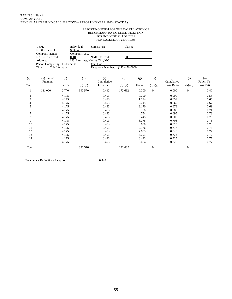#### REPORTING FORM FOR THE CALCULATION OF BENCHMARK RATIO SINCE INCEPTION FOR INDIVIDUAL POLICIES FOR CALENDAR YEAR 1993

|        | TYPE:<br>For the State of:      |                      | Individual<br>State A | $SMSBP(p)$ :                                     | Plan A          |        |                  |                   |              |                  |
|--------|---------------------------------|----------------------|-----------------------|--------------------------------------------------|-----------------|--------|------------------|-------------------|--------------|------------------|
|        | Company Name:                   |                      | Company ABC           |                                                  |                 |        |                  |                   |              |                  |
|        | NAIC Group Code:<br>Address:    |                      | 0001                  | NAIC Co. Code:<br>123 Anystreet, Kansas City, MO | 0001            |        |                  |                   |              |                  |
|        | Person Completing This Exhibit: |                      |                       | John Doe                                         |                 |        |                  |                   |              |                  |
|        | Title:                          | <b>Chief Actuary</b> |                       | Telephone Number:                                | $(123)456-0000$ |        |                  |                   |              |                  |
| (a)    | (b) Earned<br>Premium           | (c)                  | (d)                   | (e)<br>Cumulative                                | (f)             | (g)    | (h)              | (i)<br>Cumulative | (j)          | (0)<br>Policy Yr |
| Year   |                                 | Factor               | (b)x(c)               | Loss Ratio                                       | $(d)$ x $(e)$   | Factor | (b)x(g)          | Loss Ratio        | (h)x(i)      | Loss Ratio       |
| 1      | 141,000                         | 2.770                | 390,570               | 0.442                                            | 172,632         | 0.000  | $\mathbf{0}$     | 0.000             | $\mathbf{0}$ | 0.40             |
| 2      |                                 | 4.175                |                       | 0.493                                            |                 | 0.000  |                  | 0.000             |              | 0.55             |
| 3      |                                 | 4.175                |                       | 0.493                                            |                 | 1.194  |                  | 0.659             |              | 0.65             |
| 4      |                                 | 4.175                |                       | 0.493                                            |                 | 2.245  |                  | 0.669             |              | 0.67             |
| 5      |                                 | 4.175                |                       | 0.493                                            |                 | 3.170  |                  | 0.678             |              | 0.69             |
| 6      |                                 | 4.175                |                       | 0.493                                            |                 | 3.998  |                  | 0.686             |              | 0.71             |
|        |                                 | 4.175                |                       | 0.493                                            |                 | 4.754  |                  | 0.695             |              | 0.73             |
| 8      |                                 | 4.175                |                       | 0.493                                            |                 | 5.445  |                  | 0.702             |              | 0.75             |
| 9      |                                 | 4.175                |                       | 0.493                                            |                 | 6.075  |                  | 0.708             |              | 0.76             |
| 10     |                                 | 4.175                |                       | 0.493                                            |                 | 6.650  |                  | 0.713             |              | 0.76             |
| 11     |                                 | 4.175                |                       | 0.493                                            |                 | 7.176  |                  | 0.717             |              | 0.76             |
| 12     |                                 | 4.175                |                       | 0.493                                            |                 | 7.655  |                  | 0.720             |              | 0.77             |
| 13     |                                 | 4.175                |                       | 0.493                                            |                 | 8.093  |                  | 0.723             |              | 0.77             |
| 14     |                                 | 4.175                |                       | 0.493                                            |                 | 8.493  |                  | 0.725             |              | 0.77             |
| $15+$  |                                 | 4.175                |                       | 0.493                                            |                 | 8.684  |                  | 0.725             |              | 0.77             |
| Total: |                                 |                      | 390,570               |                                                  | 172,632         |        | $\boldsymbol{0}$ |                   | $\mathbf{0}$ |                  |

Benchmark Ratio Since Inception 0.442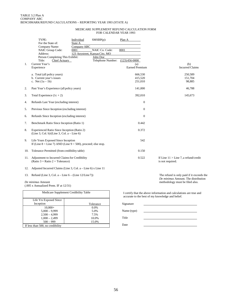#### MEDICARE SUPPLEMENT REFUND CALCULATION FORM FOR CALENDAR YEAR 1993

|         | TYPE:<br>For the State of:<br>Company Name:<br>NAIC Group Code:<br>Address:                             | Individual<br>State A<br>Company ABC<br>0001<br>123 Anystreet, Kansas City, MO | $SMSBP(p)$ :<br>NAIC Co. Code: | Plan A<br>0001                |     |                                                            |                               |
|---------|---------------------------------------------------------------------------------------------------------|--------------------------------------------------------------------------------|--------------------------------|-------------------------------|-----|------------------------------------------------------------|-------------------------------|
|         | Person Completing This Exhibit:<br>Title:<br><b>Chief Actuary</b>                                       |                                                                                | John Doe<br>Telephone Number:  | $(123)456-0000$               |     |                                                            |                               |
| $1_{-}$ | Current Year's<br>Experience                                                                            |                                                                                |                                | (a)<br><b>Earned Premium</b>  |     |                                                            | (b)<br><b>Incurred Claims</b> |
|         | a. Total (all policy years)<br>b. Current year's issues<br>c. Net $(1a - 1b)$                           |                                                                                |                                | 666,530<br>415,520<br>251,010 |     |                                                            | 250,589<br>151,704<br>98,885  |
| 2.      | Past Year's Experience (all policy years)                                                               |                                                                                |                                | 141,000                       |     |                                                            | 46,788                        |
| 3.      | Total Experience $(1c + 2)$                                                                             |                                                                                |                                | 392,010                       |     |                                                            | 145,673                       |
| 4.      | Refunds Last Year (excluding interest)                                                                  |                                                                                |                                | 0                             |     |                                                            |                               |
| 5.      | Previous Since Inception (excluding interest)                                                           |                                                                                |                                | $\Omega$                      |     |                                                            |                               |
| 6.      | Refunds Since Inception (excluding interest)                                                            |                                                                                |                                | $\mathbf{0}$                  |     |                                                            |                               |
| 7.      | Benchmark Ratio Since Inception (Ratio 1)                                                               |                                                                                | 0.442                          |                               |     |                                                            |                               |
| 8.      | Experienced Ratio Since Inception (Ratio 2)<br>(Line 3, Col. b)/(Line 3, Col. $a - Line 6$ )            |                                                                                |                                | 0.372                         |     |                                                            |                               |
| 9.      | Life Years Exposed Since Inception<br>If (Line $8 <$ Line 7) AND (Line $9 > 500$ ), proceed; else stop. |                                                                                |                                |                               | 542 |                                                            |                               |
| 10.     | Tolerance Permitted (from credibility table)                                                            |                                                                                |                                | 0.150                         |     |                                                            |                               |
| 11.     | Adjustment to Incurred Claims for Credibility<br>(Ratio $3 =$ Ratio $2 +$ Tolerance)                    |                                                                                |                                | 0.522                         |     | If Line $11 >$ Line 7, a refund/credit<br>is not required. |                               |
|         |                                                                                                         |                                                                                |                                |                               |     |                                                            |                               |

12. Adjusted Incurred Claims (Line 3, Col. a – Line 6) x Line 11

13. Refund (Line 3, Col. a – Line  $6 - (Line 12/Line 7))$ 

*De minimus* Amount (.005 x Annualized Prem. IF at 12/31)

| Medicare Supplement Credibility Table |           |  |  |  |
|---------------------------------------|-----------|--|--|--|
| Life Yrs Exposed Since                |           |  |  |  |
| Inception                             | Tolerance |  |  |  |
| $10,000+$                             | $0.0\%$   |  |  |  |
| $5,000 - 9,999$                       | 5.0%      |  |  |  |
| $2,500 - 4,999$                       | 7.5%      |  |  |  |
| $1,000 - 2,499$                       | 10.0%     |  |  |  |
| $500 - 999$                           | 15.0%     |  |  |  |
| If less than 500, no credibility      |           |  |  |  |

The refund is only paid if it exceeds the *De minimus* Amount. The distribution methodology must be filed also.

I certify that the above information and calculations are true and accurate to the best of my knowledge and belief.

| Signature   |  |
|-------------|--|
| Name (type) |  |
| Title       |  |
| Date        |  |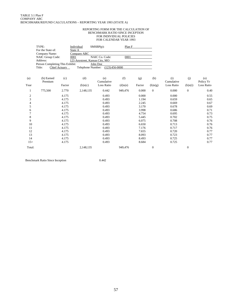#### REPORTING FORM FOR THE CALCULATION OF BENCHMARK RATIO SINCE INCEPTION FOR INDIVIDUAL POLICIES FOR CALENDAR YEAR 1993

|                  | TYPE:<br>For the State of:      |               | Individual<br>State A          | $SMSBP(p)$ :                    | Plan F        |        |              |                   |                |                  |
|------------------|---------------------------------|---------------|--------------------------------|---------------------------------|---------------|--------|--------------|-------------------|----------------|------------------|
|                  | Company Name:                   |               | Company ABC                    |                                 |               |        |              |                   |                |                  |
|                  | NAIC Group Code:                |               | 0001                           | NAIC Co. Code:                  | 0001          |        |              |                   |                |                  |
|                  | Address:                        |               | 123 Anystreet, Kansas City, MO |                                 |               |        |              |                   |                |                  |
|                  | Person Completing This Exhibit: |               |                                | John Doe                        |               |        |              |                   |                |                  |
|                  | Title:                          | Chief Actuary |                                | Telephone Number: (123)456-0000 |               |        |              |                   |                |                  |
| (a)              | (b) Earned<br>Premium           | (c)           | (d)                            | (e)<br>Cumulative               | (f)           | (g)    | (h)          | (i)<br>Cumulative | (j)            | (o)<br>Policy Yr |
| Year             |                                 | Factor        | (b)x(c)                        | Loss Ratio                      | $(d)$ x $(e)$ | Factor | (b)x(g)      | Loss Ratio        | (h)x(i)        | Loss Ratio       |
| $\mathbf{1}$     | 775,500                         | 2.770         | 2,148,135                      | 0.442                           | 949,476       | 0.000  | $\Omega$     | 0.000             | $\mathbf{0}$   | 0.40             |
| $\boldsymbol{2}$ |                                 | 4.175         |                                | 0.493                           |               | 0.000  |              | 0.000             |                | 0.55             |
| 3                |                                 | 4.175         |                                | 0.493                           |               | 1.194  |              | 0.659             |                | 0.65             |
| 4                |                                 | 4.175         |                                | 0.493                           |               | 2.245  |              | 0.669             |                | 0.67             |
| 5                |                                 | 4.175         |                                | 0.493                           |               | 3.170  |              | 0.678             |                | 0.69             |
| 6                |                                 | 4.175         |                                | 0.493                           |               | 3.998  |              | 0.686             |                | 0.71             |
|                  |                                 | 4.175         |                                | 0.493                           |               | 4.754  |              | 0.695             |                | 0.73             |
| 8                |                                 | 4.175         |                                | 0.493                           |               | 5.445  |              | 0.702             |                | 0.75             |
| 9                |                                 | 4.175         |                                | 0.493                           |               | 6.075  |              | 0.708             |                | 0.76             |
| 10               |                                 | 4.175         |                                | 0.493                           |               | 6.650  |              | 0.713             |                | 0.76             |
| 11               |                                 | 4.175         |                                | 0.493                           |               | 7.176  |              | 0.717             |                | 0.76             |
| 12               |                                 | 4.175         |                                | 0.493                           |               | 7.655  |              | 0.720             |                | 0.77             |
| 13               |                                 | 4.175         |                                | 0.493                           |               | 8.093  |              | 0.723             |                | 0.77             |
| 14               |                                 | 4.175         |                                | 0.493                           |               | 8.493  |              | 0.725             |                | 0.77             |
| $15+$            |                                 | 4.175         |                                | 0.493                           |               | 8.684  |              | 0.725             |                | 0.77             |
| Total:           |                                 |               | 2,148,135                      |                                 | 949,476       |        | $\mathbf{0}$ |                   | $\overline{0}$ |                  |

Benchmark Ratio Since Inception 0.442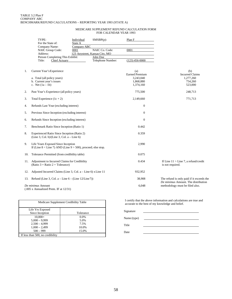#### MEDICARE SUPPLEMENT REFUND CALCULATION FORM FOR CALENDAR YEAR 1993

|     | TYPE:<br>For the State of:                                                                             | Individual<br>State A                                 | $SMSBP(p)$ :                  | Plan F                              |                                                                        |
|-----|--------------------------------------------------------------------------------------------------------|-------------------------------------------------------|-------------------------------|-------------------------------------|------------------------------------------------------------------------|
|     | Company Name:<br>NAIC Group Code:<br>Address:                                                          | Company ABC<br>0001<br>123 Anystreet, Kansas City, MO | NAIC Co. Code:                | 0001                                |                                                                        |
|     | Person Completing This Exhibit:<br>Title:<br><b>Chief Actuary</b>                                      |                                                       | John Doe<br>Telephone Number: | $(123)$ 456-0000                    |                                                                        |
| 1.  | Current Year's Experience                                                                              |                                                       |                               | (a)<br><b>Earned Premium</b>        | (b)<br><b>Incurred Claims</b>                                          |
|     | a. Total (all policy years)<br>b. Current year's issues<br>c. Net $(1a - 1b)$                          |                                                       |                               | 3.243.040<br>1,868,880<br>1,374,160 | 1.277.260<br>754,260<br>523,000                                        |
| 2.  | Past Year's Experience (all policy years)                                                              |                                                       |                               | 775,500                             | 248,713                                                                |
| 3.  | Total Experience $(1c + 2)$                                                                            |                                                       |                               | 2,149,660                           | 771,713                                                                |
| 4.  | Refunds Last Year (excluding interest)                                                                 |                                                       |                               | $\boldsymbol{0}$                    |                                                                        |
| 5.  | Previous Since Inception (excluding interest)                                                          |                                                       |                               | $\mathbf{0}$                        |                                                                        |
| 6.  | Refunds Since Inception (excluding interest)                                                           |                                                       |                               | $\mathbf{0}$                        |                                                                        |
| 7.  | Benchmark Ratio Since Inception (Ratio 1)                                                              |                                                       |                               | 0.442                               |                                                                        |
| 8.  | Experienced Ratio Since Inception (Ratio 2)<br>$(Line 3, Col. b)/(Line 3, Col. a - Line 6)$            |                                                       |                               | 0.359                               |                                                                        |
| 9.  | Life Years Exposed Since Inception<br>If (Line $8 <$ Line 7) AND (Line $9 >$ 500), proceed; else stop. |                                                       |                               | 2,990                               |                                                                        |
| 10. | Tolerance Permitted (from credibility table)                                                           |                                                       |                               | 0.075                               |                                                                        |
|     | 11. Adjustment to Incurred Claims for Credibility<br>(Ratio $3 =$ Ratio $2 +$ Tolerance)               |                                                       |                               | 0.434                               | If Line $11 >$ Line 7, a refund/credit<br>is not required.             |
| 12. | Adjusted Incurred Claims (Line 3, Col. a – Line 6) x Line 11                                           |                                                       |                               | 932,952                             |                                                                        |
| 13. | Refund (Line 3, Col. a – Line $6 - (Line 12/Line 7))$                                                  |                                                       |                               | 38,908                              | The refund is only paid if it exceeds the                              |
|     | De minimus Amount                                                                                      |                                                       |                               | 6.048                               | De minimus Amount. The distribution<br>methodology must be filed also. |

(.005 x Annualized Prem. IF at 12/31)

| Medicare Supplement Credibility Table |           |  |  |  |
|---------------------------------------|-----------|--|--|--|
| Life Yrs Exposed                      |           |  |  |  |
| Since Inception                       | Tolerance |  |  |  |
| $10,000+$                             | $0.0\%$   |  |  |  |
| $5,000 - 9,999$                       | 5.0%      |  |  |  |
| $2.500 - 4.999$                       | 7.5%      |  |  |  |
| $1,000 - 2,499$                       | 10.0%     |  |  |  |
| $500 - 999$                           | 15.0%     |  |  |  |
| If less than 500, no credibility      |           |  |  |  |

I certify that the above information and calculations are true and accurate to the best of my knowledge and belief.

| Signature   |  |
|-------------|--|
| Name (type) |  |
| Title       |  |
| Date        |  |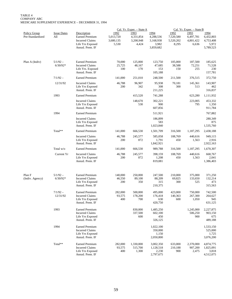TABLE 4 COMPANY ABC MEDICARE SUPPLEMENT EXPERIENCE – DECEMBER 31, 1994

|                                         |                           |                                                                                                       |                                         | Cal. Yr. Exper. - State A               |                                                      |                                         | Cal. Yr. Exper. - State B               |                                                      |
|-----------------------------------------|---------------------------|-------------------------------------------------------------------------------------------------------|-----------------------------------------|-----------------------------------------|------------------------------------------------------|-----------------------------------------|-----------------------------------------|------------------------------------------------------|
| <b>Policy Group</b><br>Pre-Standardized | <b>Issue Dates</b><br>All | Description<br><b>Earned Premium</b><br><b>Incurred Claims</b><br>Life Yrs Exposed<br>Annzd. Prem. IF | 1992<br>5,013,720<br>3,680,135<br>5,530 | 1993<br>4,331,854<br>3,200,948<br>4,424 | 1994<br>4,288,536<br>3,168,938<br>3,982<br>3,859,682 | 1992<br>7,520,580<br>5,520,202<br>8,295 | 1993<br>6,497,781<br>4,801,422<br>6,636 | 1994<br>6,432,803<br>4,753,408<br>5,972<br>5,789,523 |
| Plan A (Indiv)                          | $5/1/92 -$<br>$6/30/92*$  | <b>Earned Premium</b><br><b>Incurred Claims</b><br>Life Yrs. Exposed<br>Annzd. Prem. IF               | 70,000<br>25,725<br>100                 | 125,000<br>48,167<br>170                | 123,750<br>47,685<br>153<br>105,188                  | 105,000<br>38,588<br>150                | 187,500<br>72,251<br>255                | 185,625<br>71,528<br>230<br>157,781                  |
|                                         | $7/1/92 -$                | <b>Earned Premium</b>                                                                                 | 141,000                                 | 251,010                                 | 248,500                                              | 211,500                                 | 376,515                                 | 372,750                                              |
|                                         | 12/31/92                  | <b>Incurred Claims</b><br>Life Yrs Exposed<br>Annzd. Prem. IF                                         | 46,788<br>200                           | 96,907<br>342                           | 95,938<br>308<br>211,225                             | 70,181<br>300                           | 145,361<br>513                          | 143,907<br>462<br>316,837                            |
|                                         | 1993                      | <b>Earned Premium</b>                                                                                 |                                         | 415,520                                 | 741,288                                              |                                         | 623,280                                 | 1,111,932                                            |
|                                         |                           | <b>Incurred Claims</b><br>Life Yrs Exposed<br>Annzd. Prem. IF                                         |                                         | 148,670<br>530                          | 302,221<br>900<br>607,856                            |                                         | 223,005<br>795                          | 453,332<br>1,350<br>911,784                          |
|                                         | 1994                      | <b>Earned Premium</b>                                                                                 |                                         |                                         | 511,921                                              |                                         |                                         | 767,882                                              |
|                                         |                           | <b>Incurred Claims</b><br>Life Yrs Exposed<br>Annzd. Prem. IF                                         |                                         |                                         | 186,899<br>583<br>1,023,840                          |                                         |                                         | 280,349<br>875<br>1,535,760                          |
|                                         | Total**                   | <b>Earned Premium</b>                                                                                 | 141,000                                 | 666.530                                 | 1,501,709                                            | 316,500                                 | 1,187,295                               | 2,438,188                                            |
|                                         |                           | <b>Incurred Claims</b><br>Life Yrs Exposed<br>Annzd. Prem. IF                                         | 46,788<br>200                           | 245,577<br>872                          | 585,058<br>1,791<br>1,842,921                        | 108,769<br>450                          | 440,616<br>1,563                        | 949,115<br>2,916<br>2,922,163                        |
|                                         | Total w/o                 | <b>Earned Premium</b>                                                                                 | 141,000                                 | 666,530                                 | 989,788                                              | 316,500                                 | 1,187,295                               | 1,670,307                                            |
|                                         | Current Yr                | <b>Incurred Claims</b><br>Life Yrs Exposed<br>Annzd. Prem. IF                                         | 46,788<br>200                           | 245,577<br>872                          | 398,159<br>1,208<br>819,081                          | 108,769<br>450                          | 440,616<br>1,563                        | 668,767<br>2,041<br>1,386,403                        |
| Plan F<br>(Indiv. Agency)               | $5/1/92 -$<br>$6/30/92*$  | <b>Earned Premium</b><br><b>Incurred Claims</b><br>Life Yrs Exposed<br>Annzd. Prem. IF                | 140,000<br>46,550<br>200                | 250,000<br>89,100<br>350                | 247,500<br>88,209<br>315<br>210,375                  | 210,000<br>69,825<br>300                | 375,000<br>133,650<br>525               | 371,250<br>132,214<br>473<br>315,563                 |
|                                         | $7/1/92 -$<br>12/31/92    | <b>Earned Premium</b><br><b>Incurred Claims</b><br>Life Yrs Exposed<br>Annzd. Prem. IF                | 282,000<br>93,575<br>400                | 500,000<br>178,200<br>700               | 495,000<br>176,418<br>630<br>420,750                 | 423,000<br>140,363<br>600               | 750,000<br>267,300<br>1,050             | 742,500<br>264,627<br>945<br>631,125                 |
|                                         | 1993                      | <b>Earned Premium</b><br><b>Incurred Claims</b><br>Life Yrs Exposed<br>Annzd. Prem. IF                |                                         | 830,000<br>337,500<br>600               | 1,485,250<br>602,100<br>450<br>326,125               |                                         | 1,245,000<br>506,250<br>900             | 2,227,875<br>903,150<br>675<br>489,188               |
|                                         | 1994                      | <b>Earned Premium</b><br><b>Incurred Claims</b><br>Life Yrs Exposed<br>Annzd. Prem. IF                |                                         |                                         | 1,022,100<br>350,000<br>1,150<br>2,050,800           |                                         |                                         | 1,533,150<br>525,000<br>1,725<br>3,076,200           |
|                                         | Total**                   | <b>Earned Premium</b><br><b>Incurred Claims</b><br>Life Yrs Exposed<br>Annzd. Prem. IF                | 282,000<br>93,575<br>400                | 1,330,000<br>515,700<br>1,300           | 3,002,350<br>1,128,518<br>2,230<br>2,797,675         | 633,000<br>210,188<br>900               | 2,370,000<br>907,200<br>2,475           | 4,874,775<br>1,825,091<br>3,818<br>4,512,075         |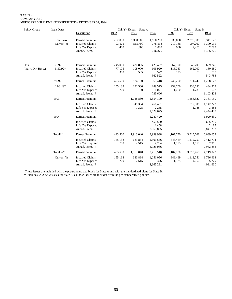#### TABLE 4 COMPANY ABC MEDICARE SUPPLEMENT EXPERIENCE – DECEMBER 31, 1994

| Policy Group                  | <b>Issue Dates</b>       |                                                                                        | Cal. Yr. Exper. - State A<br>Cal. Yr. Exper. - State B |                               |                                          |                           |                               |                                              |  |
|-------------------------------|--------------------------|----------------------------------------------------------------------------------------|--------------------------------------------------------|-------------------------------|------------------------------------------|---------------------------|-------------------------------|----------------------------------------------|--|
|                               |                          | Description                                                                            | 1992                                                   | 1993                          | 1994                                     | 1992                      | 1993                          | 1994                                         |  |
|                               | Total w/o<br>Current Yr  | <b>Earned Premium</b><br><b>Incurred Claims</b><br>Life Yrs Exposed<br>Annzd. Prem. IF | 282,000<br>93,575<br>400                               | 1,330,000<br>515,700<br>1,300 | 1,980,250<br>778,518<br>1,080<br>746,875 | 633,000<br>210,188<br>900 | 2,370,000<br>907,200<br>2,475 | 3,341,625<br>1,300,091<br>2,093<br>1,435,875 |  |
| Plan F<br>(Indiv. Dir. Resp.) | $5/1/92 -$<br>$6/30/92*$ | <b>Earned Premium</b><br><b>Incurred Claims</b><br>Life Yrs Exposed<br>Annzd. Prem. IF | 245,000<br>77,175<br>350                               | 430,805<br>108,000<br>585     | 426,497<br>106,920<br>527<br>362,522     | 367,500<br>115,763<br>525 | 646,208<br>162,000<br>878     | 639,745<br>160,380<br>790<br>543,784         |  |
|                               | $7/1/92 -$               | <b>Earned Premium</b>                                                                  | 493,500                                                | 874,160                       | 865,418                                  | 740,250                   | 1,311,240                     | 1,298,128                                    |  |
|                               | 12/31/92                 | <b>Incurred Claims</b><br>Life Yrs Exposed<br>Annzd. Prem. IF                          | 155,138<br>700                                         | 292,500<br>1,190              | 289,575<br>1,071<br>735,606              | 232,706<br>1,050          | 438,750<br>1,785              | 434,363<br>1,607<br>1,103,408                |  |
|                               | 1993                     | <b>Earned Premium</b>                                                                  |                                                        | 1,038,880                     | 1,854,100                                |                           | 1,558,320                     | 2,781,150                                    |  |
|                               |                          | <b>Incurred Claims</b><br>Life Yrs Exposed<br>Annzd. Prem. IF                          |                                                        | 341,334<br>1,325              | 761,481<br>2,255<br>1,629,625            |                           | 512,001<br>1,988              | 1,142,222<br>3,383<br>2,444,438              |  |
|                               | 1994                     | <b>Earned Premium</b>                                                                  |                                                        |                               | 1,280,420                                |                           |                               | 1,920,630                                    |  |
|                               |                          | <b>Incurred Claims</b><br>Life Yrs Exposed<br>Annzd. Prem. IF                          |                                                        |                               | 450,500<br>1,458<br>2,560,835            |                           |                               | 675,750<br>2,187<br>3,841,253                |  |
|                               | Total**                  | <b>Earned Premium</b>                                                                  | 493,500                                                | 1,913,040                     | 3,999,938                                | 1,107,750                 | 3,515,768                     | 6,639,653                                    |  |
|                               |                          | <b>Incurred Claims</b><br>Life Yrs. Exposed<br>Annzd. Prem. IF                         | 155,138<br>700                                         | 633,834<br>2,515              | 1,501,556<br>4,784<br>4,926,066          | 348,469<br>1,575          | 1,112,751<br>4,650            | 2,412,714<br>7,966<br>7,932,882              |  |
|                               | Total w/o                | <b>Earned Premium</b>                                                                  | 493,500                                                | 1,913,040                     | 2,719,518                                | 1,107,750                 | 3,515,768                     | 4,719,023                                    |  |
|                               | Current Yr               | <b>Incurred Claims</b><br>Life Yrs Exposed<br>Annzd. Prem. IF                          | 155,138<br>700                                         | 633,834<br>2,515              | 1,051,056<br>3,326<br>2,365,231          | 348,469<br>1,575          | 1,112,751<br>4,650            | 1,736,964<br>5,779<br>4,091,630              |  |

\*These issues are included with the pre-standardized block for State A and with the standardized plans for State B.

\*\*Excludes 5/92–6/92 issues for State A, as those issues are included with the pre-standardized policies.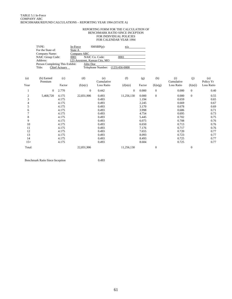#### REPORTING FORM FOR THE CALCULATION OF BENCHMARK RATIO SINCE INCEPTION FOR INDIVIDUAL POLICIES FOR CALENDAR YEAR 1994

|                | TYPE:<br>For the State of:      |                      | In-Force<br>State A            | $SMSBP(p)$ :      | n/a              |        |                  |                   |                |                  |
|----------------|---------------------------------|----------------------|--------------------------------|-------------------|------------------|--------|------------------|-------------------|----------------|------------------|
|                | Company Name:                   |                      | Company ABC                    |                   |                  |        |                  |                   |                |                  |
|                | NAIC Group Code:                |                      | 0001                           | NAIC Co. Code:    | 0001             |        |                  |                   |                |                  |
|                | Address:                        |                      | 123 Anystreet, Kansas City, MO |                   |                  |        |                  |                   |                |                  |
|                | Person Completing This Exhibit: |                      | John Doe                       |                   |                  |        |                  |                   |                |                  |
|                | Title:                          | <b>Chief Actuary</b> |                                | Telephone Number: | $(123)$ 456-0000 |        |                  |                   |                |                  |
| (a)            | (b) Earned<br>Premium           | (c)                  | (d)                            | (e)<br>Cumulative | (f)              | (g)    | (h)              | (i)<br>Cumulative | (j)            | (0)<br>Policy Yr |
| Year           |                                 | Factor               | (b)x(c)                        | Loss Ratio        | $(d)$ x $(e)$    | Factor | (b)x(g)          | Loss Ratio        | (h)x(i)        | Loss Ratio       |
|                | $\overline{0}$                  | 2.770                | $\mathbf{0}$                   | 0.442             | $\mathbf{0}$     | 0.000  | $\mathbf{0}$     | 0.000             | $\mathbf{0}$   | 0.40             |
| $\mathfrak{2}$ | 5,468,720                       | 4.175                | 22,831,906                     | 0.493             | 11,256,130       | 0.000  | $\overline{0}$   | 0.000             | $\Omega$       | 0.55             |
| 3              |                                 | 4.175                |                                | 0.493             |                  | 1.194  |                  | 0.659             |                | 0.65             |
| 4              |                                 | 4.175                |                                | 0.493             |                  | 2.245  |                  | 0.669             |                | 0.67             |
| 5              |                                 | 4.175                |                                | 0.493             |                  | 3.170  |                  | 0.678             |                | 0.69             |
| 6              |                                 | 4.175                |                                | 0.493             |                  | 3.998  |                  | 0.686             |                | 0.71             |
| 7              |                                 | 4.175                |                                | 0.493             |                  | 4.754  |                  | 0.695             |                | 0.73             |
| 8              |                                 | 4.175                |                                | 0.493             |                  | 5.445  |                  | 0.702             |                | 0.75             |
| 9              |                                 | 4.175                |                                | 0.493             |                  | 6.075  |                  | 0.708             |                | 0.76             |
| 10             |                                 | 4.175                |                                | 0.493             |                  | 6.650  |                  | 0.713             |                | 0.76             |
| 11             |                                 | 4.175                |                                | 0.493             |                  | 7.176  |                  | 0.717             |                | 0.76             |
| 12             |                                 | 4.175                |                                | 0.493             |                  | 7.655  |                  | 0.720             |                | 0.77             |
| 13             |                                 | 4.175                |                                | 0.493             |                  | 8.093  |                  | 0.723             |                | 0.77             |
| 14             |                                 | 4.175                |                                | 0.493             |                  | 8.493  |                  | 0.725             |                | 0.77             |
| $15+$          |                                 | 4.175                |                                | 0.493             |                  | 8.684  |                  | 0.725             |                | 0.77             |
| Total:         |                                 |                      | 22,831,906                     |                   | 11,256,130       |        | $\boldsymbol{0}$ |                   | $\overline{0}$ |                  |

Benchmark Ratio Since Inception 0.493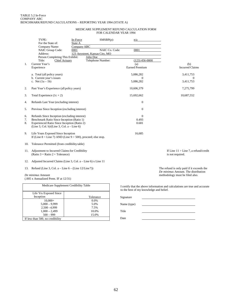#### MEDICARE SUPPLEMENT REFUND CALCULATION FORM FOR CALENDAR YEAR 1994

|          | TYPE:<br>For the State of:<br>Company Name:                                                             | In-Force<br>State A<br>Company ABC | $SMSBP(p)$ :                                                 | n/a                          |                                                            |
|----------|---------------------------------------------------------------------------------------------------------|------------------------------------|--------------------------------------------------------------|------------------------------|------------------------------------------------------------|
|          | NAIC Group Code:<br>Address:<br>Person Completing This Exhibit:                                         | 0001                               | NAIC Co. Code:<br>123 Anystreet, Kansas City, MO<br>John Doe | 0001                         |                                                            |
|          | Title:<br>Chief Actuary                                                                                 |                                    | Telephone Number:                                            | $(123)$ 456-0000             |                                                            |
| 1.       | Current Year's<br>Experience                                                                            |                                    |                                                              | (a)<br><b>Earned Premium</b> | (b)<br><b>Incurred Claims</b>                              |
|          | a. Total (all policy years)<br>b. Current year's issues                                                 |                                    |                                                              | 5,086,282<br>$\Omega$        | 3,411,753<br>$\theta$                                      |
|          | c. Net $(1a - 1b)$                                                                                      |                                    |                                                              | 5,086,282                    | 3,411,753                                                  |
| 2.       | Past Year's Experience (all policy years)                                                               |                                    |                                                              | 10,606,379                   | 7,275,799                                                  |
| 3.       | Total Experience $(1c + 2)$                                                                             |                                    |                                                              | 15,692,662                   | 10,687,552                                                 |
| 4.       | Refunds Last Year (excluding interest)                                                                  |                                    |                                                              | $\mathbf{0}$                 |                                                            |
| 5.       | Previous Since Inception (excluding interest)                                                           |                                    |                                                              | $\Omega$                     |                                                            |
| 6.       | Refunds Since Inception (excluding interest)                                                            |                                    |                                                              | $\Omega$                     |                                                            |
| 7.<br>8. | Benchmark Ratio Since Inception (Ratio 1)<br>Experienced Ratio Since Inception (Ratio 2)                |                                    |                                                              | 0.493<br>0.681               |                                                            |
|          | (Line 3, Col. b)/(Line 3, Col. $a - Line 6$ )                                                           |                                    |                                                              |                              |                                                            |
| 9.       | Life Years Exposed Since Inception<br>If (Line $8 <$ Line 7) AND (Line $9 > 500$ ), proceed; else stop. |                                    |                                                              | 16,685                       |                                                            |
| 10.      | Tolerance Permitted (from credibility table)                                                            |                                    |                                                              |                              |                                                            |
| 11.      | Adjustment to Incurred Claims for Credibility<br>(Ratio $3 =$ Ratio $2 +$ Tolerance)                    |                                    |                                                              |                              | If Line $11 >$ Line 7, a refund/credit<br>is not required. |

- 12. Adjusted Incurred Claims (Line 3, Col. a Line 6) x Line 11
- 13. Refund (Line 3, Col. a Line 6 (Line 12/Line7))

*De minimus* Amount

(.005 x Annualized Prem. IF at 12/31)

| Medicare Supplement Credibility Table |           |  |  |  |  |  |
|---------------------------------------|-----------|--|--|--|--|--|
| Life Yrs Exposed Since<br>Inception   | Tolerance |  |  |  |  |  |
| $10,000+$                             | $0.0\%$   |  |  |  |  |  |
| $5,000 - 9,999$                       | 5.0%      |  |  |  |  |  |
| $2,500 - 4,999$                       | 7.5%      |  |  |  |  |  |
| $1,000 - 2,499$                       | 10.0%     |  |  |  |  |  |
| $500 - 999$                           | 15.0%     |  |  |  |  |  |
| If less than 500, no credibility      |           |  |  |  |  |  |

The refund is only paid if it exceeds the *De minimus* Amount. The distribution methodology must be filed also.

I certify that the above information and calculations are true and accurate to the best of my knowledge and belief.

| Signature   |  |
|-------------|--|
| Name (type) |  |
| Title       |  |
| Date        |  |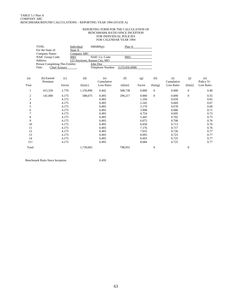#### REPORTING FORM FOR THE CALCULATION OF BENCHMARK RATIO SINCE INCEPTION FOR INDIVIDUAL POLICIES FOR CALENDAR YEAR 1994

|                | TYPE:<br>For the State of:      |               | Individual<br>State A                  |           | $SMSBP(p)$ :      | Plan A          |        |                  |                   |                |                  |
|----------------|---------------------------------|---------------|----------------------------------------|-----------|-------------------|-----------------|--------|------------------|-------------------|----------------|------------------|
|                | Company Name:                   |               | Company ABC                            |           |                   |                 |        |                  |                   |                |                  |
|                | NAIC Group Code:<br>Address:    |               | 0001<br>123 Anystreet, Kansas City, MO |           | NAIC Co. Code:    | 0001            |        |                  |                   |                |                  |
|                | Person Completing This Exhibit: |               |                                        |           | John Doe          |                 |        |                  |                   |                |                  |
|                | Title:                          | Chief Actuary |                                        |           | Telephone Number: | $(123)456-0000$ |        |                  |                   |                |                  |
| (a)            | (b) Earned<br>Premium           | (c)           | (d)                                    |           | (e)<br>Cumulative | (f)             | (g)    | (h)              | (i)<br>Cumulative | (i)            | (o)<br>Policy Yr |
| Year           |                                 | Factor        |                                        | (b)x(c)   | Loss Ratio        | $(d)$ x $(e)$   | Factor | (b)x(g)          | Loss Ratio        | (h)x(i)        | Loss Ratio       |
| 1              | 415,520                         | 2.770         |                                        | 1,150,990 | 0.442             | 508,738         | 0.000  | $\mathbf{0}$     | 0.000             | $\mathbf{0}$   | 0.40             |
| $\overline{c}$ | 141,000                         | 4.175         |                                        | 588,675   | 0.493             | 290,217         | 0.000  | $\mathbf{0}$     | 0.000             | $\overline{0}$ | 0.55             |
| 3              |                                 | 4.175         |                                        |           | 0.493             |                 | 1.194  |                  | 0.659             |                | 0.65             |
| 4              |                                 | 4.175         |                                        |           | 0.493             |                 | 2.245  |                  | 0.669             |                | 0.67             |
| 5              |                                 | 4.175         |                                        |           | 0.493             |                 | 3.170  |                  | 0.678             |                | 0.69             |
| 6              |                                 | 4.175         |                                        |           | 0.493             |                 | 3.998  |                  | 0.686             |                | 0.71             |
|                |                                 | 4.175         |                                        |           | 0.493             |                 | 4.754  |                  | 0.695             |                | 0.73             |
| 8              |                                 | 4.175         |                                        |           | 0.493             |                 | 5.445  |                  | 0.702             |                | 0.75             |
| 9              |                                 | 4.175         |                                        |           | 0.493             |                 | 6.075  |                  | 0.708             |                | 0.76             |
| 10             |                                 | 4.175         |                                        |           | 0.493             |                 | 6.650  |                  | 0.713             |                | 0.76             |
| 11             |                                 | 4.175         |                                        |           | 0.493             |                 | 7.176  |                  | 0.717             |                | 0.76             |
| 12             |                                 | 4.175         |                                        |           | 0.493             |                 | 7.655  |                  | 0.720             |                | 0.77             |
| 13             |                                 | 4.175         |                                        |           | 0.493             |                 | 8.093  |                  | 0.723             |                | 0.77             |
| 14             |                                 | 4.175         |                                        |           | 0.493             |                 | 8.493  |                  | 0.725             |                | 0.77             |
| $15+$          |                                 | 4.175         |                                        |           | 0.493             |                 | 8.684  |                  | 0.725             |                | 0.77             |
| Total:         |                                 |               |                                        | 1,739,665 |                   | 798,955         |        | $\boldsymbol{0}$ |                   | $\mathbf{0}$   |                  |

Benchmark Ratio Since Inception 0.459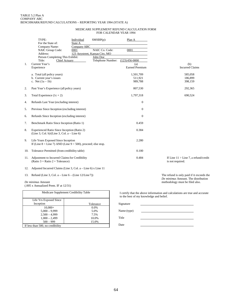#### MEDICARE SUPPLEMENT REFUND CALCULATION FORM FOR CALENDAR YEAR 1994

|     | TYPE:<br>For the State of:<br>Company Name:<br>NAIC Group Code:<br>Address:<br>Person Completing This Exhibit: | Individual<br>State A<br>Company ABC<br>0001<br>123 Anystreet, Kansas City, MO | $SMSBP(p)$ :<br>NAIC Co. Code:<br>John Doe | Plan A<br>0001                                  |                  |                                        |
|-----|----------------------------------------------------------------------------------------------------------------|--------------------------------------------------------------------------------|--------------------------------------------|-------------------------------------------------|------------------|----------------------------------------|
| 1.  | Title:<br><b>Chief Actuary</b><br>Current Year's<br>Experience                                                 |                                                                                | Telephone Number:                          | $(123)456-0000$<br>(a)<br><b>Earned Premium</b> |                  | (b)<br><b>Incurred Claims</b>          |
|     | a. Total (all policy years)<br>b. Current year's issues<br>c. Net $(1a - 1b)$                                  |                                                                                |                                            | 1,501,709<br>511,921<br>989,788                 |                  | 585,058<br>186,899<br>398,159          |
| 2.  | Past Year's Experience (all policy years)                                                                      |                                                                                |                                            | 807,530                                         |                  | 292,365                                |
| 3.  | Total Experience $(1c + 2)$                                                                                    |                                                                                |                                            | 1,797,318                                       |                  | 690,524                                |
| 4.  | Refunds Last Year (excluding interest)                                                                         |                                                                                |                                            | $\boldsymbol{0}$                                |                  |                                        |
| 5.  | Previous Since Inception (excluding interest)                                                                  |                                                                                |                                            | $\overline{0}$                                  |                  |                                        |
| 6.  | Refunds Since Inception (excluding interest)                                                                   |                                                                                |                                            | $\overline{0}$                                  |                  |                                        |
| 7.  | Benchmark Ratio Since Inception (Ratio 1)                                                                      |                                                                                |                                            | 0.459                                           |                  |                                        |
| 8.  | Experienced Ratio Since Inception (Ratio 2)<br>(Line 3, Col. b)/(Line 3, Col. a - Line 6)                      |                                                                                |                                            | 0.384                                           |                  |                                        |
| 9.  | Life Years Exposed Since Inception<br>If (Line $8 <$ Line 7) AND (Line $9 > 500$ ), proceed; else stop.        |                                                                                |                                            | 2.280                                           |                  |                                        |
| 10. | Tolerance Permitted (from credibility table)                                                                   |                                                                                |                                            | 0.100                                           |                  |                                        |
| 11. | Adjustment to Incurred Claims for Credibility<br>(Ratio $3 =$ Ratio $2 +$ Tolerance)                           |                                                                                |                                            | 0.484                                           | is not required. | If Line $11 >$ Line 7, a refund/credit |
|     |                                                                                                                |                                                                                |                                            |                                                 |                  |                                        |

- 12. Adjusted Incurred Claims (Line 3, Col. a Line 6) x Line 11
- 13. Refund (Line 3, Col. a Line  $6 (Line 12/Line 7))$

*De minimus* Amount (.005 x Annualized Prem. IF at 12/31)

| Medicare Supplement Credibility Table |           |  |  |  |  |  |  |
|---------------------------------------|-----------|--|--|--|--|--|--|
|                                       |           |  |  |  |  |  |  |
| Life Yrs Exposed Since                |           |  |  |  |  |  |  |
| Inception                             | Tolerance |  |  |  |  |  |  |
| $10,000+$                             | 0.0%      |  |  |  |  |  |  |
| $5.000 - 9.999$                       | 5.0%      |  |  |  |  |  |  |
| $2.500 - 4.999$                       | 7.5%      |  |  |  |  |  |  |
| $1,000 - 2,499$                       | 10.0%     |  |  |  |  |  |  |
| $500 - 999$                           | 15.0%     |  |  |  |  |  |  |
| If less than 500, no credibility      |           |  |  |  |  |  |  |

The refund is only paid if it exceeds the *De minimus* Amount. The distribution methodology must be filed also.

I certify that the above information and calculations are true and accurate to the best of my knowledge and belief.

| Signature   |  |
|-------------|--|
| Name (type) |  |
| Title       |  |
| Date        |  |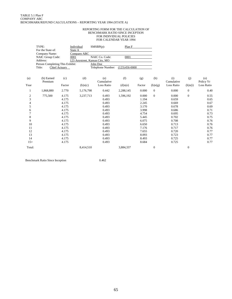#### REPORTING FORM FOR THE CALCULATION OF BENCHMARK RATIO SINCE INCEPTION FOR INDIVIDUAL POLICIES FOR CALENDAR YEAR 1994

|                | TYPE:<br>For the State of:      |                      | Individual<br>State A                  | $SMSBP(p)$ :      | Plan F          |        |                  |                   |                  |                  |
|----------------|---------------------------------|----------------------|----------------------------------------|-------------------|-----------------|--------|------------------|-------------------|------------------|------------------|
|                | Company Name:                   |                      | Company ABC                            |                   |                 |        |                  |                   |                  |                  |
|                | NAIC Group Code:<br>Address:    |                      | 0001<br>123 Anystreet, Kansas City, MO | NAIC Co. Code:    | 0001            |        |                  |                   |                  |                  |
|                | Person Completing This Exhibit: |                      |                                        | John Doe          |                 |        |                  |                   |                  |                  |
|                | Title:                          | <b>Chief Actuary</b> |                                        | Telephone Number: | $(123)456-0000$ |        |                  |                   |                  |                  |
| (a)            | (b) Earned<br>Premium           | (c)                  | (d)                                    | (e)<br>Cumulative | (f)             | (g)    | (h)              | (i)<br>Cumulative | (j)              | (o)<br>Policy Yr |
| Year           |                                 | Factor               | (b)x(c)                                | Loss Ratio        | $(d)$ x $(e)$   | Factor | (b)x(g)          | <b>Loss Ratio</b> | (h)x(i)          | Loss Ratio       |
|                | 1,868,880                       | 2.770                | 5,176,798                              | 0.442             | 2,288,145       | 0.000  | $\overline{0}$   | 0.000             | $\overline{0}$   | 0.40             |
| $\overline{c}$ | 775,500                         | 4.175                | 3,237,713                              | 0.493             | 1,596,192       | 0.000  | $\Omega$         | 0.000             | $\overline{0}$   | 0.55             |
| 3              |                                 | 4.175                |                                        | 0.493             |                 | 1.194  |                  | 0.659             |                  | 0.65             |
| 4              |                                 | 4.175                |                                        | 0.493             |                 | 2.245  |                  | 0.669             |                  | 0.67             |
| 5              |                                 | 4.175                |                                        | 0.493             |                 | 3.170  |                  | 0.678             |                  | 0.69             |
| 6              |                                 | 4.175                |                                        | 0.493             |                 | 3.998  |                  | 0.686             |                  | 0.71             |
| 7              |                                 | 4.175                |                                        | 0.493             |                 | 4.754  |                  | 0.695             |                  | 0.73             |
| 8              |                                 | 4.175                |                                        | 0.493             |                 | 5.445  |                  | 0.702             |                  | 0.75             |
| 9              |                                 | 4.175                |                                        | 0.493             |                 | 6.075  |                  | 0.708             |                  | 0.76             |
| 10             |                                 | 4.175                |                                        | 0.493             |                 | 6.650  |                  | 0.713             |                  | 0.76             |
| 11             |                                 | 4.175                |                                        | 0.493             |                 | 7.176  |                  | 0.717             |                  | 0.76             |
| 12             |                                 | 4.175                |                                        | 0.493             |                 | 7.655  |                  | 0.720             |                  | 0.77             |
| 13             |                                 | 4.175                |                                        | 0.493             |                 | 8.093  |                  | 0.723             |                  | 0.77             |
| 14             |                                 | 4.175                |                                        | 0.493             |                 | 8.493  |                  | 0.725             |                  | 0.77             |
| $15+$          |                                 | 4.175                |                                        | 0.493             |                 | 8.684  |                  | 0.725             |                  | 0.77             |
| Total:         |                                 |                      | 8,414,510                              |                   | 3,884,337       |        | $\boldsymbol{0}$ |                   | $\boldsymbol{0}$ |                  |

Benchmark Ratio Since Inception 0.462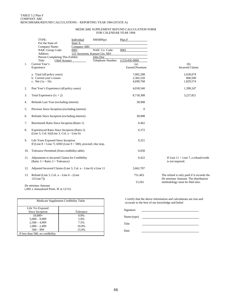#### MEDICARE SUPPLEMENT REFUND CALCULATION FORM FOR CALENDAR YEAR 1994

|     | TYPE:<br>For the State of:                                                                              | Individual<br>State A                                 | $SMSBP(p)$ :               | Plan F                                          |                                                                        |  |  |
|-----|---------------------------------------------------------------------------------------------------------|-------------------------------------------------------|----------------------------|-------------------------------------------------|------------------------------------------------------------------------|--|--|
|     | Company Name:<br>NAIC Group Code:<br>Address:<br>Person Completing This Exhibit:                        | Company ABC<br>0001<br>123 Anystreet, Kansas City, MO | NAIC Co. Code:<br>John Doe | 0001                                            |                                                                        |  |  |
| 1.  | Title:<br><b>Chief Actuary</b><br>Current Year's<br>Experience                                          |                                                       | Telephone Number:          | $(123)456-0000$<br>(a)<br><b>Earned Premium</b> | (b)<br><b>Incurred Claims</b>                                          |  |  |
|     | a. Total (all policy years)<br>b. Current year's issues<br>c. Net $(1a - 1b)$                           |                                                       |                            | 7,002,288<br>2,302,520<br>4,699,768             | 2,630,074<br>800,500<br>1,829,574                                      |  |  |
| 2.  | Past Year's Experience (all policy years)                                                               |                                                       |                            | 4,018,540                                       | 1,398,247                                                              |  |  |
| 3.  | Total Experience $(1c + 2)$                                                                             |                                                       |                            | 8,718,308                                       | 3,227,821                                                              |  |  |
| 4.  | Refunds Last Year (excluding interest)                                                                  |                                                       |                            | 38,908                                          |                                                                        |  |  |
| 5.  | Previous Since Inception (excluding interest)                                                           |                                                       |                            | $\boldsymbol{0}$                                |                                                                        |  |  |
| 6.  | Refunds Since Inception (excluding interest)                                                            |                                                       |                            | 38,908                                          |                                                                        |  |  |
| 7.  | Benchmark Ratio Since Inception (Ratio 1)                                                               |                                                       |                            | 0.462                                           |                                                                        |  |  |
| 8.  | Experienced Ratio Since Inception (Ratio 2)<br>(Line 3, Col. b)/(Line 3, Col. a - Line 6)               |                                                       |                            | 0.372                                           |                                                                        |  |  |
| 9.  | Life Years Exposed Since Inception<br>If (Line $8 <$ Line 7) AND (Line $9 > 500$ ), proceed; else stop. |                                                       |                            | 9,321                                           |                                                                        |  |  |
| 10. | Tolerance Permitted (from credibility table)                                                            |                                                       |                            | 0.050                                           |                                                                        |  |  |
| 11. | Adjustment to Incurred Claims for Credibility<br>(Ratio $3 =$ Ratio $2 +$ Tolerance)                    |                                                       |                            | 0.422                                           | If Line $11 >$ Line 7, a refund/credit<br>is not required.             |  |  |
| 12. | Adjusted Incurred Claims (Line 3, Col. a – Line 6) x Line 11                                            |                                                       |                            | 3,662,707                                       |                                                                        |  |  |
|     | 13. Refund (Line 3, Col. a – Line $6 -$ (Line                                                           |                                                       |                            | 751,463                                         | The refund is only paid if it exceeds the                              |  |  |
|     | 12/Line 7)                                                                                              |                                                       |                            | 15,561                                          | De minimus Amount. The distribution<br>methodology must be filed also. |  |  |
|     | De minimus Amount                                                                                       |                                                       |                            |                                                 |                                                                        |  |  |

(.005 x Annualized Prem. IF at 12/31)

| Medicare Supplement Credibility Table |           |
|---------------------------------------|-----------|
| Life Yrs Exposed                      |           |
| Since Inception                       | Tolerance |
| $10,000+$                             | $0.0\%$   |
| $5,000 - 9,999$                       | 5.0%      |
| $2,500 - 4,999$                       | 7.5%      |
| $1,000 - 2,499$                       | 10.0%     |
| $500 - 999$                           | 15.0%     |
| If less than 500, no credibility      |           |

I certify that the above information and calculations are true and accurate to the best of my knowledge and belief.

Signature Name (type) Title Date